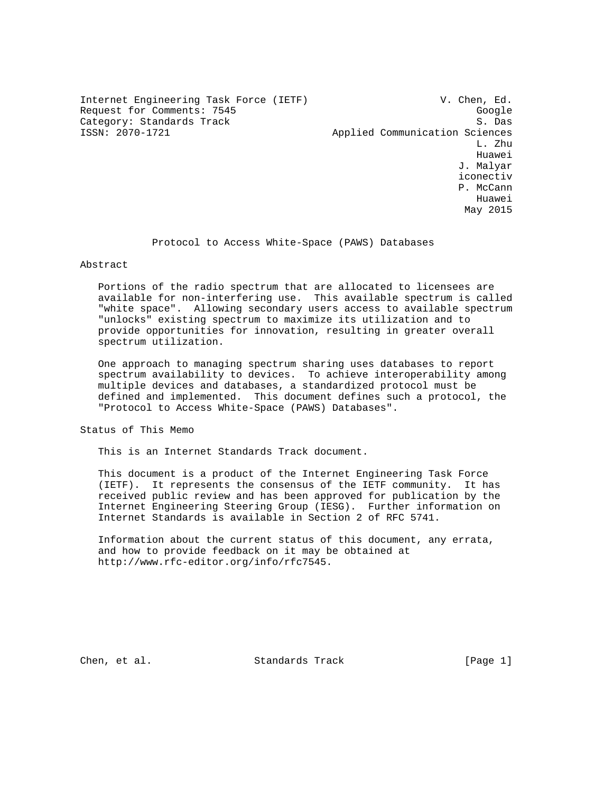Internet Engineering Task Force (IETF) V. Chen, Ed. Request for Comments: 7545<br>Category: Standards Track Google (S. Das Category: Standards Track<br>ISSN: 2070-1721

Applied Communication Sciences L. Zhu he distributed by the control of the control of the control of the control of the control of the control of the control of the control of the control of the control of the control of the control of the control of the contr J. Malyar iconectiv P. McCann Huawei May 2015

Protocol to Access White-Space (PAWS) Databases

## Abstract

 Portions of the radio spectrum that are allocated to licensees are available for non-interfering use. This available spectrum is called "white space". Allowing secondary users access to available spectrum "unlocks" existing spectrum to maximize its utilization and to provide opportunities for innovation, resulting in greater overall spectrum utilization.

 One approach to managing spectrum sharing uses databases to report spectrum availability to devices. To achieve interoperability among multiple devices and databases, a standardized protocol must be defined and implemented. This document defines such a protocol, the "Protocol to Access White-Space (PAWS) Databases".

Status of This Memo

This is an Internet Standards Track document.

 This document is a product of the Internet Engineering Task Force (IETF). It represents the consensus of the IETF community. It has received public review and has been approved for publication by the Internet Engineering Steering Group (IESG). Further information on Internet Standards is available in Section 2 of RFC 5741.

 Information about the current status of this document, any errata, and how to provide feedback on it may be obtained at http://www.rfc-editor.org/info/rfc7545.

Chen, et al. Standards Track [Page 1]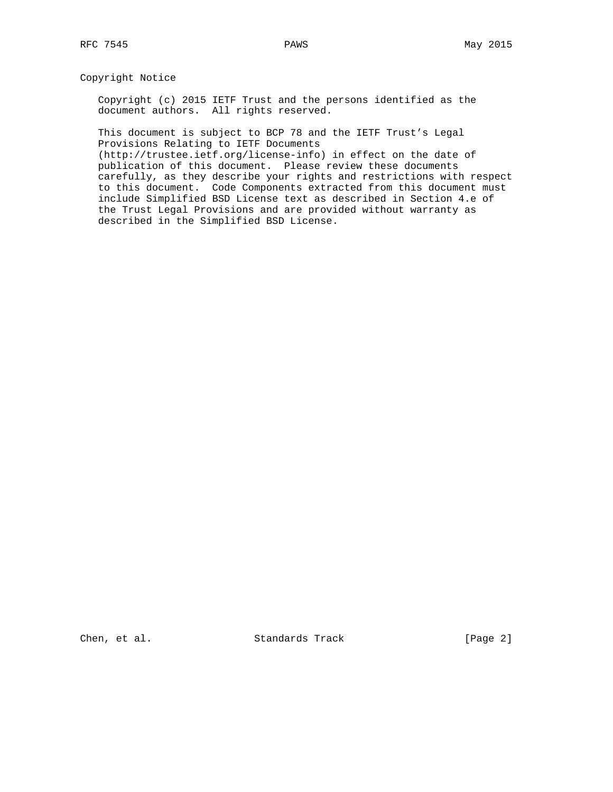## Copyright Notice

 Copyright (c) 2015 IETF Trust and the persons identified as the document authors. All rights reserved.

 This document is subject to BCP 78 and the IETF Trust's Legal Provisions Relating to IETF Documents

 (http://trustee.ietf.org/license-info) in effect on the date of publication of this document. Please review these documents carefully, as they describe your rights and restrictions with respect to this document. Code Components extracted from this document must include Simplified BSD License text as described in Section 4.e of the Trust Legal Provisions and are provided without warranty as described in the Simplified BSD License.

Chen, et al. Standards Track [Page 2]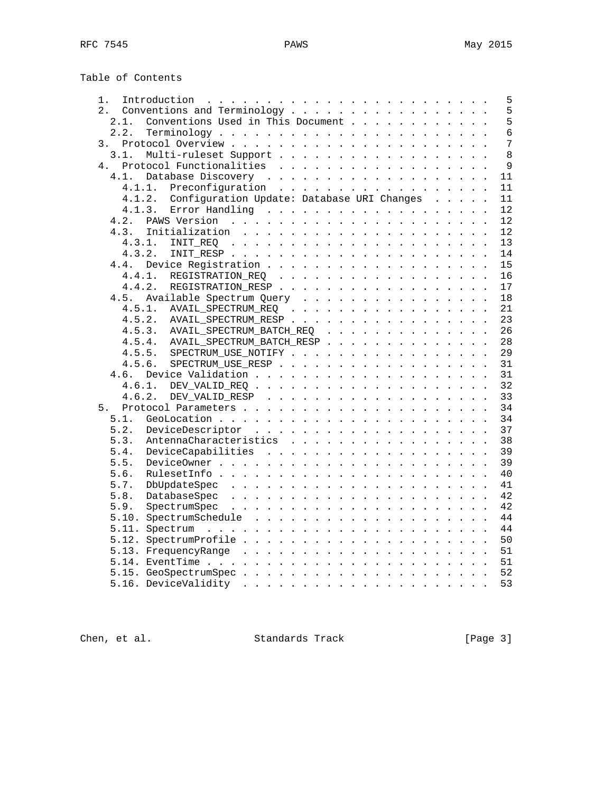| Table of Contents |  |
|-------------------|--|
|-------------------|--|

| 1.                                                | 5              |
|---------------------------------------------------|----------------|
| Conventions and Terminology<br>2.                 | 5              |
| Conventions Used in This Document<br>2.1.         | 5              |
| 2.2.                                              | $\overline{6}$ |
| 3.                                                | 7              |
| 3.1.<br>Multi-ruleset Support                     | 8              |
| Protocol Functionalities<br>4.                    | $\mathsf{Q}$   |
| 4.1.                                              | 11             |
| Preconfiguration<br>4.1.1.                        | 11             |
| 4.1.2. Configuration Update: Database URI Changes | 11             |
| 4.1.3.<br>Error Handling                          | 12             |
| 4.2.                                              | 12             |
| 4.3.                                              | 12             |
| 4.3.1.                                            | 13             |
| 4.3.2.                                            | 14             |
| 4.4.                                              | 15             |
| REGISTRATION_REQ<br>4.4.1.                        | 16             |
| 4.4.2.<br>REGISTRATION_RESP                       | 17             |
| 4.5.<br>Available Spectrum Query                  | 18             |
| 4.5.1.<br>AVAIL_SPECTRUM_REQ                      | 21             |
| 4.5.2.<br>AVAIL_SPECTRUM_RESP                     | 23             |
| 4.5.3. AVAIL SPECTRUM BATCH REQ                   | 26             |
| 4.5.4.<br>AVAIL_SPECTRUM_BATCH_RESP               | 28             |
| SPECTRUM_USE_NOTIFY<br>4.5.5.                     | 29             |
| 4.5.6.<br>SPECTRUM USE RESP                       | 31             |
| 4.6.                                              | 31             |
|                                                   | 32             |
|                                                   | 33             |
| 5.                                                | 34             |
| 5.1.                                              | 34             |
| 5.2.                                              | 37             |
| 5.3.<br>AntennaCharacteristics                    | 38             |
| 5.4.                                              | 39             |
| 5.5.                                              | 39             |
| 5.6.                                              | 40             |
| 5.7.                                              | 41             |
| 5.8.                                              | 42             |
| 5.9.                                              | 42             |
|                                                   | 44             |
|                                                   | 44             |
|                                                   | 50             |
|                                                   | 51             |
|                                                   | 51             |
| 5.15. GeoSpectrumSpec                             | 52             |
|                                                   | 53             |
|                                                   |                |

Chen, et al. Standards Track [Page 3]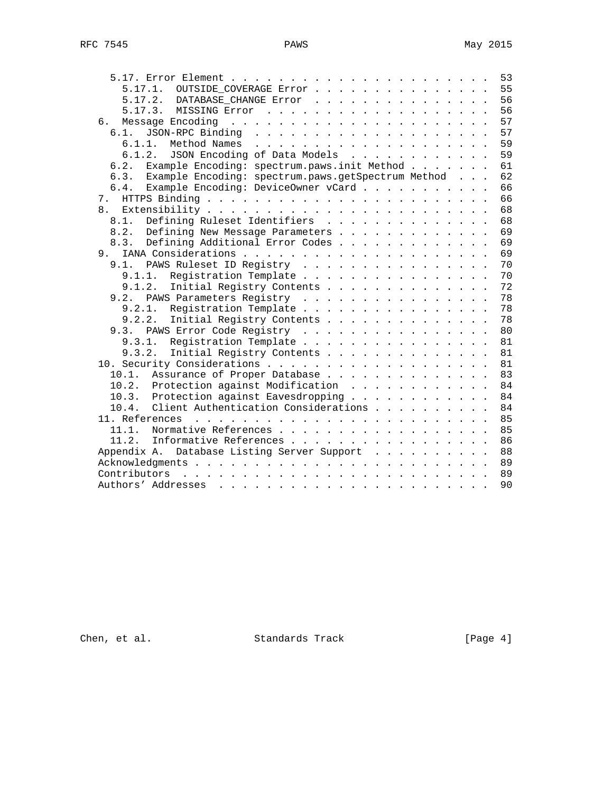|                                                            | 53       |
|------------------------------------------------------------|----------|
| 5.17.1. OUTSIDE COVERAGE Error                             | 55       |
| 5.17.2. DATABASE_CHANGE Error                              | 56       |
|                                                            | 56       |
| б.                                                         | 57       |
| $6.1$ .                                                    | 57       |
| 6.1.1.<br>Method Names                                     | 59       |
| JSON Encoding of Data Models<br>6.1.2.                     | 59       |
| Example Encoding: spectrum.paws.init Method<br>6.2.        | 61       |
| Example Encoding: spectrum.paws.getSpectrum Method<br>6.3. | 62       |
| Example Encoding: DeviceOwner vCard<br>6.4.                | 66       |
| 7.                                                         | 66       |
| 8.                                                         | 68       |
| Defining Ruleset Identifiers<br>8.1.                       | 68       |
| Defining New Message Parameters<br>8.2.                    | 69       |
| Defining Additional Error Codes<br>8.3.                    | 69       |
| 9.                                                         | 69       |
| PAWS Ruleset ID Registry<br>9.1.                           | 70       |
| Registration Template<br>9.1.1.                            | 70       |
| 9.1.2.<br>Initial Registry Contents                        | 72       |
| PAWS Parameters Registry<br>9.2.                           | 78       |
| 9.2.1.<br>Registration Template                            | 78       |
| 9.2.2.<br>Initial Registry Contents                        | 78       |
| 9.3. PAWS Error Code Registry                              | 80       |
| 9.3.1.<br>Registration Template                            | 81       |
| Initial Registry Contents<br>9.3.2.                        | 81       |
|                                                            | 81       |
| Assurance of Proper Database<br>10.1.                      | 83       |
| 10.2.                                                      | 84       |
| Protection against Modification                            |          |
| Protection against Eavesdropping<br>10.3.                  | 84<br>84 |
| Client Authentication Considerations<br>10.4.              |          |
|                                                            | 85       |
| Normative References<br>11.1.                              | 85       |
| Informative References<br>11.2.                            | 86       |
| Appendix A. Database Listing Server Support                | 88       |
|                                                            | 89       |
|                                                            | 89       |
|                                                            | 90       |

Chen, et al. Standards Track [Page 4]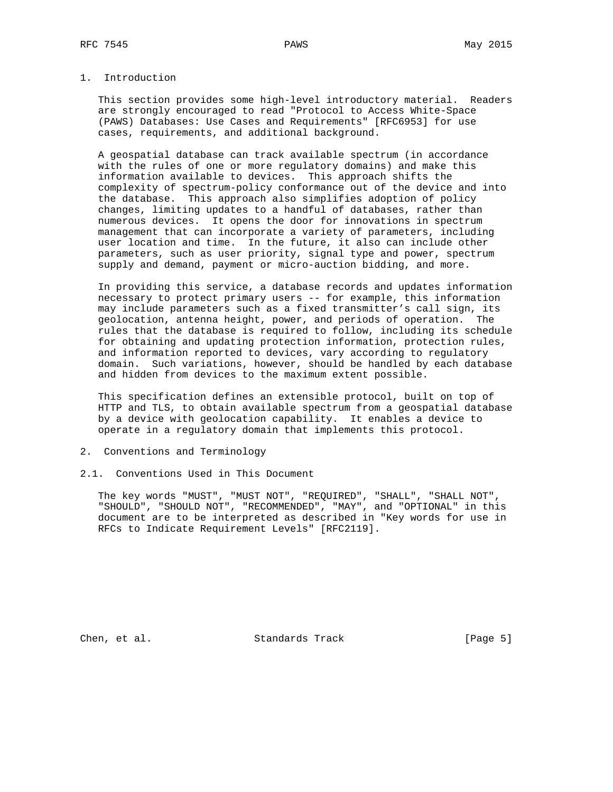# 1. Introduction

 This section provides some high-level introductory material. Readers are strongly encouraged to read "Protocol to Access White-Space (PAWS) Databases: Use Cases and Requirements" [RFC6953] for use cases, requirements, and additional background.

 A geospatial database can track available spectrum (in accordance with the rules of one or more regulatory domains) and make this information available to devices. This approach shifts the complexity of spectrum-policy conformance out of the device and into the database. This approach also simplifies adoption of policy changes, limiting updates to a handful of databases, rather than numerous devices. It opens the door for innovations in spectrum management that can incorporate a variety of parameters, including user location and time. In the future, it also can include other parameters, such as user priority, signal type and power, spectrum supply and demand, payment or micro-auction bidding, and more.

 In providing this service, a database records and updates information necessary to protect primary users -- for example, this information may include parameters such as a fixed transmitter's call sign, its geolocation, antenna height, power, and periods of operation. The rules that the database is required to follow, including its schedule for obtaining and updating protection information, protection rules, and information reported to devices, vary according to regulatory domain. Such variations, however, should be handled by each database and hidden from devices to the maximum extent possible.

 This specification defines an extensible protocol, built on top of HTTP and TLS, to obtain available spectrum from a geospatial database by a device with geolocation capability. It enables a device to operate in a regulatory domain that implements this protocol.

- 2. Conventions and Terminology
- 2.1. Conventions Used in This Document

 The key words "MUST", "MUST NOT", "REQUIRED", "SHALL", "SHALL NOT", "SHOULD", "SHOULD NOT", "RECOMMENDED", "MAY", and "OPTIONAL" in this document are to be interpreted as described in "Key words for use in RFCs to Indicate Requirement Levels" [RFC2119].

Chen, et al. Standards Track [Page 5]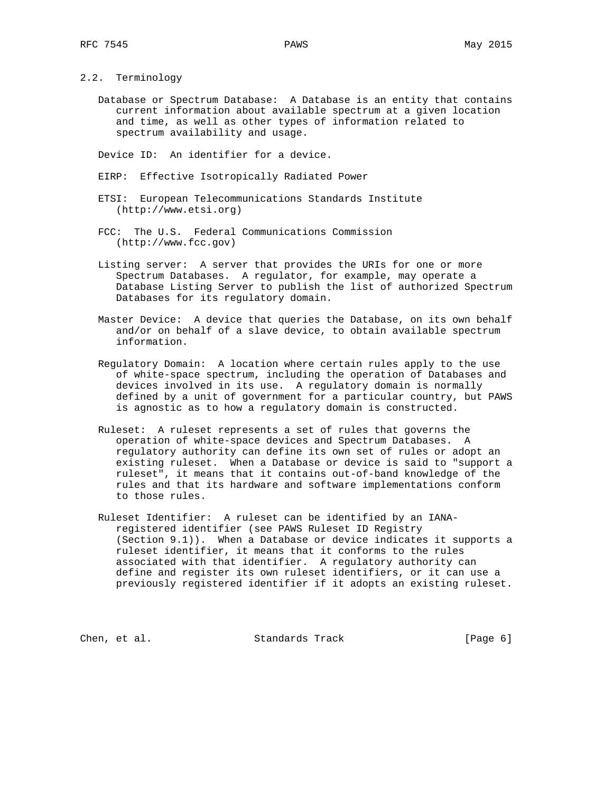2.2. Terminology

 Database or Spectrum Database: A Database is an entity that contains current information about available spectrum at a given location and time, as well as other types of information related to spectrum availability and usage.

Device ID: An identifier for a device.

- EIRP: Effective Isotropically Radiated Power
- ETSI: European Telecommunications Standards Institute (http://www.etsi.org)
- FCC: The U.S. Federal Communications Commission (http://www.fcc.gov)
- Listing server: A server that provides the URIs for one or more Spectrum Databases. A regulator, for example, may operate a Database Listing Server to publish the list of authorized Spectrum Databases for its regulatory domain.
- Master Device: A device that queries the Database, on its own behalf and/or on behalf of a slave device, to obtain available spectrum information.
- Regulatory Domain: A location where certain rules apply to the use of white-space spectrum, including the operation of Databases and devices involved in its use. A regulatory domain is normally defined by a unit of government for a particular country, but PAWS is agnostic as to how a regulatory domain is constructed.
- Ruleset: A ruleset represents a set of rules that governs the operation of white-space devices and Spectrum Databases. A regulatory authority can define its own set of rules or adopt an existing ruleset. When a Database or device is said to "support a ruleset", it means that it contains out-of-band knowledge of the rules and that its hardware and software implementations conform to those rules.
- Ruleset Identifier: A ruleset can be identified by an IANA registered identifier (see PAWS Ruleset ID Registry (Section 9.1)). When a Database or device indicates it supports a ruleset identifier, it means that it conforms to the rules associated with that identifier. A regulatory authority can define and register its own ruleset identifiers, or it can use a previously registered identifier if it adopts an existing ruleset.

Chen, et al. Standards Track [Page 6]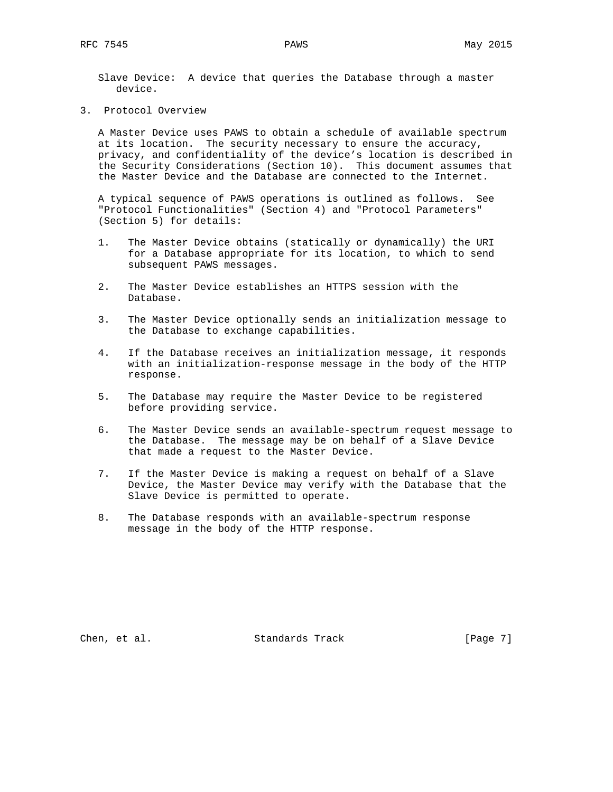Slave Device: A device that queries the Database through a master device.

3. Protocol Overview

 A Master Device uses PAWS to obtain a schedule of available spectrum at its location. The security necessary to ensure the accuracy, privacy, and confidentiality of the device's location is described in the Security Considerations (Section 10). This document assumes that the Master Device and the Database are connected to the Internet.

 A typical sequence of PAWS operations is outlined as follows. See "Protocol Functionalities" (Section 4) and "Protocol Parameters" (Section 5) for details:

- 1. The Master Device obtains (statically or dynamically) the URI for a Database appropriate for its location, to which to send subsequent PAWS messages.
- 2. The Master Device establishes an HTTPS session with the Database.
- 3. The Master Device optionally sends an initialization message to the Database to exchange capabilities.
- 4. If the Database receives an initialization message, it responds with an initialization-response message in the body of the HTTP response.
- 5. The Database may require the Master Device to be registered before providing service.
- 6. The Master Device sends an available-spectrum request message to the Database. The message may be on behalf of a Slave Device that made a request to the Master Device.
- 7. If the Master Device is making a request on behalf of a Slave Device, the Master Device may verify with the Database that the Slave Device is permitted to operate.
- 8. The Database responds with an available-spectrum response message in the body of the HTTP response.

Chen, et al. Standards Track [Page 7]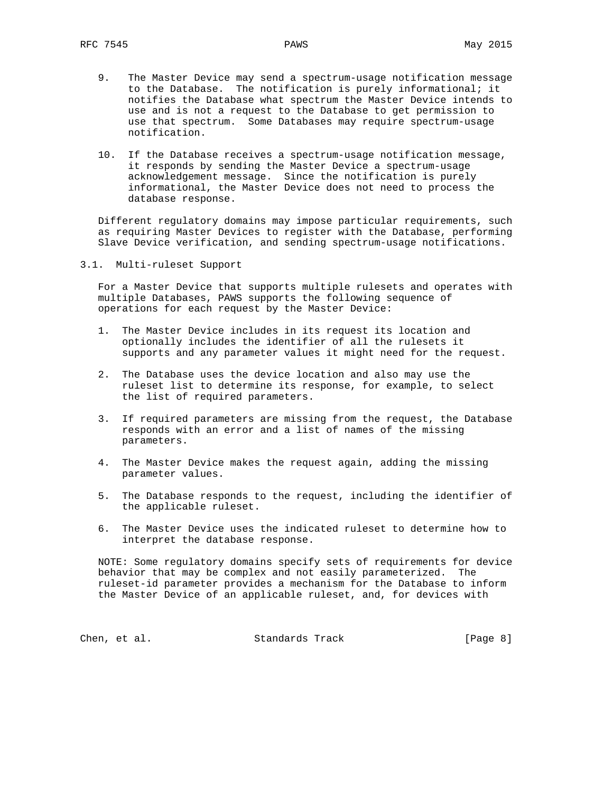- 9. The Master Device may send a spectrum-usage notification message to the Database. The notification is purely informational; it notifies the Database what spectrum the Master Device intends to use and is not a request to the Database to get permission to use that spectrum. Some Databases may require spectrum-usage notification.
- 10. If the Database receives a spectrum-usage notification message, it responds by sending the Master Device a spectrum-usage acknowledgement message. Since the notification is purely informational, the Master Device does not need to process the database response.

 Different regulatory domains may impose particular requirements, such as requiring Master Devices to register with the Database, performing Slave Device verification, and sending spectrum-usage notifications.

3.1. Multi-ruleset Support

 For a Master Device that supports multiple rulesets and operates with multiple Databases, PAWS supports the following sequence of operations for each request by the Master Device:

- 1. The Master Device includes in its request its location and optionally includes the identifier of all the rulesets it supports and any parameter values it might need for the request.
- 2. The Database uses the device location and also may use the ruleset list to determine its response, for example, to select the list of required parameters.
- 3. If required parameters are missing from the request, the Database responds with an error and a list of names of the missing parameters.
- 4. The Master Device makes the request again, adding the missing parameter values.
- 5. The Database responds to the request, including the identifier of the applicable ruleset.
- 6. The Master Device uses the indicated ruleset to determine how to interpret the database response.

 NOTE: Some regulatory domains specify sets of requirements for device behavior that may be complex and not easily parameterized. The ruleset-id parameter provides a mechanism for the Database to inform the Master Device of an applicable ruleset, and, for devices with

Chen, et al. Standards Track [Page 8]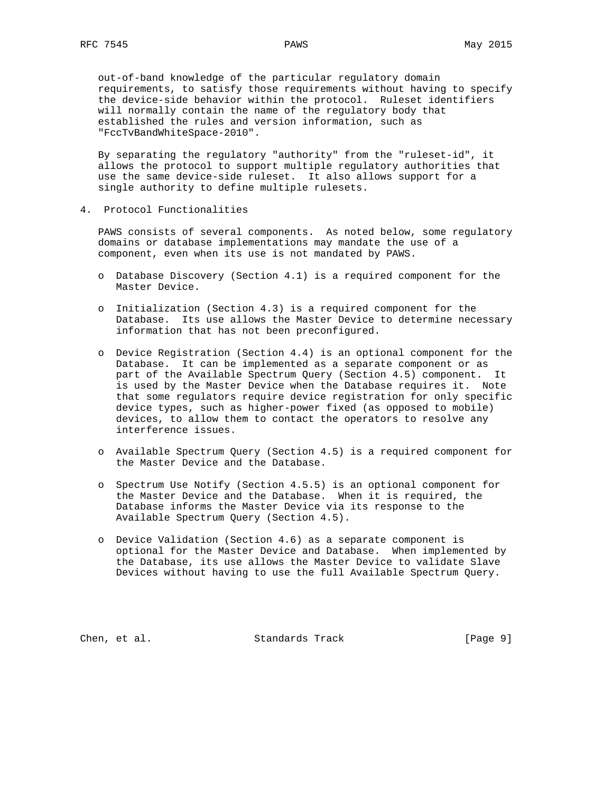out-of-band knowledge of the particular regulatory domain requirements, to satisfy those requirements without having to specify the device-side behavior within the protocol. Ruleset identifiers will normally contain the name of the regulatory body that established the rules and version information, such as "FccTvBandWhiteSpace-2010".

 By separating the regulatory "authority" from the "ruleset-id", it allows the protocol to support multiple regulatory authorities that use the same device-side ruleset. It also allows support for a single authority to define multiple rulesets.

4. Protocol Functionalities

 PAWS consists of several components. As noted below, some regulatory domains or database implementations may mandate the use of a component, even when its use is not mandated by PAWS.

- o Database Discovery (Section 4.1) is a required component for the Master Device.
- o Initialization (Section 4.3) is a required component for the Database. Its use allows the Master Device to determine necessary information that has not been preconfigured.
- o Device Registration (Section 4.4) is an optional component for the Database. It can be implemented as a separate component or as part of the Available Spectrum Query (Section 4.5) component. It is used by the Master Device when the Database requires it. Note that some regulators require device registration for only specific device types, such as higher-power fixed (as opposed to mobile) devices, to allow them to contact the operators to resolve any interference issues.
- o Available Spectrum Query (Section 4.5) is a required component for the Master Device and the Database.
- o Spectrum Use Notify (Section 4.5.5) is an optional component for the Master Device and the Database. When it is required, the Database informs the Master Device via its response to the Available Spectrum Query (Section 4.5).
- o Device Validation (Section 4.6) as a separate component is optional for the Master Device and Database. When implemented by the Database, its use allows the Master Device to validate Slave Devices without having to use the full Available Spectrum Query.

Chen, et al. Standards Track [Page 9]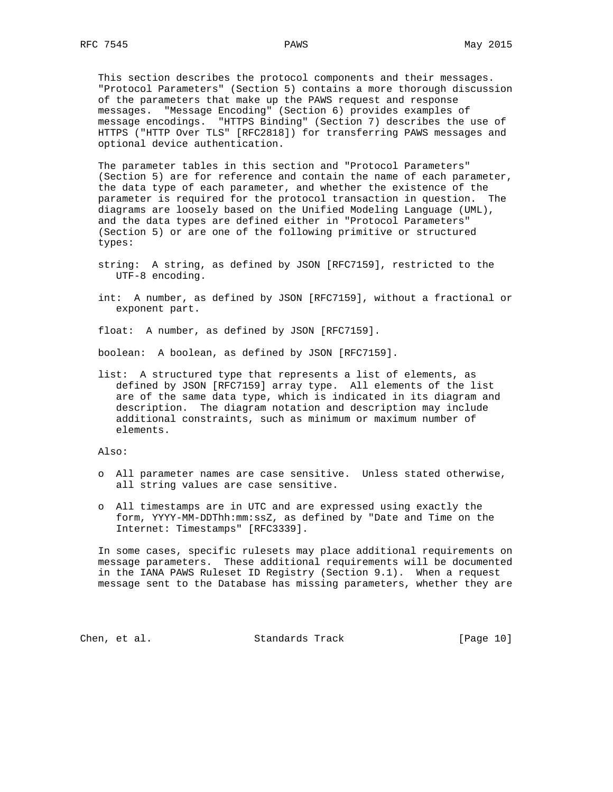This section describes the protocol components and their messages. "Protocol Parameters" (Section 5) contains a more thorough discussion of the parameters that make up the PAWS request and response messages. "Message Encoding" (Section 6) provides examples of message encodings. "HTTPS Binding" (Section 7) describes the use of HTTPS ("HTTP Over TLS" [RFC2818]) for transferring PAWS messages and optional device authentication.

 The parameter tables in this section and "Protocol Parameters" (Section 5) are for reference and contain the name of each parameter, the data type of each parameter, and whether the existence of the parameter is required for the protocol transaction in question. The diagrams are loosely based on the Unified Modeling Language (UML), and the data types are defined either in "Protocol Parameters" (Section 5) or are one of the following primitive or structured types:

- string: A string, as defined by JSON [RFC7159], restricted to the UTF-8 encoding.
- int: A number, as defined by JSON [RFC7159], without a fractional or exponent part.

float: A number, as defined by JSON [RFC7159].

boolean: A boolean, as defined by JSON [RFC7159].

 list: A structured type that represents a list of elements, as defined by JSON [RFC7159] array type. All elements of the list are of the same data type, which is indicated in its diagram and description. The diagram notation and description may include additional constraints, such as minimum or maximum number of elements.

Also:

- o All parameter names are case sensitive. Unless stated otherwise, all string values are case sensitive.
- o All timestamps are in UTC and are expressed using exactly the form, YYYY-MM-DDThh:mm:ssZ, as defined by "Date and Time on the Internet: Timestamps" [RFC3339].

 In some cases, specific rulesets may place additional requirements on message parameters. These additional requirements will be documented in the IANA PAWS Ruleset ID Registry (Section 9.1). When a request message sent to the Database has missing parameters, whether they are

Chen, et al. Standards Track [Page 10]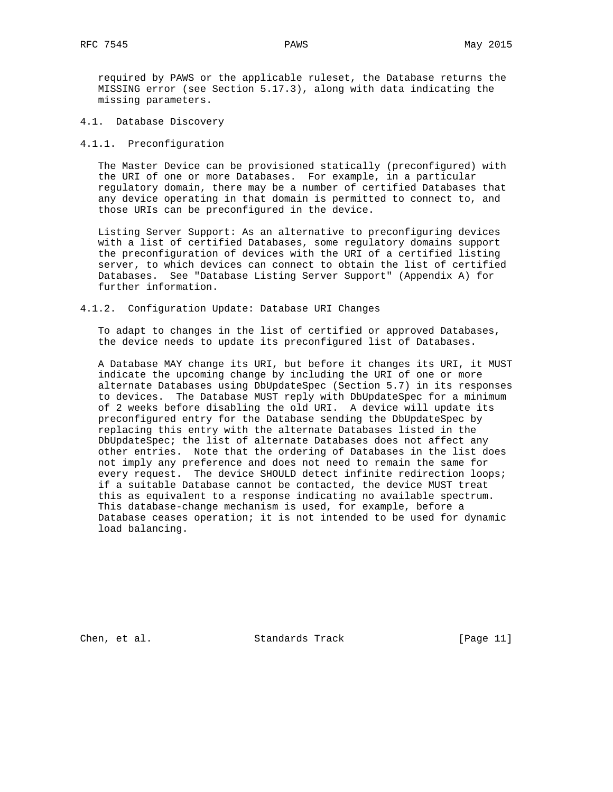required by PAWS or the applicable ruleset, the Database returns the MISSING error (see Section 5.17.3), along with data indicating the missing parameters.

- 4.1. Database Discovery
- 4.1.1. Preconfiguration

 The Master Device can be provisioned statically (preconfigured) with the URI of one or more Databases. For example, in a particular regulatory domain, there may be a number of certified Databases that any device operating in that domain is permitted to connect to, and those URIs can be preconfigured in the device.

 Listing Server Support: As an alternative to preconfiguring devices with a list of certified Databases, some regulatory domains support the preconfiguration of devices with the URI of a certified listing server, to which devices can connect to obtain the list of certified Databases. See "Database Listing Server Support" (Appendix A) for further information.

## 4.1.2. Configuration Update: Database URI Changes

 To adapt to changes in the list of certified or approved Databases, the device needs to update its preconfigured list of Databases.

 A Database MAY change its URI, but before it changes its URI, it MUST indicate the upcoming change by including the URI of one or more alternate Databases using DbUpdateSpec (Section 5.7) in its responses to devices. The Database MUST reply with DbUpdateSpec for a minimum of 2 weeks before disabling the old URI. A device will update its preconfigured entry for the Database sending the DbUpdateSpec by replacing this entry with the alternate Databases listed in the DbUpdateSpec; the list of alternate Databases does not affect any other entries. Note that the ordering of Databases in the list does not imply any preference and does not need to remain the same for every request. The device SHOULD detect infinite redirection loops; if a suitable Database cannot be contacted, the device MUST treat this as equivalent to a response indicating no available spectrum. This database-change mechanism is used, for example, before a Database ceases operation; it is not intended to be used for dynamic load balancing.

Chen, et al. Standards Track [Page 11]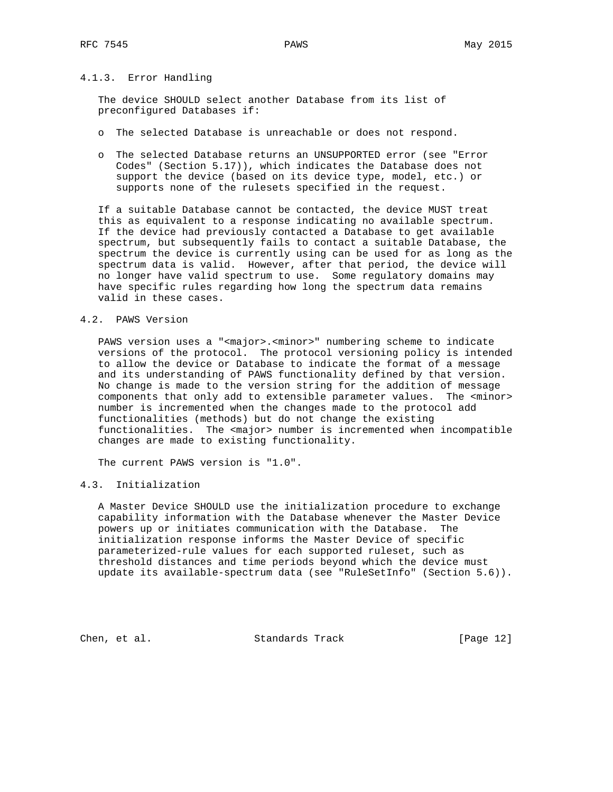# 4.1.3. Error Handling

 The device SHOULD select another Database from its list of preconfigured Databases if:

- o The selected Database is unreachable or does not respond.
- o The selected Database returns an UNSUPPORTED error (see "Error Codes" (Section 5.17)), which indicates the Database does not support the device (based on its device type, model, etc.) or supports none of the rulesets specified in the request.

 If a suitable Database cannot be contacted, the device MUST treat this as equivalent to a response indicating no available spectrum. If the device had previously contacted a Database to get available spectrum, but subsequently fails to contact a suitable Database, the spectrum the device is currently using can be used for as long as the spectrum data is valid. However, after that period, the device will no longer have valid spectrum to use. Some regulatory domains may have specific rules regarding how long the spectrum data remains valid in these cases.

#### 4.2. PAWS Version

PAWS version uses a "<major>.<minor>" numbering scheme to indicate versions of the protocol. The protocol versioning policy is intended to allow the device or Database to indicate the format of a message and its understanding of PAWS functionality defined by that version. No change is made to the version string for the addition of message components that only add to extensible parameter values. The <minor> number is incremented when the changes made to the protocol add functionalities (methods) but do not change the existing functionalities. The <major> number is incremented when incompatible changes are made to existing functionality.

The current PAWS version is "1.0".

## 4.3. Initialization

 A Master Device SHOULD use the initialization procedure to exchange capability information with the Database whenever the Master Device powers up or initiates communication with the Database. The initialization response informs the Master Device of specific parameterized-rule values for each supported ruleset, such as threshold distances and time periods beyond which the device must update its available-spectrum data (see "RuleSetInfo" (Section 5.6)).

Chen, et al. Standards Track [Page 12]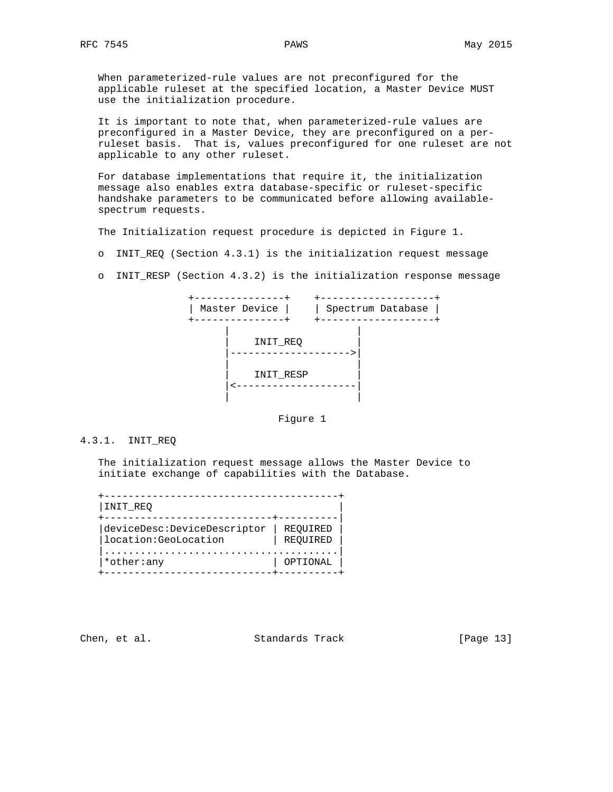When parameterized-rule values are not preconfigured for the applicable ruleset at the specified location, a Master Device MUST use the initialization procedure.

 It is important to note that, when parameterized-rule values are preconfigured in a Master Device, they are preconfigured on a per ruleset basis. That is, values preconfigured for one ruleset are not applicable to any other ruleset.

 For database implementations that require it, the initialization message also enables extra database-specific or ruleset-specific handshake parameters to be communicated before allowing available spectrum requests.

The Initialization request procedure is depicted in Figure 1.

- o INIT\_REQ (Section 4.3.1) is the initialization request message
- o INIT\_RESP (Section 4.3.2) is the initialization response message



Figure 1

#### 4.3.1. INIT\_REQ

 The initialization request message allows the Master Device to initiate exchange of capabilities with the Database.

| INIT REQ                                              |                      |
|-------------------------------------------------------|----------------------|
| deviceDesc:DeviceDescriptor <br>location: GeoLocation | REOUIRED<br>REOUIRED |
| *other:any                                            | OPTIONAL             |

Chen, et al. Standards Track [Page 13]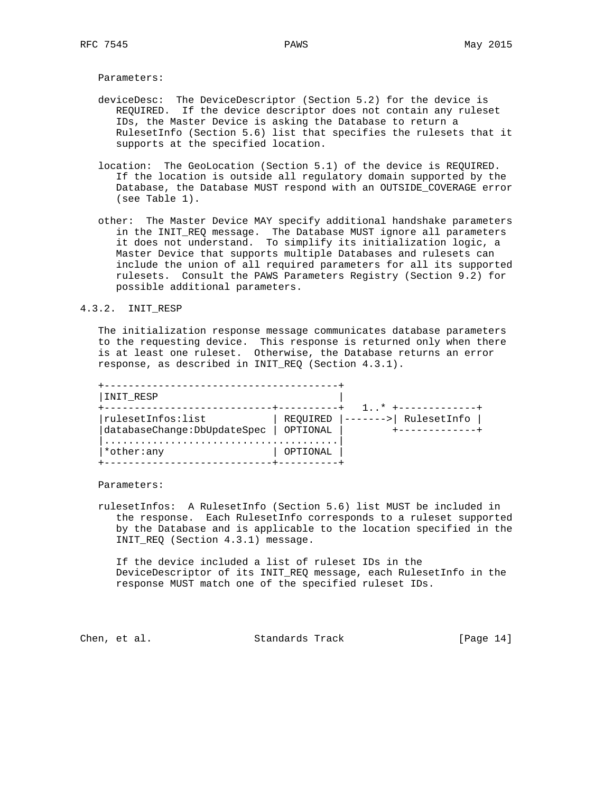Parameters:

- deviceDesc: The DeviceDescriptor (Section 5.2) for the device is REQUIRED. If the device descriptor does not contain any ruleset IDs, the Master Device is asking the Database to return a RulesetInfo (Section 5.6) list that specifies the rulesets that it supports at the specified location.
- location: The GeoLocation (Section 5.1) of the device is REQUIRED. If the location is outside all regulatory domain supported by the Database, the Database MUST respond with an OUTSIDE\_COVERAGE error (see Table 1).
- other: The Master Device MAY specify additional handshake parameters in the INIT\_REQ message. The Database MUST ignore all parameters it does not understand. To simplify its initialization logic, a Master Device that supports multiple Databases and rulesets can include the union of all required parameters for all its supported rulesets. Consult the PAWS Parameters Registry (Section 9.2) for possible additional parameters.

## 4.3.2. INIT\_RESP

 The initialization response message communicates database parameters to the requesting device. This response is returned only when there is at least one ruleset. Otherwise, the Database returns an error response, as described in INIT\_REQ (Section 4.3.1).

| INIT RESP                                         |                      | $\frac{1}{1}$ $\star$ |
|---------------------------------------------------|----------------------|-----------------------|
| rulesetInfos:list<br>databaseChange: DbUpdateSpec | REQUIRED<br>OPTIONAL | RulesetInfo           |
| *other:any                                        | OPTIONAL             |                       |

Parameters:

 rulesetInfos: A RulesetInfo (Section 5.6) list MUST be included in the response. Each RulesetInfo corresponds to a ruleset supported by the Database and is applicable to the location specified in the INIT\_REQ (Section 4.3.1) message.

 If the device included a list of ruleset IDs in the DeviceDescriptor of its INIT\_REQ message, each RulesetInfo in the response MUST match one of the specified ruleset IDs.

Chen, et al. Standards Track [Page 14]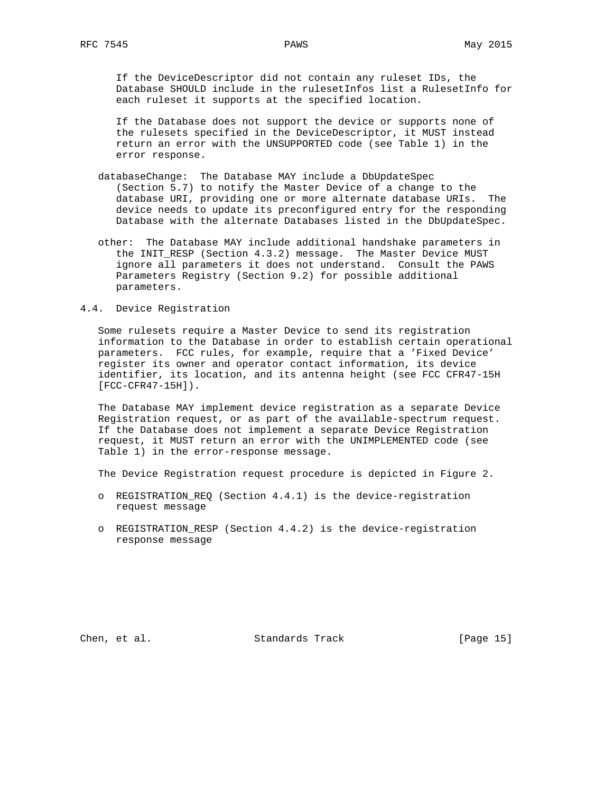If the DeviceDescriptor did not contain any ruleset IDs, the Database SHOULD include in the rulesetInfos list a RulesetInfo for each ruleset it supports at the specified location.

 If the Database does not support the device or supports none of the rulesets specified in the DeviceDescriptor, it MUST instead return an error with the UNSUPPORTED code (see Table 1) in the error response.

- databaseChange: The Database MAY include a DbUpdateSpec (Section 5.7) to notify the Master Device of a change to the database URI, providing one or more alternate database URIs. The device needs to update its preconfigured entry for the responding Database with the alternate Databases listed in the DbUpdateSpec.
- other: The Database MAY include additional handshake parameters in the INIT\_RESP (Section 4.3.2) message. The Master Device MUST ignore all parameters it does not understand. Consult the PAWS Parameters Registry (Section 9.2) for possible additional parameters.

## 4.4. Device Registration

 Some rulesets require a Master Device to send its registration information to the Database in order to establish certain operational parameters. FCC rules, for example, require that a 'Fixed Device' register its owner and operator contact information, its device identifier, its location, and its antenna height (see FCC CFR47-15H [FCC-CFR47-15H]).

 The Database MAY implement device registration as a separate Device Registration request, or as part of the available-spectrum request. If the Database does not implement a separate Device Registration request, it MUST return an error with the UNIMPLEMENTED code (see Table 1) in the error-response message.

The Device Registration request procedure is depicted in Figure 2.

- o REGISTRATION\_REQ (Section 4.4.1) is the device-registration request message
- o REGISTRATION\_RESP (Section 4.4.2) is the device-registration response message

Chen, et al. Standards Track [Page 15]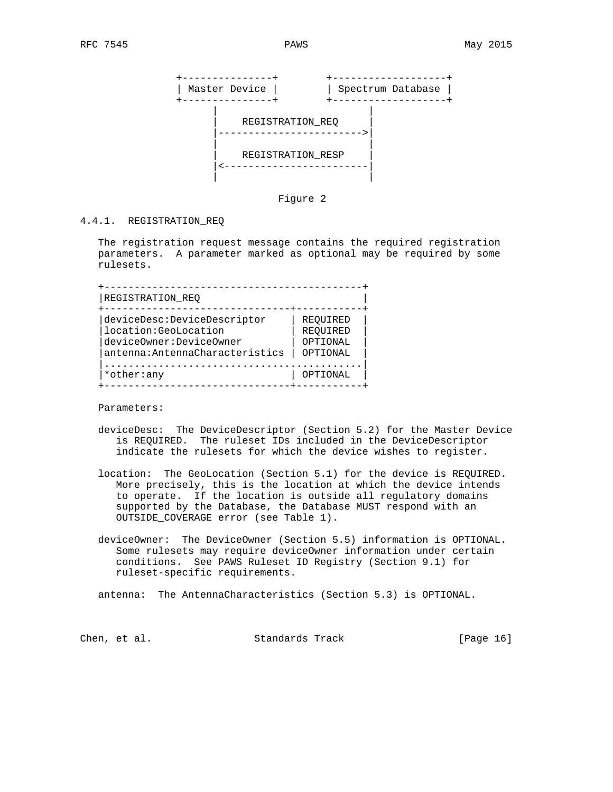

Figure 2

# 4.4.1. REGISTRATION\_REQ

 The registration request message contains the required registration parameters. A parameter marked as optional may be required by some rulesets.

| REOUIRED |
|----------|
| REOUIRED |
| OPTIONAL |
| OPTIONAL |
|          |
| OPTIONAL |
|          |

Parameters:

- deviceDesc: The DeviceDescriptor (Section 5.2) for the Master Device is REQUIRED. The ruleset IDs included in the DeviceDescriptor indicate the rulesets for which the device wishes to register.
- location: The GeoLocation (Section 5.1) for the device is REQUIRED. More precisely, this is the location at which the device intends to operate. If the location is outside all regulatory domains supported by the Database, the Database MUST respond with an OUTSIDE\_COVERAGE error (see Table 1).
- deviceOwner: The DeviceOwner (Section 5.5) information is OPTIONAL. Some rulesets may require deviceOwner information under certain conditions. See PAWS Ruleset ID Registry (Section 9.1) for ruleset-specific requirements.

antenna: The AntennaCharacteristics (Section 5.3) is OPTIONAL.

Chen, et al. Standards Track [Page 16]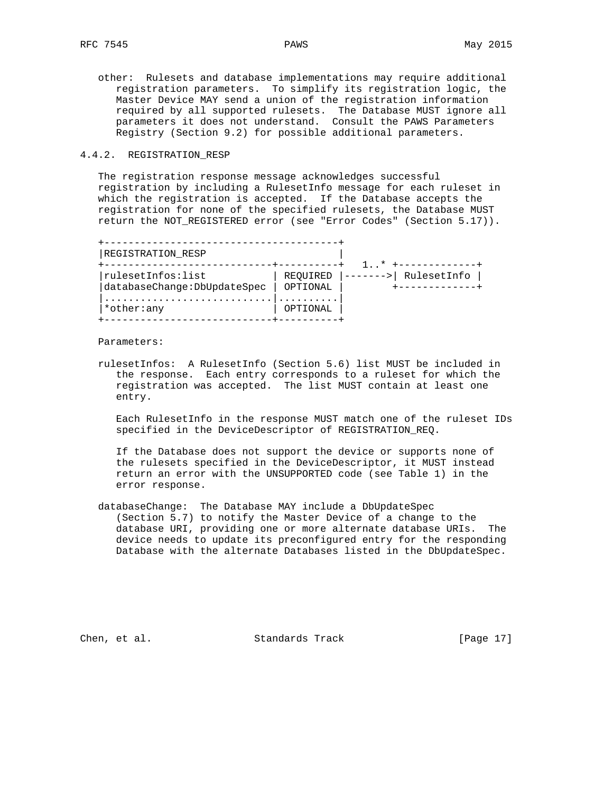other: Rulesets and database implementations may require additional registration parameters. To simplify its registration logic, the Master Device MAY send a union of the registration information required by all supported rulesets. The Database MUST ignore all parameters it does not understand. Consult the PAWS Parameters Registry (Section 9.2) for possible additional parameters.

# 4.4.2. REGISTRATION\_RESP

 The registration response message acknowledges successful registration by including a RulesetInfo message for each ruleset in which the registration is accepted. If the Database accepts the registration for none of the specified rulesets, the Database MUST return the NOT\_REGISTERED error (see "Error Codes" (Section 5.17)).

| REGISTRATION RESP                                 |                      | $\overline{1}$ $\overline{1}$ |             |
|---------------------------------------------------|----------------------|-------------------------------|-------------|
| rulesetInfos:list<br>databaseChange: DbUpdateSpec | REOUIRED<br>OPTIONAL |                               | RulesetInfo |
| *other:any                                        | OPTIONAL             |                               |             |

Parameters:

 rulesetInfos: A RulesetInfo (Section 5.6) list MUST be included in the response. Each entry corresponds to a ruleset for which the registration was accepted. The list MUST contain at least one entry.

 Each RulesetInfo in the response MUST match one of the ruleset IDs specified in the DeviceDescriptor of REGISTRATION\_REQ.

 If the Database does not support the device or supports none of the rulesets specified in the DeviceDescriptor, it MUST instead return an error with the UNSUPPORTED code (see Table 1) in the error response.

 databaseChange: The Database MAY include a DbUpdateSpec (Section 5.7) to notify the Master Device of a change to the database URI, providing one or more alternate database URIs. The device needs to update its preconfigured entry for the responding Database with the alternate Databases listed in the DbUpdateSpec.

Chen, et al. Standards Track [Page 17]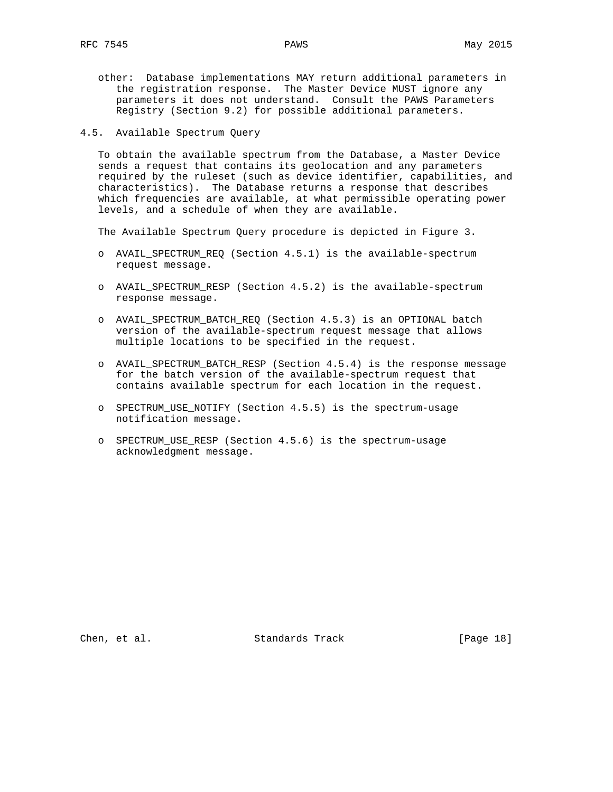- other: Database implementations MAY return additional parameters in the registration response. The Master Device MUST ignore any parameters it does not understand. Consult the PAWS Parameters Registry (Section 9.2) for possible additional parameters.
- 4.5. Available Spectrum Query

 To obtain the available spectrum from the Database, a Master Device sends a request that contains its geolocation and any parameters required by the ruleset (such as device identifier, capabilities, and characteristics). The Database returns a response that describes which frequencies are available, at what permissible operating power levels, and a schedule of when they are available.

The Available Spectrum Query procedure is depicted in Figure 3.

- o AVAIL\_SPECTRUM\_REQ (Section 4.5.1) is the available-spectrum request message.
- o AVAIL\_SPECTRUM\_RESP (Section 4.5.2) is the available-spectrum response message.
- o AVAIL\_SPECTRUM\_BATCH\_REQ (Section 4.5.3) is an OPTIONAL batch version of the available-spectrum request message that allows multiple locations to be specified in the request.
- o AVAIL\_SPECTRUM\_BATCH\_RESP (Section 4.5.4) is the response message for the batch version of the available-spectrum request that contains available spectrum for each location in the request.
- o SPECTRUM\_USE\_NOTIFY (Section 4.5.5) is the spectrum-usage notification message.
- o SPECTRUM\_USE\_RESP (Section 4.5.6) is the spectrum-usage acknowledgment message.

Chen, et al. Standards Track [Page 18]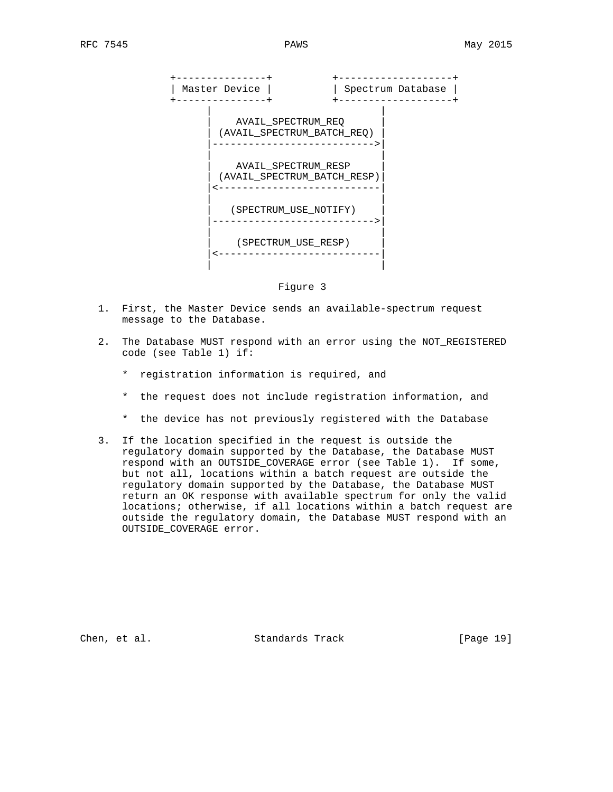

Figure 3

- 1. First, the Master Device sends an available-spectrum request message to the Database.
- 2. The Database MUST respond with an error using the NOT\_REGISTERED code (see Table 1) if:
	- \* registration information is required, and
	- \* the request does not include registration information, and
	- \* the device has not previously registered with the Database
- 3. If the location specified in the request is outside the regulatory domain supported by the Database, the Database MUST respond with an OUTSIDE\_COVERAGE error (see Table 1). If some, but not all, locations within a batch request are outside the regulatory domain supported by the Database, the Database MUST return an OK response with available spectrum for only the valid locations; otherwise, if all locations within a batch request are outside the regulatory domain, the Database MUST respond with an OUTSIDE\_COVERAGE error.

Chen, et al. Standards Track [Page 19]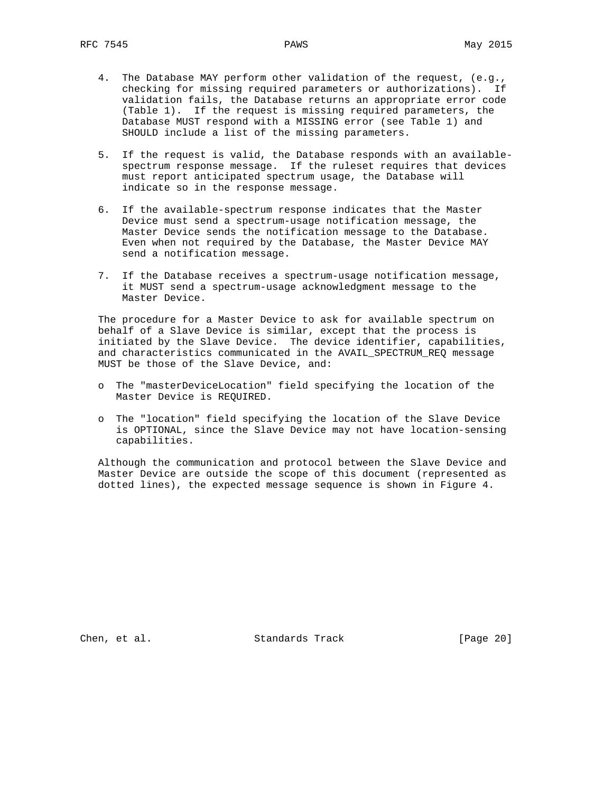- 4. The Database MAY perform other validation of the request, (e.g., checking for missing required parameters or authorizations). If validation fails, the Database returns an appropriate error code (Table 1). If the request is missing required parameters, the Database MUST respond with a MISSING error (see Table 1) and SHOULD include a list of the missing parameters.
- 5. If the request is valid, the Database responds with an available spectrum response message. If the ruleset requires that devices must report anticipated spectrum usage, the Database will indicate so in the response message.
- 6. If the available-spectrum response indicates that the Master Device must send a spectrum-usage notification message, the Master Device sends the notification message to the Database. Even when not required by the Database, the Master Device MAY send a notification message.
- 7. If the Database receives a spectrum-usage notification message, it MUST send a spectrum-usage acknowledgment message to the Master Device.

 The procedure for a Master Device to ask for available spectrum on behalf of a Slave Device is similar, except that the process is initiated by the Slave Device. The device identifier, capabilities, and characteristics communicated in the AVAIL\_SPECTRUM\_REQ message MUST be those of the Slave Device, and:

- o The "masterDeviceLocation" field specifying the location of the Master Device is REQUIRED.
- o The "location" field specifying the location of the Slave Device is OPTIONAL, since the Slave Device may not have location-sensing capabilities.

 Although the communication and protocol between the Slave Device and Master Device are outside the scope of this document (represented as dotted lines), the expected message sequence is shown in Figure 4.

Chen, et al. Standards Track [Page 20]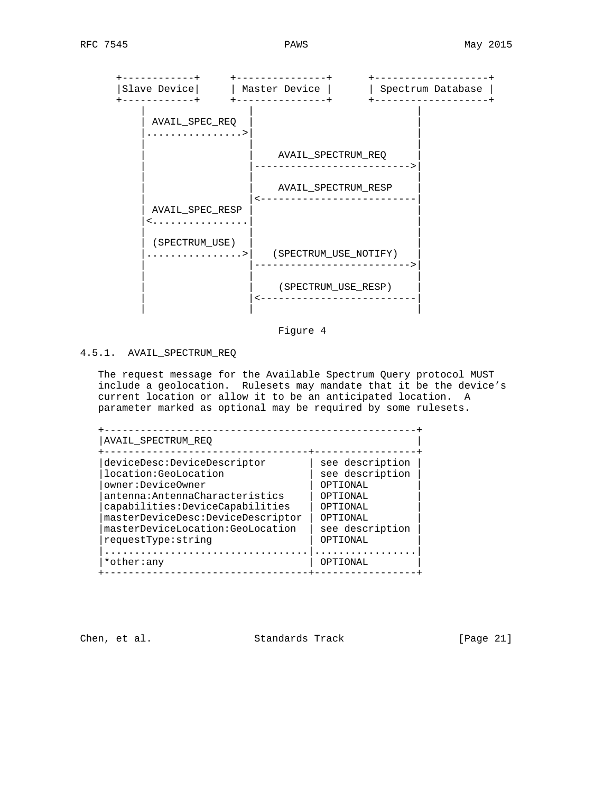

Figure 4

# 4.5.1. AVAIL\_SPECTRUM\_REQ

 The request message for the Available Spectrum Query protocol MUST include a geolocation. Rulesets may mandate that it be the device's current location or allow it to be an anticipated location. A parameter marked as optional may be required by some rulesets.

| deviceDesc:DeviceDescriptor       | see description |
|-----------------------------------|-----------------|
| location: GeoLocation             | see description |
| owner:DeviceOwner                 | OPTIONAL        |
| antenna: AntennaCharacteristics   | OPTIONAL        |
| capabilities:DeviceCapabilities   | OPTIONAL        |
| masterDeviceDesc:DeviceDescriptor | OPTIONAL        |
| masterDeviceLocation:GeoLocation  | see description |
| requestType:string                | OPTIONAL        |
|                                   |                 |
| *other:any                        | ΟΡΤΤΟΝΑΙ,       |

Chen, et al. Standards Track [Page 21]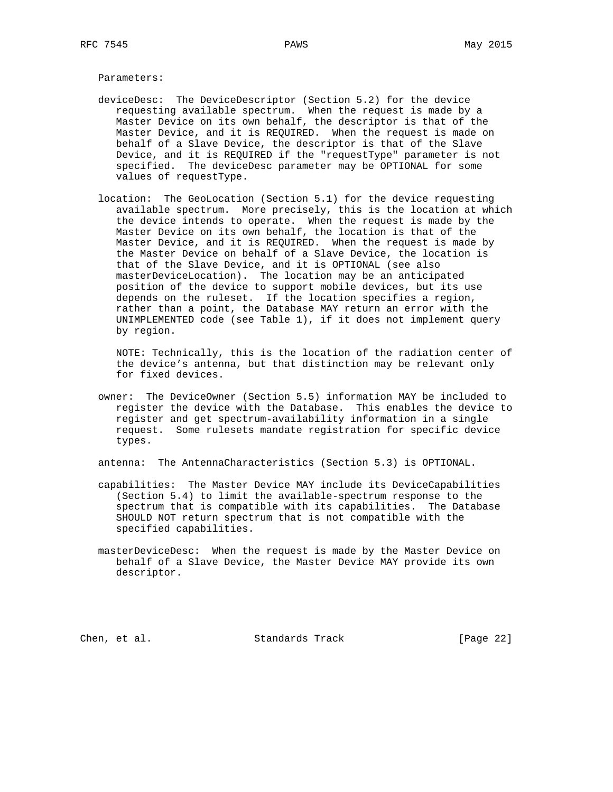Parameters:

- deviceDesc: The DeviceDescriptor (Section 5.2) for the device requesting available spectrum. When the request is made by a Master Device on its own behalf, the descriptor is that of the Master Device, and it is REQUIRED. When the request is made on behalf of a Slave Device, the descriptor is that of the Slave Device, and it is REQUIRED if the "requestType" parameter is not specified. The deviceDesc parameter may be OPTIONAL for some values of requestType.
	- location: The GeoLocation (Section 5.1) for the device requesting available spectrum. More precisely, this is the location at which the device intends to operate. When the request is made by the Master Device on its own behalf, the location is that of the Master Device, and it is REQUIRED. When the request is made by the Master Device on behalf of a Slave Device, the location is that of the Slave Device, and it is OPTIONAL (see also masterDeviceLocation). The location may be an anticipated position of the device to support mobile devices, but its use depends on the ruleset. If the location specifies a region, rather than a point, the Database MAY return an error with the UNIMPLEMENTED code (see Table 1), if it does not implement query by region.

 NOTE: Technically, this is the location of the radiation center of the device's antenna, but that distinction may be relevant only for fixed devices.

 owner: The DeviceOwner (Section 5.5) information MAY be included to register the device with the Database. This enables the device to register and get spectrum-availability information in a single request. Some rulesets mandate registration for specific device types.

antenna: The AntennaCharacteristics (Section 5.3) is OPTIONAL.

- capabilities: The Master Device MAY include its DeviceCapabilities (Section 5.4) to limit the available-spectrum response to the spectrum that is compatible with its capabilities. The Database SHOULD NOT return spectrum that is not compatible with the specified capabilities.
- masterDeviceDesc: When the request is made by the Master Device on behalf of a Slave Device, the Master Device MAY provide its own descriptor.

Chen, et al. Standards Track [Page 22]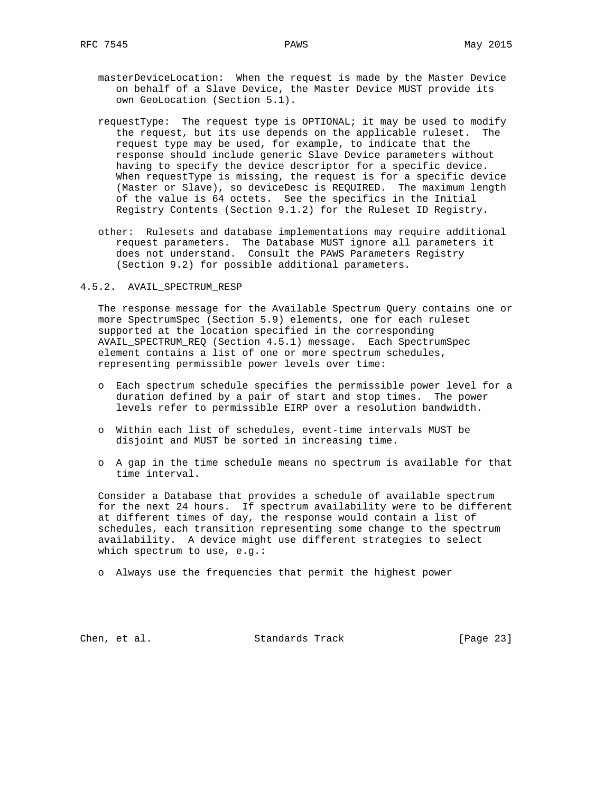- masterDeviceLocation: When the request is made by the Master Device on behalf of a Slave Device, the Master Device MUST provide its own GeoLocation (Section 5.1).
- requestType: The request type is OPTIONAL; it may be used to modify the request, but its use depends on the applicable ruleset. The request type may be used, for example, to indicate that the response should include generic Slave Device parameters without having to specify the device descriptor for a specific device. When requestType is missing, the request is for a specific device (Master or Slave), so deviceDesc is REQUIRED. The maximum length of the value is 64 octets. See the specifics in the Initial Registry Contents (Section 9.1.2) for the Ruleset ID Registry.
- other: Rulesets and database implementations may require additional request parameters. The Database MUST ignore all parameters it does not understand. Consult the PAWS Parameters Registry (Section 9.2) for possible additional parameters.

#### 4.5.2. AVAIL\_SPECTRUM\_RESP

 The response message for the Available Spectrum Query contains one or more SpectrumSpec (Section 5.9) elements, one for each ruleset supported at the location specified in the corresponding AVAIL\_SPECTRUM\_REQ (Section 4.5.1) message. Each SpectrumSpec element contains a list of one or more spectrum schedules, representing permissible power levels over time:

- o Each spectrum schedule specifies the permissible power level for a duration defined by a pair of start and stop times. The power levels refer to permissible EIRP over a resolution bandwidth.
- o Within each list of schedules, event-time intervals MUST be disjoint and MUST be sorted in increasing time.
- o A gap in the time schedule means no spectrum is available for that time interval.

 Consider a Database that provides a schedule of available spectrum for the next 24 hours. If spectrum availability were to be different at different times of day, the response would contain a list of schedules, each transition representing some change to the spectrum availability. A device might use different strategies to select which spectrum to use, e.g.:

o Always use the frequencies that permit the highest power

Chen, et al. Standards Track [Page 23]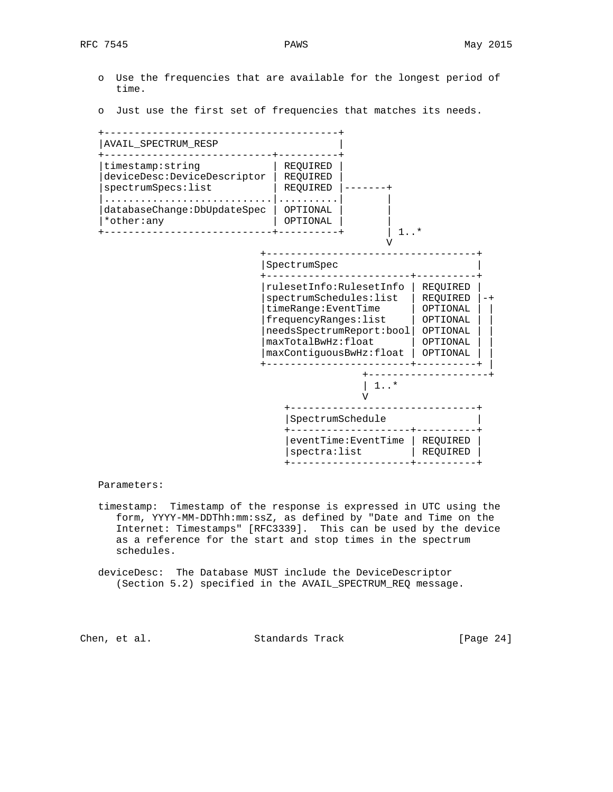- o Use the frequencies that are available for the longest period of time.
- o Just use the first set of frequencies that matches its needs.



Parameters:

- timestamp: Timestamp of the response is expressed in UTC using the form, YYYY-MM-DDThh:mm:ssZ, as defined by "Date and Time on the Internet: Timestamps" [RFC3339]. This can be used by the device as a reference for the start and stop times in the spectrum schedules.
- deviceDesc: The Database MUST include the DeviceDescriptor (Section 5.2) specified in the AVAIL\_SPECTRUM\_REQ message.

Chen, et al. Standards Track [Page 24]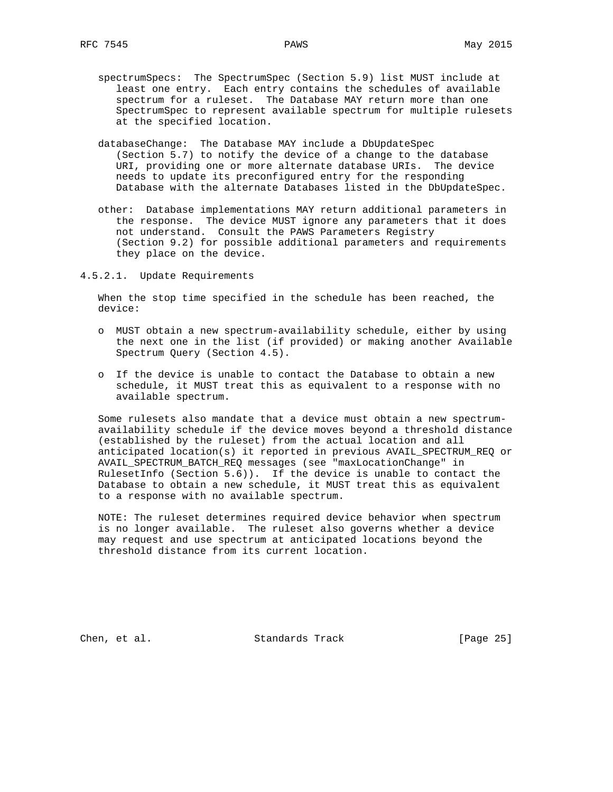- spectrumSpecs: The SpectrumSpec (Section 5.9) list MUST include at least one entry. Each entry contains the schedules of available spectrum for a ruleset. The Database MAY return more than one SpectrumSpec to represent available spectrum for multiple rulesets at the specified location.
- databaseChange: The Database MAY include a DbUpdateSpec (Section 5.7) to notify the device of a change to the database URI, providing one or more alternate database URIs. The device needs to update its preconfigured entry for the responding Database with the alternate Databases listed in the DbUpdateSpec.
- other: Database implementations MAY return additional parameters in the response. The device MUST ignore any parameters that it does not understand. Consult the PAWS Parameters Registry (Section 9.2) for possible additional parameters and requirements they place on the device.
- 4.5.2.1. Update Requirements

 When the stop time specified in the schedule has been reached, the device:

- o MUST obtain a new spectrum-availability schedule, either by using the next one in the list (if provided) or making another Available Spectrum Query (Section 4.5).
- o If the device is unable to contact the Database to obtain a new schedule, it MUST treat this as equivalent to a response with no available spectrum.

 Some rulesets also mandate that a device must obtain a new spectrum availability schedule if the device moves beyond a threshold distance (established by the ruleset) from the actual location and all anticipated location(s) it reported in previous AVAIL\_SPECTRUM\_REQ or AVAIL\_SPECTRUM\_BATCH\_REQ messages (see "maxLocationChange" in RulesetInfo (Section 5.6)). If the device is unable to contact the Database to obtain a new schedule, it MUST treat this as equivalent to a response with no available spectrum.

 NOTE: The ruleset determines required device behavior when spectrum is no longer available. The ruleset also governs whether a device may request and use spectrum at anticipated locations beyond the threshold distance from its current location.

Chen, et al. Standards Track [Page 25]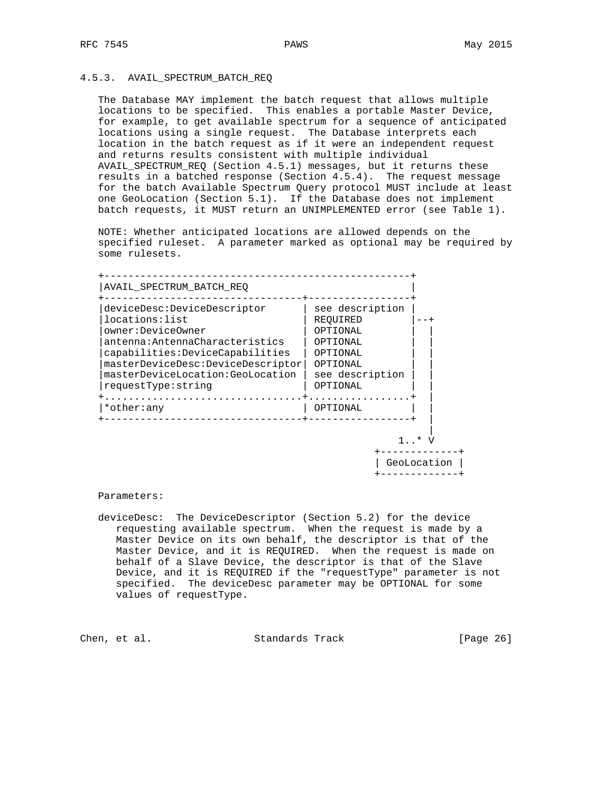## 4.5.3. AVAIL\_SPECTRUM\_BATCH\_REQ

 The Database MAY implement the batch request that allows multiple locations to be specified. This enables a portable Master Device, for example, to get available spectrum for a sequence of anticipated locations using a single request. The Database interprets each location in the batch request as if it were an independent request and returns results consistent with multiple individual AVAIL\_SPECTRUM\_REQ (Section 4.5.1) messages, but it returns these results in a batched response (Section 4.5.4). The request message for the batch Available Spectrum Query protocol MUST include at least one GeoLocation (Section 5.1). If the Database does not implement batch requests, it MUST return an UNIMPLEMENTED error (see Table 1).

 NOTE: Whether anticipated locations are allowed depends on the specified ruleset. A parameter marked as optional may be required by some rulesets.

| deviceDesc:DeviceDescriptor<br>locations: list<br>owner:DeviceOwner<br>antenna:AntennaCharacteristics<br>capabilities:DeviceCapabilities<br>masterDeviceDesc:DeviceDescriptor<br>masterDeviceLocation:GeoLocation<br>requestType: string | see description<br>REOUIRED<br>OPTIONAL<br>OPTIONAL<br>OPTIONAL<br>OPTIONAL<br>see description<br>OPTIONAL |  |
|------------------------------------------------------------------------------------------------------------------------------------------------------------------------------------------------------------------------------------------|------------------------------------------------------------------------------------------------------------|--|
| *other:any                                                                                                                                                                                                                               | .<br>OPTIONAL                                                                                              |  |

Parameters:

 deviceDesc: The DeviceDescriptor (Section 5.2) for the device requesting available spectrum. When the request is made by a Master Device on its own behalf, the descriptor is that of the Master Device, and it is REQUIRED. When the request is made on behalf of a Slave Device, the descriptor is that of the Slave Device, and it is REQUIRED if the "requestType" parameter is not specified. The deviceDesc parameter may be OPTIONAL for some values of requestType.

Chen, et al. Standards Track [Page 26]

 | GeoLocation | +-------------+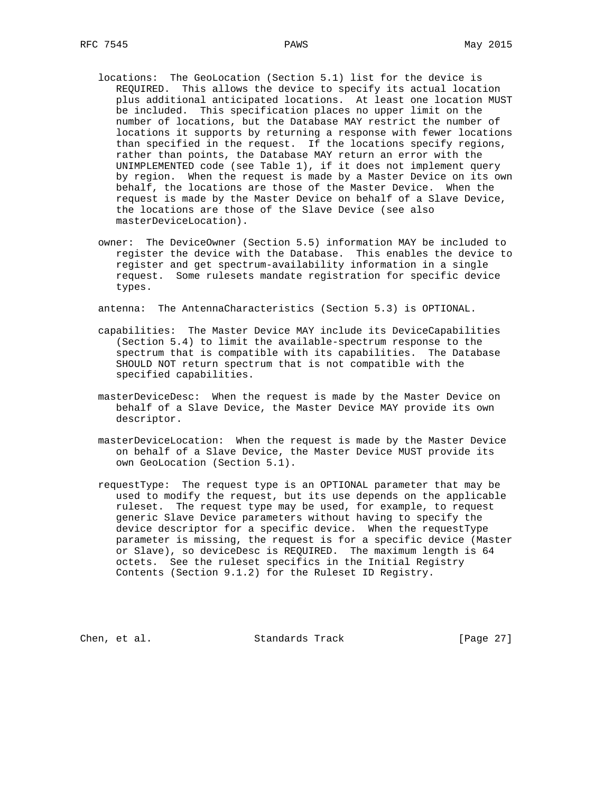- locations: The GeoLocation (Section 5.1) list for the device is REQUIRED. This allows the device to specify its actual location plus additional anticipated locations. At least one location MUST be included. This specification places no upper limit on the number of locations, but the Database MAY restrict the number of locations it supports by returning a response with fewer locations than specified in the request. If the locations specify regions, rather than points, the Database MAY return an error with the UNIMPLEMENTED code (see Table 1), if it does not implement query by region. When the request is made by a Master Device on its own behalf, the locations are those of the Master Device. When the request is made by the Master Device on behalf of a Slave Device, the locations are those of the Slave Device (see also masterDeviceLocation).
- owner: The DeviceOwner (Section 5.5) information MAY be included to register the device with the Database. This enables the device to register and get spectrum-availability information in a single request. Some rulesets mandate registration for specific device types.

antenna: The AntennaCharacteristics (Section 5.3) is OPTIONAL.

- capabilities: The Master Device MAY include its DeviceCapabilities (Section 5.4) to limit the available-spectrum response to the spectrum that is compatible with its capabilities. The Database SHOULD NOT return spectrum that is not compatible with the specified capabilities.
- masterDeviceDesc: When the request is made by the Master Device on behalf of a Slave Device, the Master Device MAY provide its own descriptor.
- masterDeviceLocation: When the request is made by the Master Device on behalf of a Slave Device, the Master Device MUST provide its own GeoLocation (Section 5.1).
- requestType: The request type is an OPTIONAL parameter that may be used to modify the request, but its use depends on the applicable ruleset. The request type may be used, for example, to request generic Slave Device parameters without having to specify the device descriptor for a specific device. When the requestType parameter is missing, the request is for a specific device (Master or Slave), so deviceDesc is REQUIRED. The maximum length is 64 octets. See the ruleset specifics in the Initial Registry Contents (Section 9.1.2) for the Ruleset ID Registry.

Chen, et al. Standards Track [Page 27]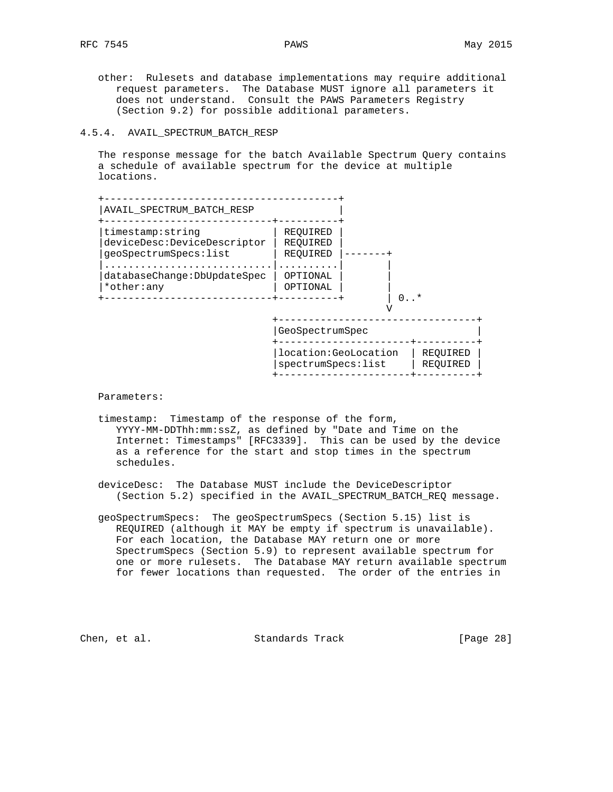other: Rulesets and database implementations may require additional request parameters. The Database MUST ignore all parameters it does not understand. Consult the PAWS Parameters Registry (Section 9.2) for possible additional parameters.

## 4.5.4. AVAIL\_SPECTRUM\_BATCH\_RESP

 The response message for the batch Available Spectrum Query contains a schedule of available spectrum for the device at multiple locations.



+----------------------+----------+

Parameters:

- timestamp: Timestamp of the response of the form, YYYY-MM-DDThh:mm:ssZ, as defined by "Date and Time on the Internet: Timestamps" [RFC3339]. This can be used by the device as a reference for the start and stop times in the spectrum schedules.
- deviceDesc: The Database MUST include the DeviceDescriptor (Section 5.2) specified in the AVAIL\_SPECTRUM\_BATCH\_REQ message.
- geoSpectrumSpecs: The geoSpectrumSpecs (Section 5.15) list is REQUIRED (although it MAY be empty if spectrum is unavailable). For each location, the Database MAY return one or more SpectrumSpecs (Section 5.9) to represent available spectrum for one or more rulesets. The Database MAY return available spectrum for fewer locations than requested. The order of the entries in

Chen, et al. Standards Track [Page 28]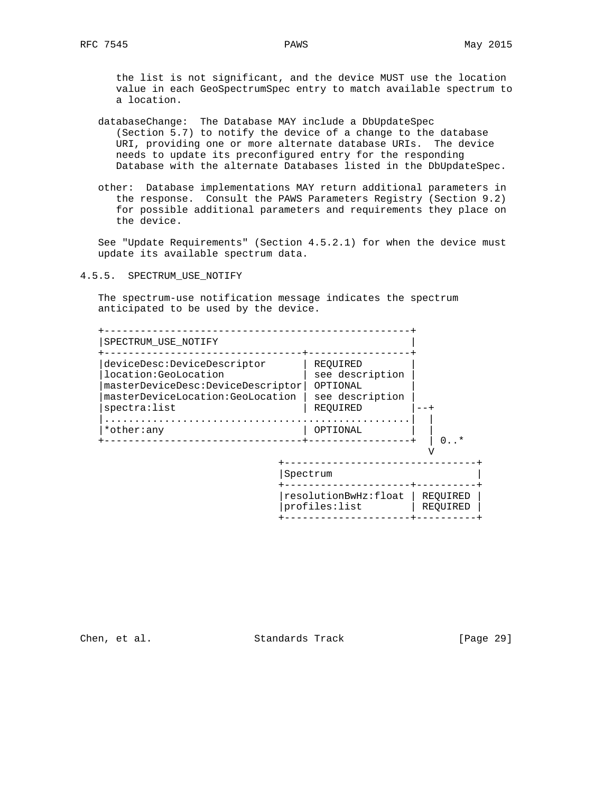the list is not significant, and the device MUST use the location value in each GeoSpectrumSpec entry to match available spectrum to a location.

- databaseChange: The Database MAY include a DbUpdateSpec (Section 5.7) to notify the device of a change to the database URI, providing one or more alternate database URIs. The device needs to update its preconfigured entry for the responding Database with the alternate Databases listed in the DbUpdateSpec.
- other: Database implementations MAY return additional parameters in the response. Consult the PAWS Parameters Registry (Section 9.2) for possible additional parameters and requirements they place on the device.

 See "Update Requirements" (Section 4.5.2.1) for when the device must update its available spectrum data.

4.5.5. SPECTRUM\_USE\_NOTIFY

 The spectrum-use notification message indicates the spectrum anticipated to be used by the device.



Chen, et al. Standards Track [Page 29]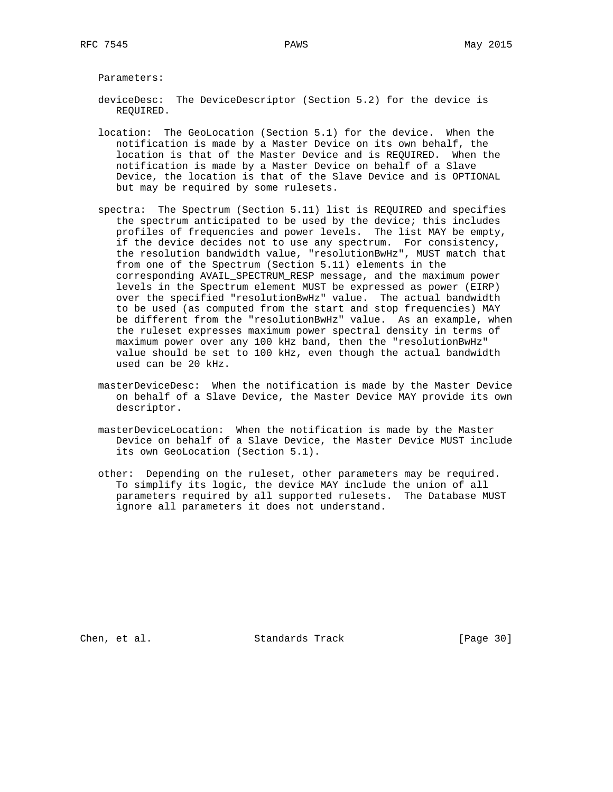Parameters:

- deviceDesc: The DeviceDescriptor (Section 5.2) for the device is REQUIRED.
- location: The GeoLocation (Section 5.1) for the device. When the notification is made by a Master Device on its own behalf, the location is that of the Master Device and is REQUIRED. When the notification is made by a Master Device on behalf of a Slave Device, the location is that of the Slave Device and is OPTIONAL but may be required by some rulesets.
- spectra: The Spectrum (Section 5.11) list is REQUIRED and specifies the spectrum anticipated to be used by the device; this includes profiles of frequencies and power levels. The list MAY be empty, if the device decides not to use any spectrum. For consistency, the resolution bandwidth value, "resolutionBwHz", MUST match that from one of the Spectrum (Section 5.11) elements in the corresponding AVAIL\_SPECTRUM\_RESP message, and the maximum power levels in the Spectrum element MUST be expressed as power (EIRP) over the specified "resolutionBwHz" value. The actual bandwidth to be used (as computed from the start and stop frequencies) MAY be different from the "resolutionBwHz" value. As an example, when the ruleset expresses maximum power spectral density in terms of maximum power over any 100 kHz band, then the "resolutionBwHz" value should be set to 100 kHz, even though the actual bandwidth used can be 20 kHz.
- masterDeviceDesc: When the notification is made by the Master Device on behalf of a Slave Device, the Master Device MAY provide its own descriptor.
- masterDeviceLocation: When the notification is made by the Master Device on behalf of a Slave Device, the Master Device MUST include its own GeoLocation (Section 5.1).
- other: Depending on the ruleset, other parameters may be required. To simplify its logic, the device MAY include the union of all parameters required by all supported rulesets. The Database MUST ignore all parameters it does not understand.

Chen, et al. Standards Track [Page 30]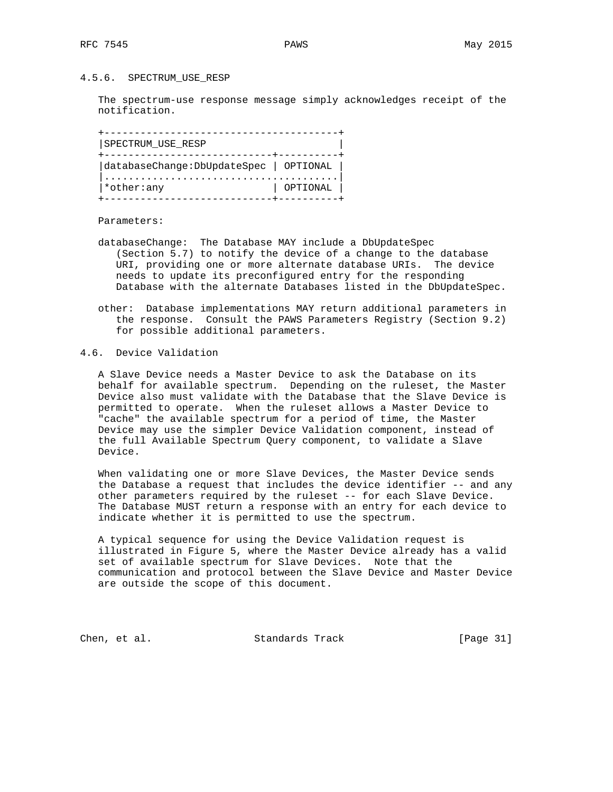#### 4.5.6. SPECTRUM\_USE\_RESP

 The spectrum-use response message simply acknowledges receipt of the notification.

 +---------------------------------------+ |SPECTRUM\_USE\_RESP | +----------------------------+----------+ |databaseChange:DbUpdateSpec | OPTIONAL | |.......................................| |\*other:any | OPTIONAL | +----------------------------+----------+

Parameters:

- databaseChange: The Database MAY include a DbUpdateSpec (Section 5.7) to notify the device of a change to the database URI, providing one or more alternate database URIs. The device needs to update its preconfigured entry for the responding Database with the alternate Databases listed in the DbUpdateSpec.
- other: Database implementations MAY return additional parameters in the response. Consult the PAWS Parameters Registry (Section 9.2) for possible additional parameters.
- 4.6. Device Validation

 A Slave Device needs a Master Device to ask the Database on its behalf for available spectrum. Depending on the ruleset, the Master Device also must validate with the Database that the Slave Device is permitted to operate. When the ruleset allows a Master Device to "cache" the available spectrum for a period of time, the Master Device may use the simpler Device Validation component, instead of the full Available Spectrum Query component, to validate a Slave Device.

 When validating one or more Slave Devices, the Master Device sends the Database a request that includes the device identifier -- and any other parameters required by the ruleset -- for each Slave Device. The Database MUST return a response with an entry for each device to indicate whether it is permitted to use the spectrum.

 A typical sequence for using the Device Validation request is illustrated in Figure 5, where the Master Device already has a valid set of available spectrum for Slave Devices. Note that the communication and protocol between the Slave Device and Master Device are outside the scope of this document.

Chen, et al. Standards Track [Page 31]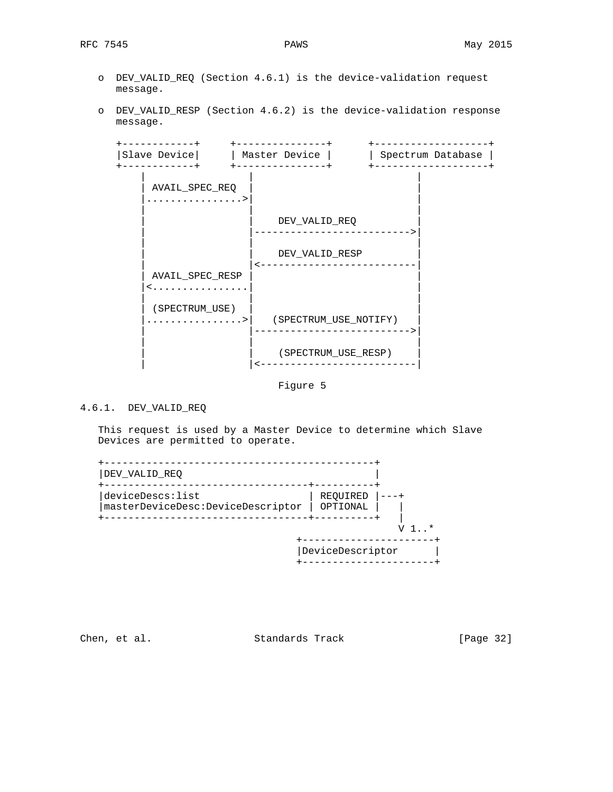- o DEV\_VALID\_REQ (Section 4.6.1) is the device-validation request message.
- o DEV\_VALID\_RESP (Section 4.6.2) is the device-validation response message.



Figure 5

# 4.6.1. DEV\_VALID\_REQ

 This request is used by a Master Device to determine which Slave Devices are permitted to operate.

| deviceDescs:list<br>masterDeviceDesc:DeviceDescriptor | REOUIRED<br>OPTIONAL |  |
|-------------------------------------------------------|----------------------|--|
|                                                       |                      |  |

Chen, et al. Standards Track [Page 32]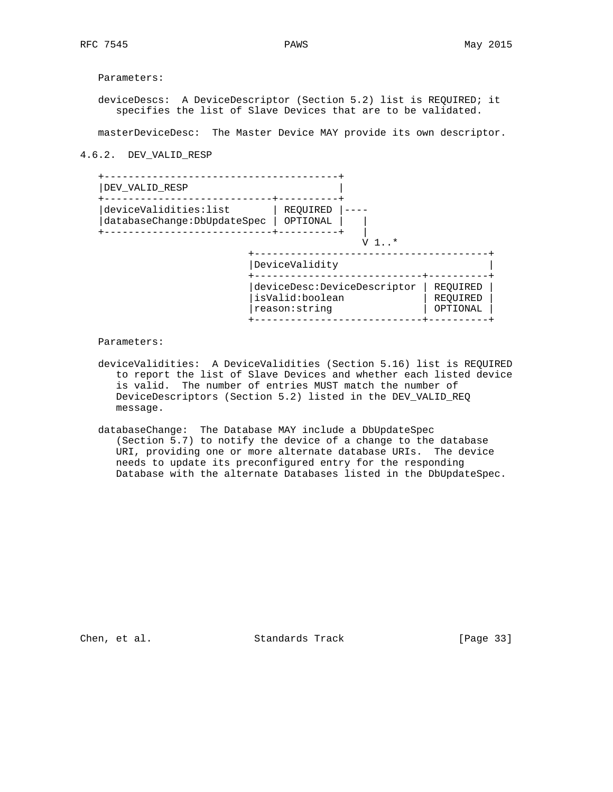Parameters:

 deviceDescs: A DeviceDescriptor (Section 5.2) list is REQUIRED; it specifies the list of Slave Devices that are to be validated.

masterDeviceDesc: The Master Device MAY provide its own descriptor.

## 4.6.2. DEV\_VALID\_RESP

| DEV VALID RESP                                        |                                               |                      |
|-------------------------------------------------------|-----------------------------------------------|----------------------|
| deviceValidities:list<br>databaseChange: DbUpdateSpec | REOUIRED<br>OPTIONAL                          |                      |
|                                                       | $1 *$                                         |                      |
|                                                       | DeviceValidity<br>deviceDesc:DeviceDescriptor | REOUIRED             |
|                                                       | isValid:boolean<br>reason: string             | REOUIRED<br>OPTIONAL |

Parameters:

- deviceValidities: A DeviceValidities (Section 5.16) list is REQUIRED to report the list of Slave Devices and whether each listed device is valid. The number of entries MUST match the number of DeviceDescriptors (Section 5.2) listed in the DEV\_VALID\_REQ message.
- databaseChange: The Database MAY include a DbUpdateSpec (Section 5.7) to notify the device of a change to the database URI, providing one or more alternate database URIs. The device needs to update its preconfigured entry for the responding Database with the alternate Databases listed in the DbUpdateSpec.

Chen, et al. Standards Track [Page 33]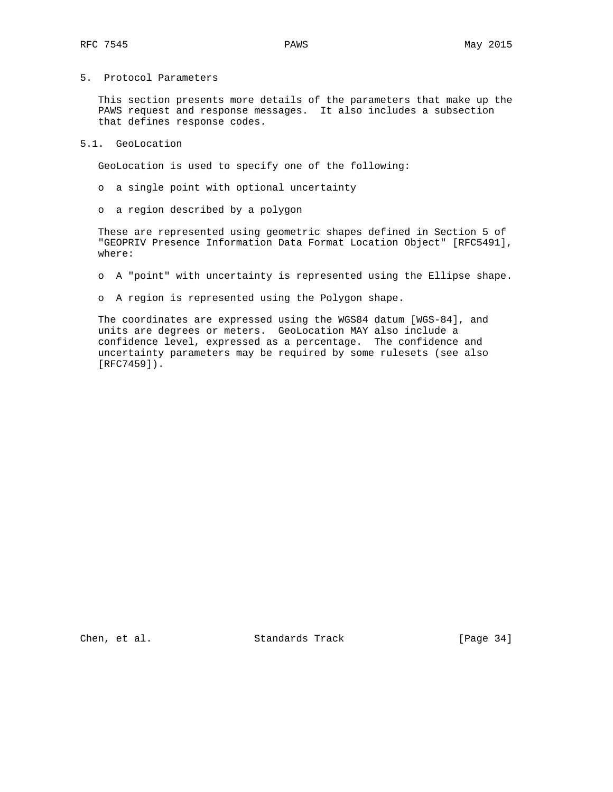# 5. Protocol Parameters

 This section presents more details of the parameters that make up the PAWS request and response messages. It also includes a subsection that defines response codes.

## 5.1. GeoLocation

GeoLocation is used to specify one of the following:

- o a single point with optional uncertainty
- o a region described by a polygon

 These are represented using geometric shapes defined in Section 5 of "GEOPRIV Presence Information Data Format Location Object" [RFC5491], where:

- o A "point" with uncertainty is represented using the Ellipse shape.
- o A region is represented using the Polygon shape.

 The coordinates are expressed using the WGS84 datum [WGS-84], and units are degrees or meters. GeoLocation MAY also include a confidence level, expressed as a percentage. The confidence and uncertainty parameters may be required by some rulesets (see also [RFC7459]).

Chen, et al. Standards Track [Page 34]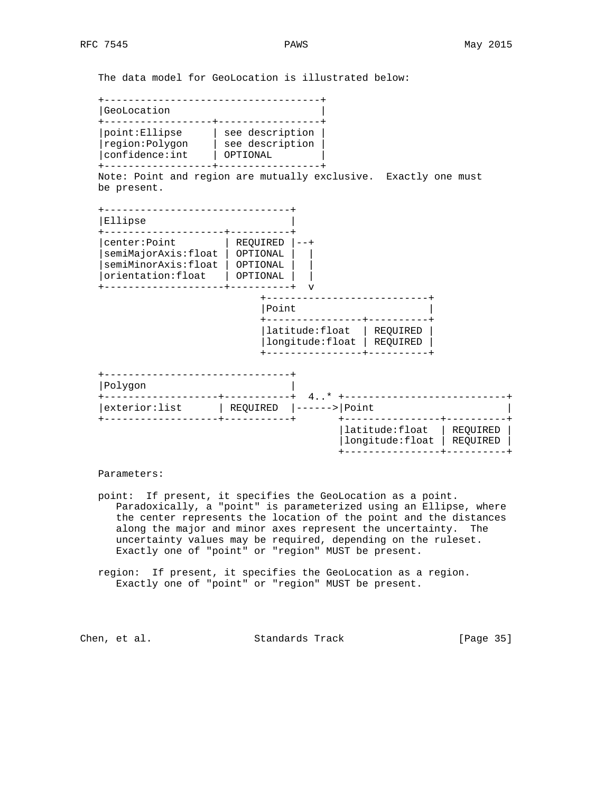The data model for GeoLocation is illustrated below:

 +------------------------------------+ |GeoLocation | +------------------+-----------------+ |point:Ellipse | see description | |region:Polygon | see description | |confidence:int | OPTIONAL | +------------------+-----------------+ Note: Point and region are mutually exclusive. Exactly one must be present. +-------------------------------+ |Ellipse | .<br>+---------------------+----------+ |center:Point | REQUIRED |--+ |semiMajorAxis:float | OPTIONAL | | |semiMinorAxis:float | OPTIONAL | | |orientation:float | OPTIONAL | | +--------------------+----------+ v +---------------------------+ |Point | +----------------+----------+ |latitude:float | REQUIRED | |longitude:float | REQUIRED | +----------------+----------+ +-------------------------------+ |Polygon | +-------------------+-----------+ 4..\* +---------------------------+ |exterior:list | REQUIRED |------>|Point +-------------------+-----------+ +----------------+----------+ |latitude:float | REQUIRED | |longitude:float | REQUIRED | +----------------+----------+

## Parameters:

- point: If present, it specifies the GeoLocation as a point. Paradoxically, a "point" is parameterized using an Ellipse, where the center represents the location of the point and the distances along the major and minor axes represent the uncertainty. The uncertainty values may be required, depending on the ruleset. Exactly one of "point" or "region" MUST be present.
- region: If present, it specifies the GeoLocation as a region. Exactly one of "point" or "region" MUST be present.

Chen, et al. Standards Track [Page 35]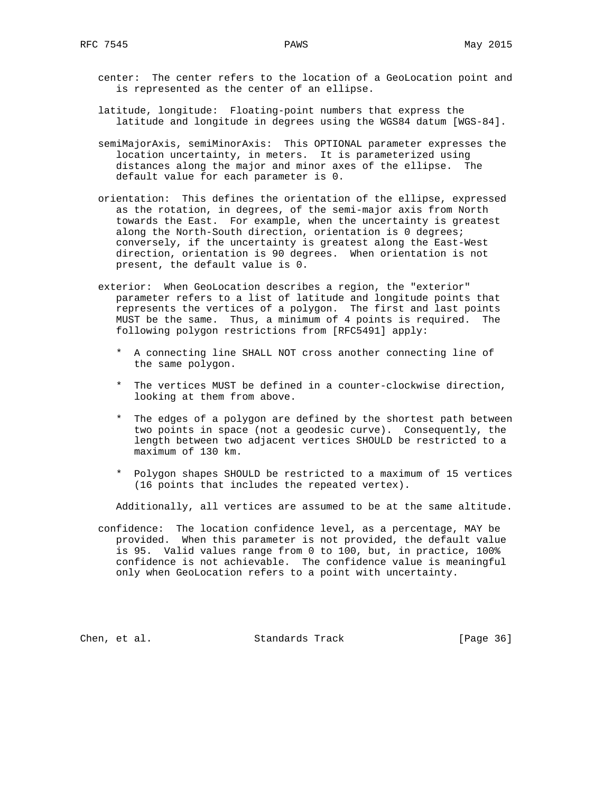- center: The center refers to the location of a GeoLocation point and is represented as the center of an ellipse.
- latitude, longitude: Floating-point numbers that express the latitude and longitude in degrees using the WGS84 datum [WGS-84].
- semiMajorAxis, semiMinorAxis: This OPTIONAL parameter expresses the location uncertainty, in meters. It is parameterized using distances along the major and minor axes of the ellipse. The default value for each parameter is 0.
- orientation: This defines the orientation of the ellipse, expressed as the rotation, in degrees, of the semi-major axis from North towards the East. For example, when the uncertainty is greatest along the North-South direction, orientation is 0 degrees; conversely, if the uncertainty is greatest along the East-West direction, orientation is 90 degrees. When orientation is not present, the default value is 0.
- exterior: When GeoLocation describes a region, the "exterior" parameter refers to a list of latitude and longitude points that represents the vertices of a polygon. The first and last points MUST be the same. Thus, a minimum of 4 points is required. The following polygon restrictions from [RFC5491] apply:
	- \* A connecting line SHALL NOT cross another connecting line of the same polygon.
	- \* The vertices MUST be defined in a counter-clockwise direction, looking at them from above.
	- \* The edges of a polygon are defined by the shortest path between two points in space (not a geodesic curve). Consequently, the length between two adjacent vertices SHOULD be restricted to a maximum of 130 km.
	- \* Polygon shapes SHOULD be restricted to a maximum of 15 vertices (16 points that includes the repeated vertex).

Additionally, all vertices are assumed to be at the same altitude.

 confidence: The location confidence level, as a percentage, MAY be provided. When this parameter is not provided, the default value is 95. Valid values range from 0 to 100, but, in practice, 100% confidence is not achievable. The confidence value is meaningful only when GeoLocation refers to a point with uncertainty.

Chen, et al. Standards Track [Page 36]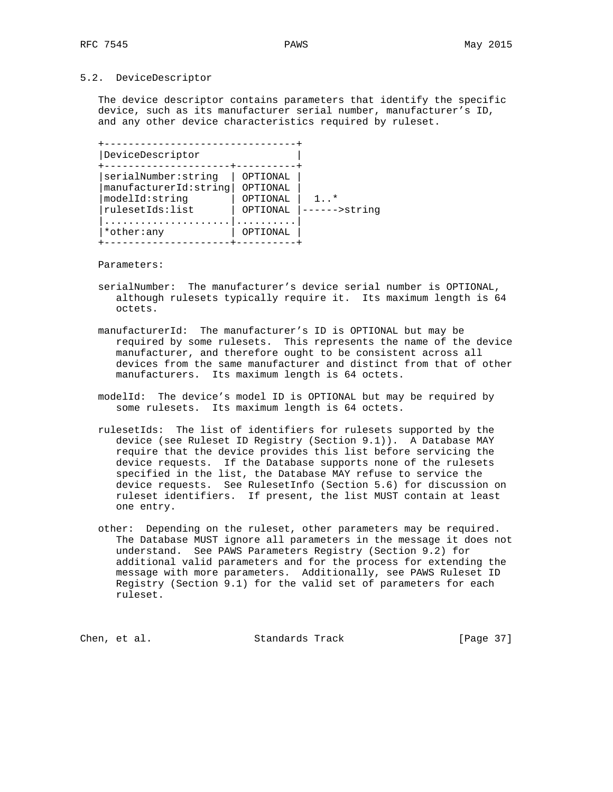## 5.2. DeviceDescriptor

 The device descriptor contains parameters that identify the specific device, such as its manufacturer serial number, manufacturer's ID, and any other device characteristics required by ruleset.

| serialNumber:string    | OPTIONAL |                   |
|------------------------|----------|-------------------|
| manufacturerId: string | OPTIONAL |                   |
|                        |          |                   |
| modelId:string         | OPTIONAL | $\perp$ . $\star$ |
| rulesetIds:list        | OPTIONAL | ----->strinq      |

Parameters:

- serialNumber: The manufacturer's device serial number is OPTIONAL, although rulesets typically require it. Its maximum length is 64 octets.
- manufacturerId: The manufacturer's ID is OPTIONAL but may be required by some rulesets. This represents the name of the device manufacturer, and therefore ought to be consistent across all devices from the same manufacturer and distinct from that of other manufacturers. Its maximum length is 64 octets.
- modelId: The device's model ID is OPTIONAL but may be required by some rulesets. Its maximum length is 64 octets.
- rulesetIds: The list of identifiers for rulesets supported by the device (see Ruleset ID Registry (Section 9.1)). A Database MAY require that the device provides this list before servicing the device requests. If the Database supports none of the rulesets specified in the list, the Database MAY refuse to service the device requests. See RulesetInfo (Section 5.6) for discussion on ruleset identifiers. If present, the list MUST contain at least one entry.
- other: Depending on the ruleset, other parameters may be required. The Database MUST ignore all parameters in the message it does not understand. See PAWS Parameters Registry (Section 9.2) for additional valid parameters and for the process for extending the message with more parameters. Additionally, see PAWS Ruleset ID Registry (Section 9.1) for the valid set of parameters for each ruleset.

Chen, et al. Standards Track [Page 37]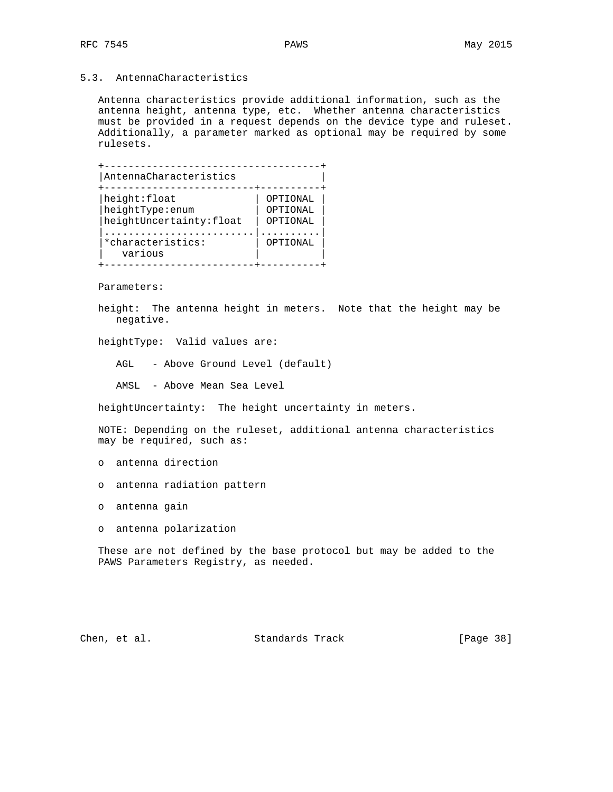# 5.3. AntennaCharacteristics

 Antenna characteristics provide additional information, such as the antenna height, antenna type, etc. Whether antenna characteristics must be provided in a request depends on the device type and ruleset. Additionally, a parameter marked as optional may be required by some rulesets.



Parameters:

 height: The antenna height in meters. Note that the height may be negative.

heightType: Valid values are:

AGL - Above Ground Level (default)

AMSL - Above Mean Sea Level

heightUncertainty: The height uncertainty in meters.

 NOTE: Depending on the ruleset, additional antenna characteristics may be required, such as:

o antenna direction

- o antenna radiation pattern
- o antenna gain
- o antenna polarization

 These are not defined by the base protocol but may be added to the PAWS Parameters Registry, as needed.

Chen, et al. Standards Track [Page 38]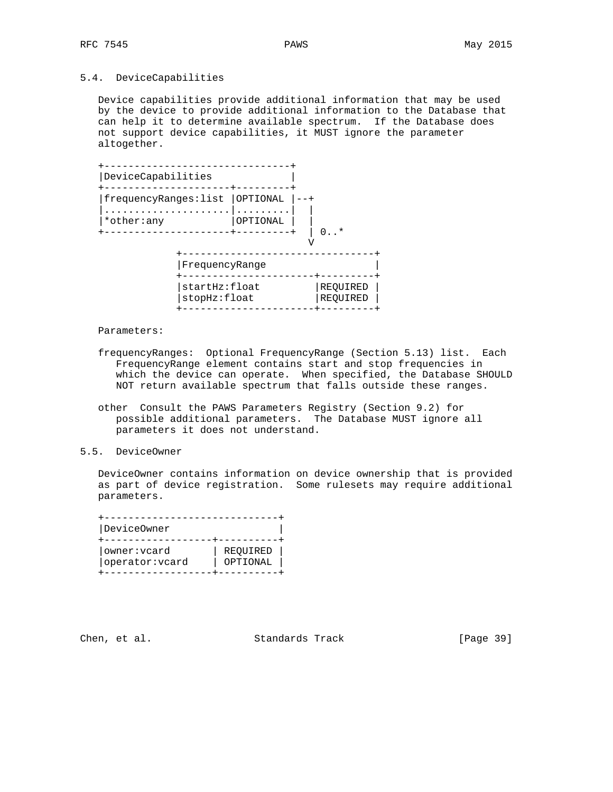# 5.4. DeviceCapabilities

 Device capabilities provide additional information that may be used by the device to provide additional information to the Database that can help it to determine available spectrum. If the Database does not support device capabilities, it MUST ignore the parameter altogether.

| DeviceCapabilities    |                                                 |          |                      |
|-----------------------|-------------------------------------------------|----------|----------------------|
| frequencyRanges: list |                                                 | OPTIONAL |                      |
| *other:any            |                                                 | OPTIONAL |                      |
|                       |                                                 |          | $\cdot$ $\cdot$      |
|                       | FrequencyRange<br>startHz:float<br>stopHz:float |          |                      |
|                       |                                                 |          | REOUIRED<br>REOUIRED |

Parameters:

- frequencyRanges: Optional FrequencyRange (Section 5.13) list. Each FrequencyRange element contains start and stop frequencies in which the device can operate. When specified, the Database SHOULD NOT return available spectrum that falls outside these ranges.
- other Consult the PAWS Parameters Registry (Section 9.2) for possible additional parameters. The Database MUST ignore all parameters it does not understand.
- 5.5. DeviceOwner

 DeviceOwner contains information on device ownership that is provided as part of device registration. Some rulesets may require additional parameters.

| DeviceOwner     |          |
|-----------------|----------|
| owner: vcard    | REQUIRED |
| operator: vcard | OPTIONAL |

Chen, et al. Standards Track [Page 39]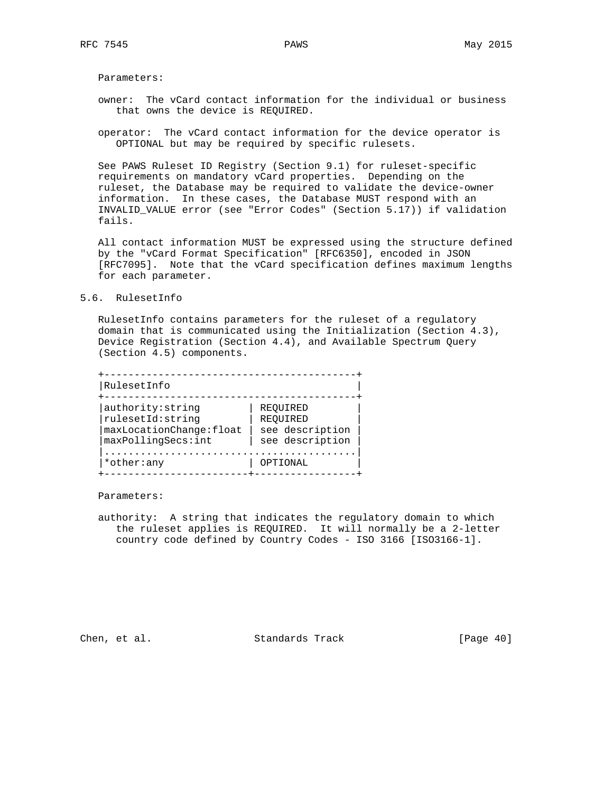Parameters:

- owner: The vCard contact information for the individual or business that owns the device is REQUIRED.
- operator: The vCard contact information for the device operator is OPTIONAL but may be required by specific rulesets.

 See PAWS Ruleset ID Registry (Section 9.1) for ruleset-specific requirements on mandatory vCard properties. Depending on the ruleset, the Database may be required to validate the device-owner information. In these cases, the Database MUST respond with an INVALID\_VALUE error (see "Error Codes" (Section 5.17)) if validation fails.

 All contact information MUST be expressed using the structure defined by the "vCard Format Specification" [RFC6350], encoded in JSON [RFC7095]. Note that the vCard specification defines maximum lengths for each parameter.

#### 5.6. RulesetInfo

 RulesetInfo contains parameters for the ruleset of a regulatory domain that is communicated using the Initialization (Section 4.3), Device Registration (Section 4.4), and Available Spectrum Query (Section 4.5) components.

| RulesetInfo              |                 |
|--------------------------|-----------------|
|                          |                 |
| authority: string        | REOUIRED        |
| rulesetId: string        | REOUIRED        |
| maxLocationChange: float | see description |
| maxPollingSecs:int       | see description |
|                          |                 |
| *other:any               | OPTIONAL        |

Parameters:

 authority: A string that indicates the regulatory domain to which the ruleset applies is REQUIRED. It will normally be a 2-letter country code defined by Country Codes - ISO 3166 [ISO3166-1].

Chen, et al. Standards Track [Page 40]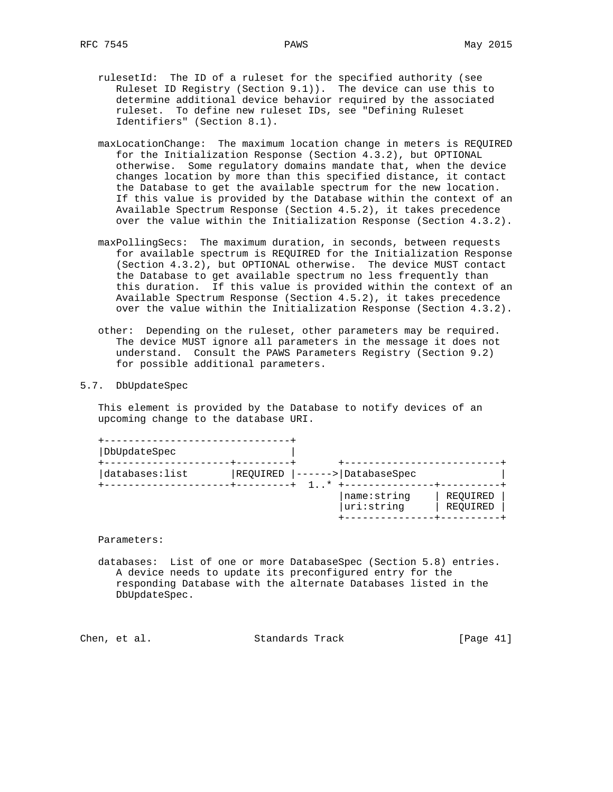- rulesetId: The ID of a ruleset for the specified authority (see Ruleset ID Registry (Section 9.1)). The device can use this to determine additional device behavior required by the associated ruleset. To define new ruleset IDs, see "Defining Ruleset Identifiers" (Section 8.1).
- maxLocationChange: The maximum location change in meters is REQUIRED for the Initialization Response (Section 4.3.2), but OPTIONAL otherwise. Some regulatory domains mandate that, when the device changes location by more than this specified distance, it contact the Database to get the available spectrum for the new location. If this value is provided by the Database within the context of an Available Spectrum Response (Section 4.5.2), it takes precedence over the value within the Initialization Response (Section 4.3.2).
- maxPollingSecs: The maximum duration, in seconds, between requests for available spectrum is REQUIRED for the Initialization Response (Section 4.3.2), but OPTIONAL otherwise. The device MUST contact the Database to get available spectrum no less frequently than this duration. If this value is provided within the context of an Available Spectrum Response (Section 4.5.2), it takes precedence over the value within the Initialization Response (Section 4.3.2).
- other: Depending on the ruleset, other parameters may be required. The device MUST ignore all parameters in the message it does not understand. Consult the PAWS Parameters Registry (Section 9.2) for possible additional parameters.
- 5.7. DbUpdateSpec

 This element is provided by the Database to notify devices of an upcoming change to the database URI.

| DbUpdateSpec    |                      |                           |                      |
|-----------------|----------------------|---------------------------|----------------------|
| databases: list | REQUIRED<br>-------- | > DatabaseSpec            |                      |
|                 |                      | name:string<br>uri:string | REOUIRED<br>REQUIRED |

Parameters:

 databases: List of one or more DatabaseSpec (Section 5.8) entries. A device needs to update its preconfigured entry for the responding Database with the alternate Databases listed in the DbUpdateSpec.

Chen, et al. Standards Track [Page 41]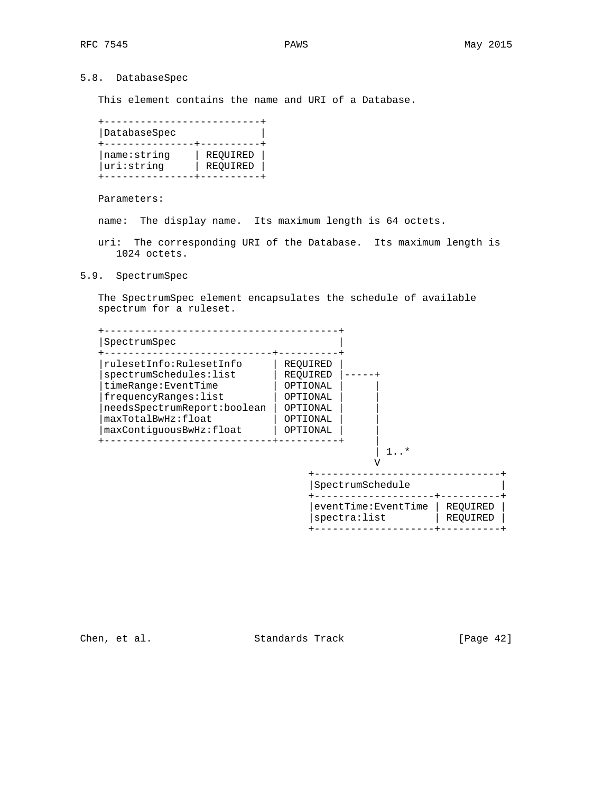# 5.8. DatabaseSpec

This element contains the name and URI of a Database.

| DatabaseSpec |          |
|--------------|----------|
| name:string  | REOUIRED |
| uri:string   | REOUIRED |

Parameters:

name: The display name. Its maximum length is 64 octets.

- uri: The corresponding URI of the Database. Its maximum length is 1024 octets.
- 5.9. SpectrumSpec

 The SpectrumSpec element encapsulates the schedule of available spectrum for a ruleset.

| SpectrumSpec                |          |                  |  |
|-----------------------------|----------|------------------|--|
| rulesetInfo:RulesetInfo     | REOUIRED |                  |  |
| spectrumSchedules: list     | REOUIRED |                  |  |
| timeRange: EventTime        | OPTIONAL |                  |  |
| frequencyRanges: list       | OPTIONAL |                  |  |
| needsSpectrumReport:boolean | OPTIONAL |                  |  |
| maxTotalBwHz:float          | OPTIONAL |                  |  |
| maxContiquousBwHz:float     | OPTIONAL |                  |  |
|                             |          |                  |  |
|                             |          | 1 *              |  |
|                             |          | SpectrumSchedule |  |

Chen, et al. Standards Track [Page 42]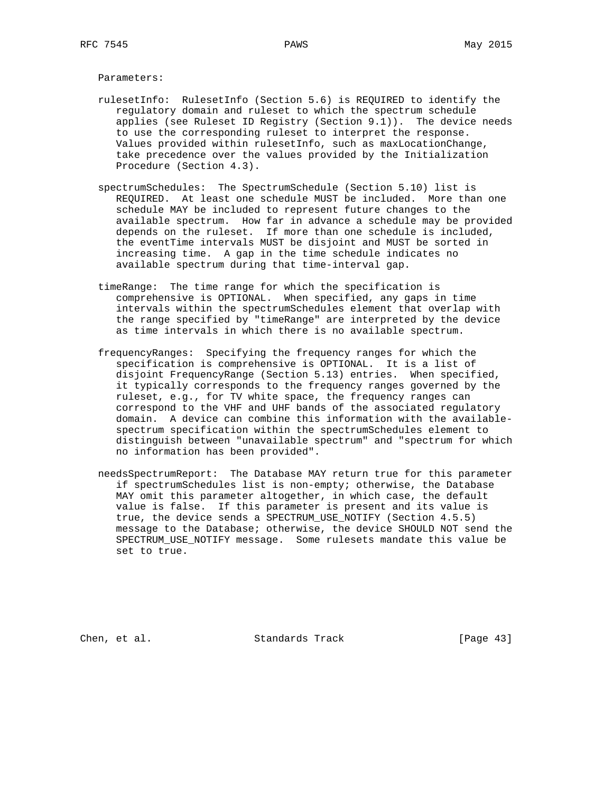Parameters:

- rulesetInfo: RulesetInfo (Section 5.6) is REQUIRED to identify the regulatory domain and ruleset to which the spectrum schedule applies (see Ruleset ID Registry (Section 9.1)). The device needs to use the corresponding ruleset to interpret the response. Values provided within rulesetInfo, such as maxLocationChange, take precedence over the values provided by the Initialization Procedure (Section 4.3).
- spectrumSchedules: The SpectrumSchedule (Section 5.10) list is REQUIRED. At least one schedule MUST be included. More than one schedule MAY be included to represent future changes to the available spectrum. How far in advance a schedule may be provided depends on the ruleset. If more than one schedule is included, the eventTime intervals MUST be disjoint and MUST be sorted in increasing time. A gap in the time schedule indicates no available spectrum during that time-interval gap.
- timeRange: The time range for which the specification is comprehensive is OPTIONAL. When specified, any gaps in time intervals within the spectrumSchedules element that overlap with the range specified by "timeRange" are interpreted by the device as time intervals in which there is no available spectrum.
- frequencyRanges: Specifying the frequency ranges for which the specification is comprehensive is OPTIONAL. It is a list of disjoint FrequencyRange (Section 5.13) entries. When specified, it typically corresponds to the frequency ranges governed by the ruleset, e.g., for TV white space, the frequency ranges can correspond to the VHF and UHF bands of the associated regulatory domain. A device can combine this information with the available spectrum specification within the spectrumSchedules element to distinguish between "unavailable spectrum" and "spectrum for which no information has been provided".
- needsSpectrumReport: The Database MAY return true for this parameter if spectrumSchedules list is non-empty; otherwise, the Database MAY omit this parameter altogether, in which case, the default value is false. If this parameter is present and its value is true, the device sends a SPECTRUM\_USE\_NOTIFY (Section 4.5.5) message to the Database; otherwise, the device SHOULD NOT send the SPECTRUM\_USE\_NOTIFY message. Some rulesets mandate this value be set to true.

Chen, et al. Standards Track [Page 43]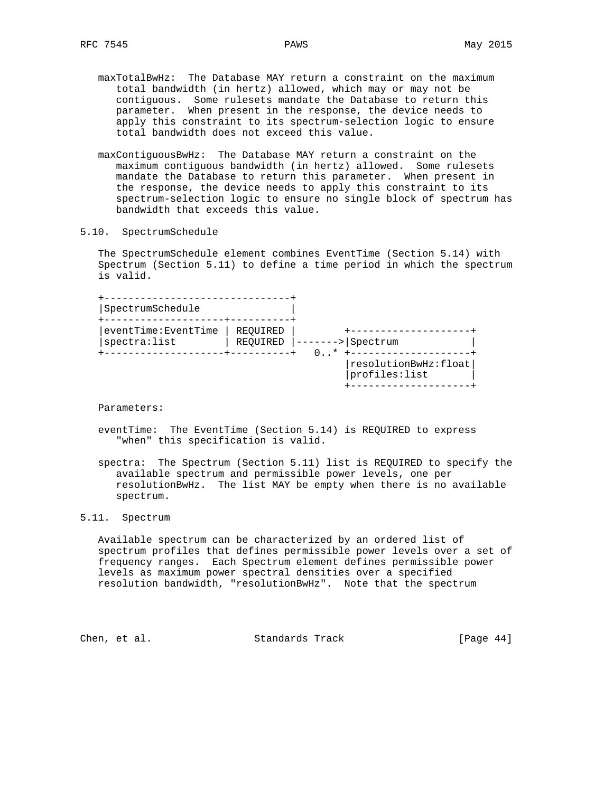- maxTotalBwHz: The Database MAY return a constraint on the maximum total bandwidth (in hertz) allowed, which may or may not be contiguous. Some rulesets mandate the Database to return this parameter. When present in the response, the device needs to apply this constraint to its spectrum-selection logic to ensure total bandwidth does not exceed this value.
- maxContiguousBwHz: The Database MAY return a constraint on the maximum contiguous bandwidth (in hertz) allowed. Some rulesets mandate the Database to return this parameter. When present in the response, the device needs to apply this constraint to its spectrum-selection logic to ensure no single block of spectrum has bandwidth that exceeds this value.

## 5.10. SpectrumSchedule

 The SpectrumSchedule element combines EventTime (Section 5.14) with Spectrum (Section 5.11) to define a time period in which the spectrum is valid.

| REOUIRED<br>spectra: list<br>REOUIRED<br>> Spectrum<br>$0.1*$ | SpectrumSchedule    |  |  |
|---------------------------------------------------------------|---------------------|--|--|
|                                                               | eventTime:EventTime |  |  |
|                                                               |                     |  |  |

Parameters:

- eventTime: The EventTime (Section 5.14) is REQUIRED to express "when" this specification is valid.
- spectra: The Spectrum (Section 5.11) list is REQUIRED to specify the available spectrum and permissible power levels, one per resolutionBwHz. The list MAY be empty when there is no available spectrum.

## 5.11. Spectrum

 Available spectrum can be characterized by an ordered list of spectrum profiles that defines permissible power levels over a set of frequency ranges. Each Spectrum element defines permissible power levels as maximum power spectral densities over a specified resolution bandwidth, "resolutionBwHz". Note that the spectrum

Chen, et al. Standards Track [Page 44]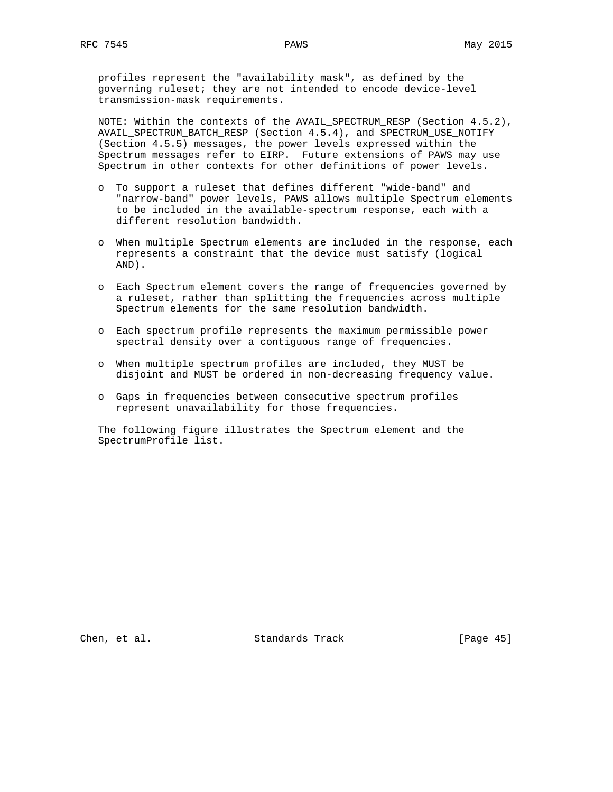profiles represent the "availability mask", as defined by the governing ruleset; they are not intended to encode device-level transmission-mask requirements.

 NOTE: Within the contexts of the AVAIL\_SPECTRUM\_RESP (Section 4.5.2), AVAIL\_SPECTRUM\_BATCH\_RESP (Section 4.5.4), and SPECTRUM\_USE\_NOTIFY (Section 4.5.5) messages, the power levels expressed within the Spectrum messages refer to EIRP. Future extensions of PAWS may use Spectrum in other contexts for other definitions of power levels.

- o To support a ruleset that defines different "wide-band" and "narrow-band" power levels, PAWS allows multiple Spectrum elements to be included in the available-spectrum response, each with a different resolution bandwidth.
- o When multiple Spectrum elements are included in the response, each represents a constraint that the device must satisfy (logical AND).
- o Each Spectrum element covers the range of frequencies governed by a ruleset, rather than splitting the frequencies across multiple Spectrum elements for the same resolution bandwidth.
- o Each spectrum profile represents the maximum permissible power spectral density over a contiguous range of frequencies.
- o When multiple spectrum profiles are included, they MUST be disjoint and MUST be ordered in non-decreasing frequency value.
- o Gaps in frequencies between consecutive spectrum profiles represent unavailability for those frequencies.

 The following figure illustrates the Spectrum element and the SpectrumProfile list.

Chen, et al. Standards Track [Page 45]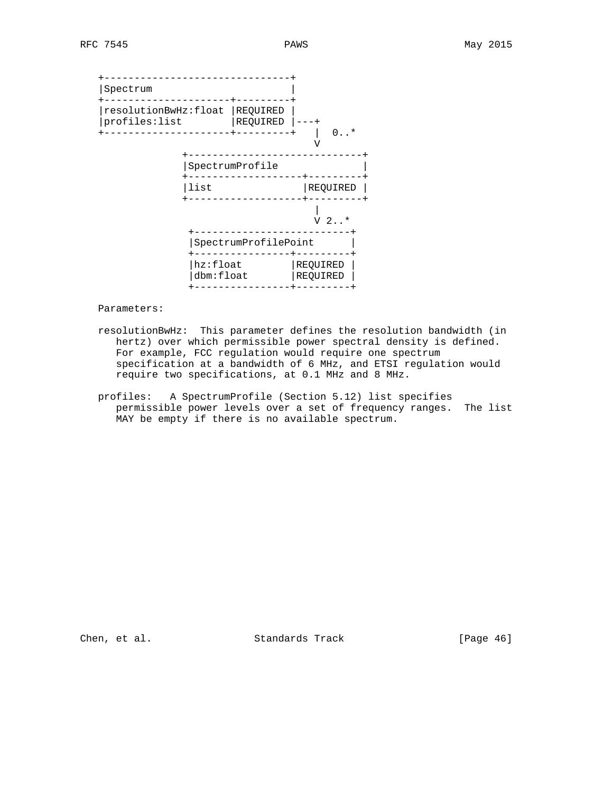+-------------------------------+ |Spectrum | +---------------------+---------+ |resolutionBwHz:float |REQUIRED | |profiles:list |REQUIRED |---+ +---------------------+---------+ | 0..\* V +-----------------------------+ |SpectrumProfile | +-------------------+---------+ |list |REQUIRED | +-------------------+---------+ | V 2..\* +--------------------------+ |SpectrumProfilePoint | +----------------+---------+ | hz:float | REQUIRED | |dbm:float |REQUIRED | +----------------+---------+

Parameters:

- resolutionBwHz: This parameter defines the resolution bandwidth (in hertz) over which permissible power spectral density is defined. For example, FCC regulation would require one spectrum specification at a bandwidth of 6 MHz, and ETSI regulation would require two specifications, at 0.1 MHz and 8 MHz.
- profiles: A SpectrumProfile (Section 5.12) list specifies permissible power levels over a set of frequency ranges. The list MAY be empty if there is no available spectrum.

Chen, et al. Standards Track [Page 46]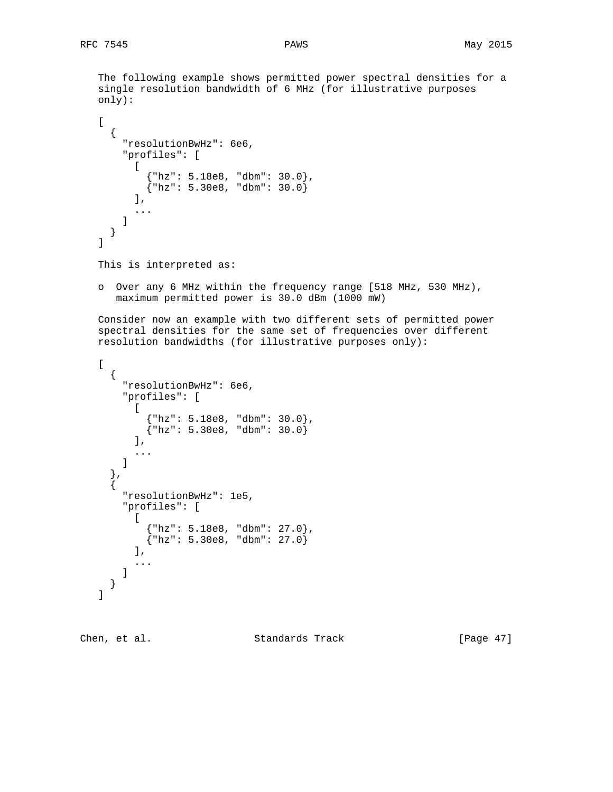The following example shows permitted power spectral densities for a single resolution bandwidth of 6 MHz (for illustrative purposes only):  $\Gamma$  { "resolutionBwHz": 6e6, "profiles": [  $\lceil$  {"hz": 5.18e8, "dbm": 30.0},  ${\rm \{ "hz": 5.30e8, "dbm": 30.0\}}$  $\mathbf{I}$ , ... ] } ] This is interpreted as: o Over any 6 MHz within the frequency range [518 MHz, 530 MHz), maximum permitted power is 30.0 dBm (1000 mW) Consider now an example with two different sets of permitted power spectral densities for the same set of frequencies over different resolution bandwidths (for illustrative purposes only):  $\lceil$  { "resolutionBwHz": 6e6, "profiles": [  $\lceil$  {"hz": 5.18e8, "dbm": 30.0},  $\{ "hz": 5.30e8, "dbm": 30.0\}$  $\mathbf{I}$ , ... ] }, { "resolutionBwHz": 1e5, "profiles": [  $\lceil$  {"hz": 5.18e8, "dbm": 27.0},  ${x \in \{ "hz": 5.30e8, "dbm": 27.0\}}$  $\cdot$  ... ] } ]

Chen, et al. Standards Track [Page 47]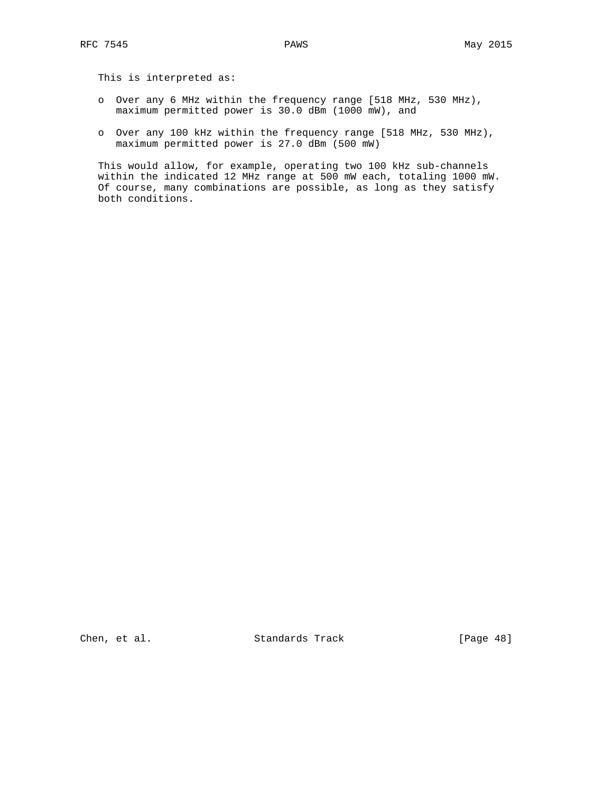This is interpreted as:

- o Over any 6 MHz within the frequency range [518 MHz, 530 MHz), maximum permitted power is 30.0 dBm (1000 mW), and
- o Over any 100 kHz within the frequency range [518 MHz, 530 MHz), maximum permitted power is 27.0 dBm (500 mW)

This would allow, for example, operating two 100 kHz sub-channels within the indicated 12 MHz range at 500 mW each, totaling 1000 mW. Of course, many combinations are possible, as long as they satisfy both conditions.

Chen, et al. Standards Track [Page 48]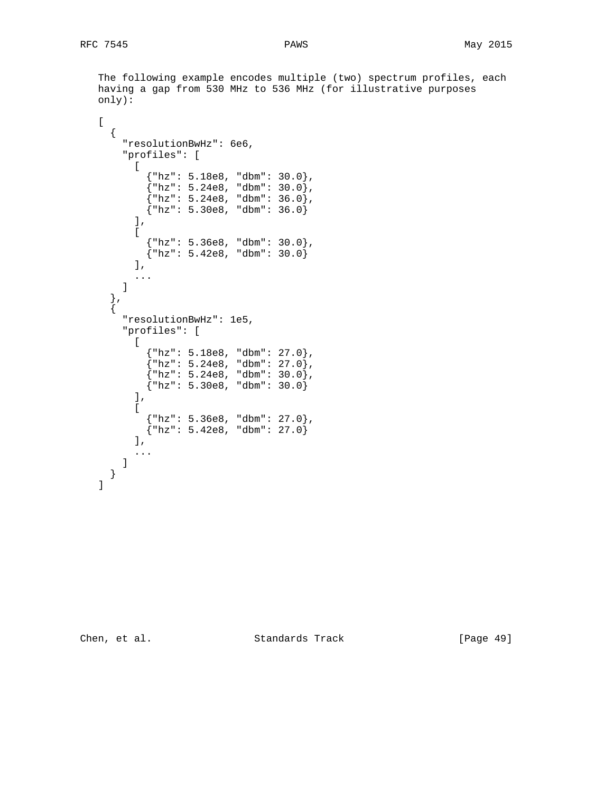The following example encodes multiple (two) spectrum profiles, each having a gap from 530 MHz to 536 MHz (for illustrative purposes only):

```
\Gamma {
       "resolutionBwHz": 6e6,
       "profiles": [
        \lceil {"hz": 5.18e8, "dbm": 30.0},
\{ "hz": 5.24e8, "dbm": 30.0},
\{ "hz": 5.24e8, "dbm": 36.0},
 {"hz": 5.30e8, "dbm": 36.0}
        \mathbf{1},
        \Gamma {"hz": 5.36e8, "dbm": 30.0},
           {"hz": 5.42e8, "dbm": 30.0}
         ],
         ...
       ]
 },
\{ "resolutionBwHz": 1e5,
       "profiles": [
        \Gamma\{ "hz": 5.18e8, "dbm": 27.0},
\{ "hz": 5.24e8, "dbm": 27.0},
\{ "hz": 5.24e8, "dbm": 30.0},
 {"hz": 5.30e8, "dbm": 30.0}
         ],
        \Gamma {"hz": 5.36e8, "dbm": 27.0},
          {\rm km: 5.42e8, "dbm": 27.0} ],
         ...
       ]
     }
   ]
```
Chen, et al. Standards Track [Page 49]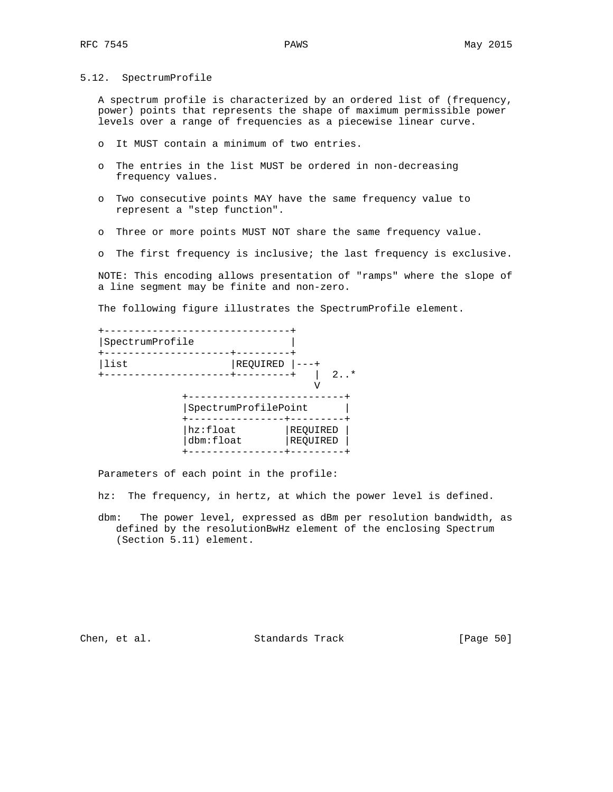5.12. SpectrumProfile

 A spectrum profile is characterized by an ordered list of (frequency, power) points that represents the shape of maximum permissible power levels over a range of frequencies as a piecewise linear curve.

- o It MUST contain a minimum of two entries.
- o The entries in the list MUST be ordered in non-decreasing frequency values.
- o Two consecutive points MAY have the same frequency value to represent a "step function".
- o Three or more points MUST NOT share the same frequency value.
- o The first frequency is inclusive; the last frequency is exclusive.

 NOTE: This encoding allows presentation of "ramps" where the slope of a line segment may be finite and non-zero.

The following figure illustrates the SpectrumProfile element.

| SpectrumProfile |                       |                      |
|-----------------|-----------------------|----------------------|
| list            | REQUIRED              | $2.7*$               |
|                 | SpectrumProfilePoint  |                      |
|                 | hz:float<br>dbm:float | REQUIRED<br>REQUIRED |

Parameters of each point in the profile:

hz: The frequency, in hertz, at which the power level is defined.

 dbm: The power level, expressed as dBm per resolution bandwidth, as defined by the resolutionBwHz element of the enclosing Spectrum (Section 5.11) element.

Chen, et al. Standards Track [Page 50]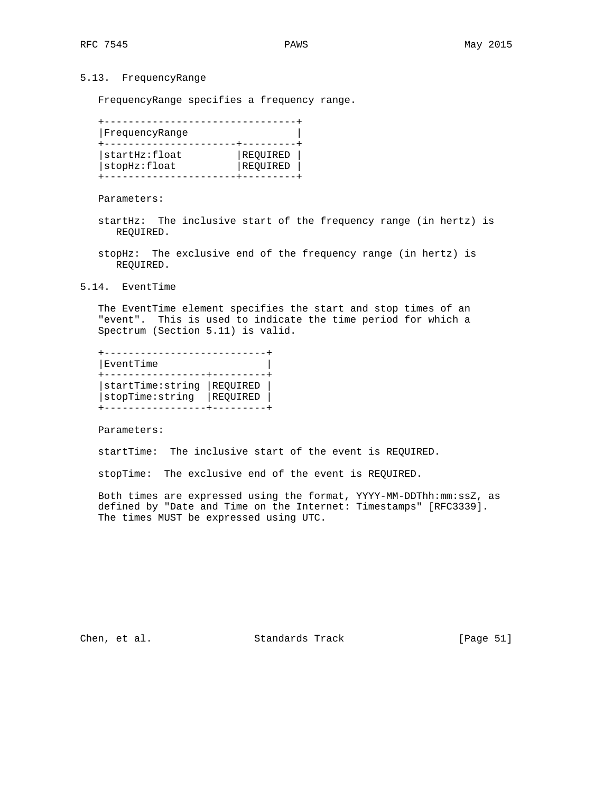# 5.13. FrequencyRange

FrequencyRange specifies a frequency range.

| FrequencyRange |          |
|----------------|----------|
| startHz:float  | REQUIRED |
| stopHz:float   | REOUIRED |

Parameters:

- startHz: The inclusive start of the frequency range (in hertz) is REQUIRED.
- stopHz: The exclusive end of the frequency range (in hertz) is REQUIRED.
- 5.14. EventTime

 The EventTime element specifies the start and stop times of an "event". This is used to indicate the time period for which a Spectrum (Section 5.11) is valid.

| EventTime        |          |
|------------------|----------|
| startTime:string | REQUIRED |
| stopTime: string | REOUIRED |

Parameters:

startTime: The inclusive start of the event is REQUIRED.

stopTime: The exclusive end of the event is REQUIRED.

 Both times are expressed using the format, YYYY-MM-DDThh:mm:ssZ, as defined by "Date and Time on the Internet: Timestamps" [RFC3339]. The times MUST be expressed using UTC.

Chen, et al. Standards Track [Page 51]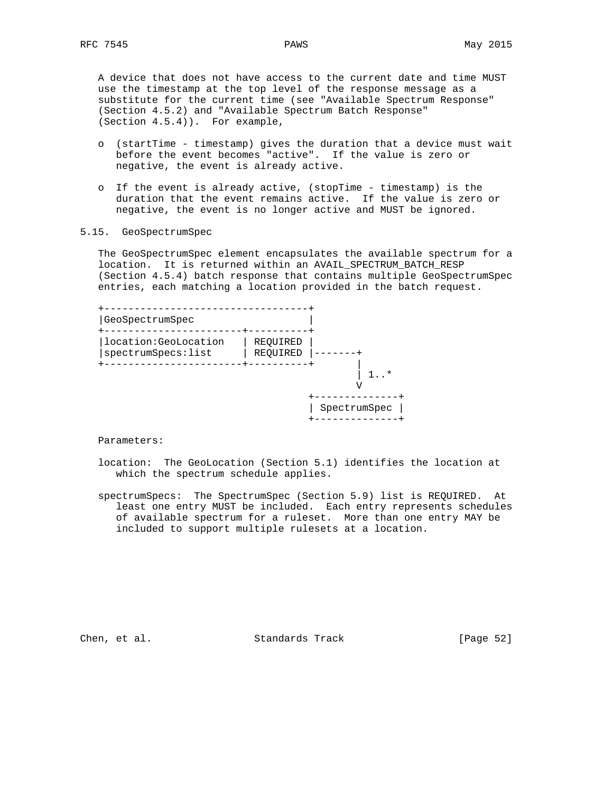A device that does not have access to the current date and time MUST use the timestamp at the top level of the response message as a substitute for the current time (see "Available Spectrum Response" (Section 4.5.2) and "Available Spectrum Batch Response" (Section 4.5.4)). For example,

- o (startTime timestamp) gives the duration that a device must wait before the event becomes "active". If the value is zero or negative, the event is already active.
- o If the event is already active, (stopTime timestamp) is the duration that the event remains active. If the value is zero or negative, the event is no longer active and MUST be ignored.

#### 5.15. GeoSpectrumSpec

 The GeoSpectrumSpec element encapsulates the available spectrum for a location. It is returned within an AVAIL\_SPECTRUM\_BATCH\_RESP (Section 4.5.4) batch response that contains multiple GeoSpectrumSpec entries, each matching a location provided in the batch request.

| GeoSpectrumSpec                              |                      |              |
|----------------------------------------------|----------------------|--------------|
| location: GeoLocation<br>spectrumSpecs: list | REQUIRED<br>REQUIRED |              |
|                                              |                      | $\star$      |
|                                              |                      | SpectrumSpec |

Parameters:

 location: The GeoLocation (Section 5.1) identifies the location at which the spectrum schedule applies.

 spectrumSpecs: The SpectrumSpec (Section 5.9) list is REQUIRED. At least one entry MUST be included. Each entry represents schedules of available spectrum for a ruleset. More than one entry MAY be included to support multiple rulesets at a location.

Chen, et al. Standards Track [Page 52]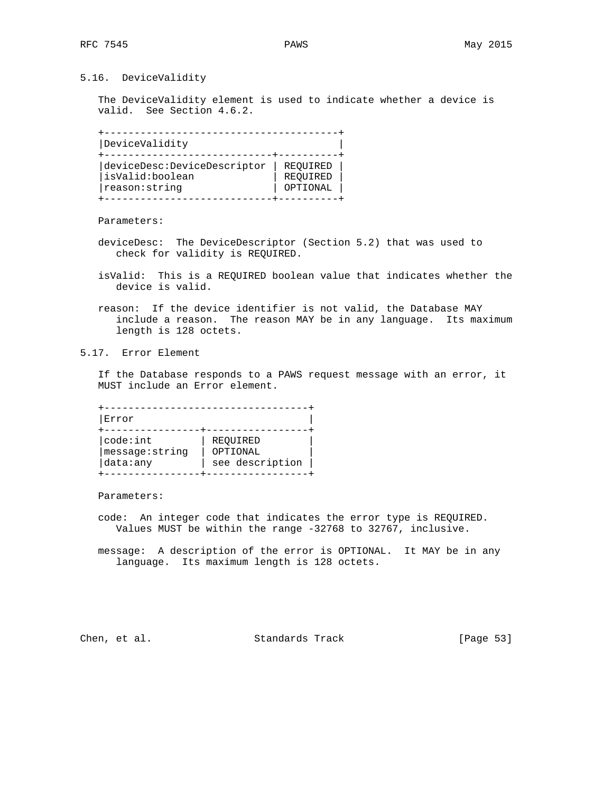## 5.16. DeviceValidity

 The DeviceValidity element is used to indicate whether a device is valid. See Section 4.6.2.

 +---------------------------------------+ |DeviceValidity | +----------------------------+----------+ |deviceDesc:DeviceDescriptor | REQUIRED | |isValid:boolean | REQUIRED | | reason:string | OPTIONAL | +----------------------------+----------+

Parameters:

- deviceDesc: The DeviceDescriptor (Section 5.2) that was used to check for validity is REQUIRED.
- isValid: This is a REQUIRED boolean value that indicates whether the device is valid.
- reason: If the device identifier is not valid, the Database MAY include a reason. The reason MAY be in any language. Its maximum length is 128 octets.
- 5.17. Error Element

 If the Database responds to a PAWS request message with an error, it MUST include an Error element.

 +----------------------------------+ |Error | +----------------+-----------------+ | code:int | REQUIRED |message:string | OPTIONAL | |data:any | see description | +----------------+-----------------+

Parameters:

 code: An integer code that indicates the error type is REQUIRED. Values MUST be within the range -32768 to 32767, inclusive.

 message: A description of the error is OPTIONAL. It MAY be in any language. Its maximum length is 128 octets.

Chen, et al. Standards Track [Page 53]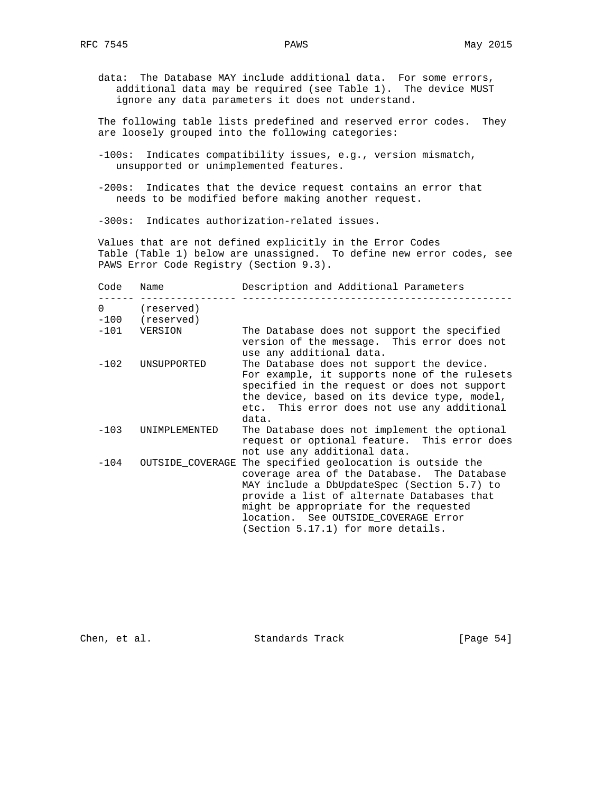data: The Database MAY include additional data. For some errors, additional data may be required (see Table 1). The device MUST ignore any data parameters it does not understand.

 The following table lists predefined and reserved error codes. They are loosely grouped into the following categories:

- -100s: Indicates compatibility issues, e.g., version mismatch, unsupported or unimplemented features.
- -200s: Indicates that the device request contains an error that needs to be modified before making another request.

-300s: Indicates authorization-related issues.

 Values that are not defined explicitly in the Error Codes Table (Table 1) below are unassigned. To define new error codes, see PAWS Error Code Registry (Section 9.3).

| Code     | Name                          | Description and Additional Parameters                                                                                                                                                                                                                                                                        |
|----------|-------------------------------|--------------------------------------------------------------------------------------------------------------------------------------------------------------------------------------------------------------------------------------------------------------------------------------------------------------|
| $\Omega$ | (reserved)<br>-100 (reserved) |                                                                                                                                                                                                                                                                                                              |
|          | -101 VERSION                  | The Database does not support the specified<br>version of the message. This error does not<br>use any additional data.                                                                                                                                                                                       |
| $-102$   | UNSUPPORTED                   | The Database does not support the device.<br>For example, it supports none of the rulesets<br>specified in the request or does not support<br>the device, based on its device type, model,<br>etc. This error does not use any additional<br>data.                                                           |
| $-103$   | <b>UNIMPLEMENTED</b>          | The Database does not implement the optional<br>request or optional feature. This error does<br>not use any additional data.                                                                                                                                                                                 |
| $-104$   | OUTSIDE COVERAGE              | The specified geolocation is outside the<br>coverage area of the Database. The Database<br>MAY include a DbUpdateSpec (Section 5.7) to<br>provide a list of alternate Databases that<br>might be appropriate for the requested<br>location. See OUTSIDE COVERAGE Error<br>(Section 5.17.1) for more details. |

Chen, et al. Standards Track [Page 54]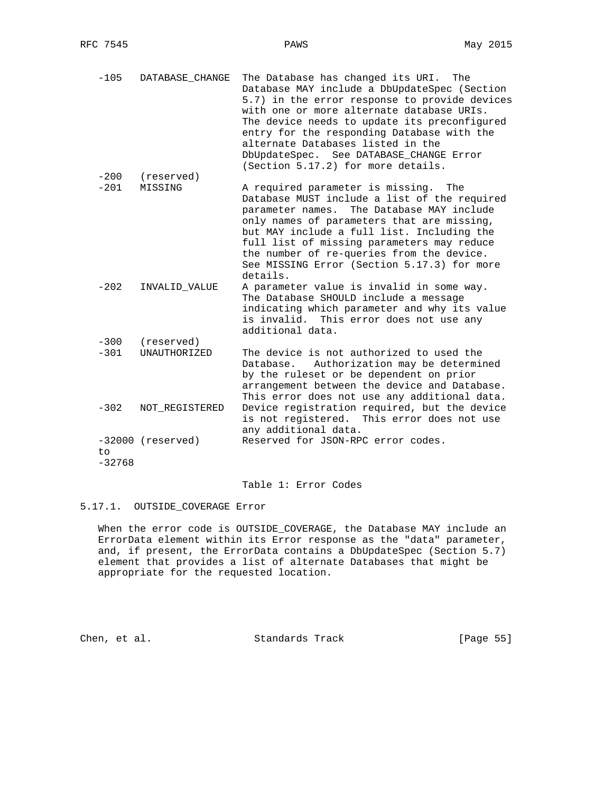-105 DATABASE\_CHANGE The Database has changed its URI. The Database MAY include a DbUpdateSpec (Section 5.7) in the error response to provide devices with one or more alternate database URIs. The device needs to update its preconfigured entry for the responding Database with the alternate Databases listed in the DbUpdateSpec. See DATABASE\_CHANGE Error (Section 5.17.2) for more details. -200 (reserved)

-201 MISSING A required parameter is missing. The Database MUST include a list of the required parameter names. The Database MAY include only names of parameters that are missing, but MAY include a full list. Including the full list of missing parameters may reduce the number of re-queries from the device. See MISSING Error (Section 5.17.3) for more details. -202 INVALID\_VALUE A parameter value is invalid in some way.

- The Database SHOULD include a message indicating which parameter and why its value is invalid. This error does not use any additional data. -300 (reserved)
- -301 UNAUTHORIZED The device is not authorized to used the Database. Authorization may be determined by the ruleset or be dependent on prior arrangement between the device and Database. This error does not use any additional data.<br>-302 NOT\_REGISTERED Device registration required, but the device Device registration required, but the device is not registered. This error does not use any additional data. -32000 (reserved) Reserved for JSON-RPC error codes. to
- -32768

#### Table 1: Error Codes

## 5.17.1. OUTSIDE\_COVERAGE Error

 When the error code is OUTSIDE\_COVERAGE, the Database MAY include an ErrorData element within its Error response as the "data" parameter, and, if present, the ErrorData contains a DbUpdateSpec (Section 5.7) element that provides a list of alternate Databases that might be appropriate for the requested location.

Chen, et al. Standards Track [Page 55]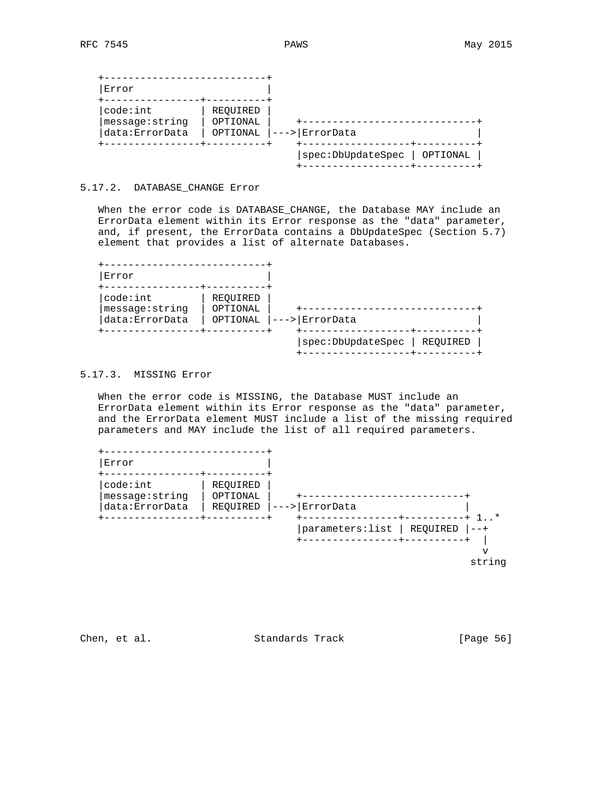| code:int        | REOUIRED |                  |
|-----------------|----------|------------------|
| message: string | OPTIONAL |                  |
| data: ErrorData | OPTIONAL | <i>ErrorData</i> |
|                 |          |                  |

## 5.17.2. DATABASE\_CHANGE Error

 When the error code is DATABASE\_CHANGE, the Database MAY include an ErrorData element within its Error response as the "data" parameter, and, if present, the ErrorData contains a DbUpdateSpec (Section 5.7) element that provides a list of alternate Databases.

| code:int<br>message:string<br>data: ErrorData | REOUIRED<br>OPTIONAL<br>OPTIONAL | ErrorData |  |
|-----------------------------------------------|----------------------------------|-----------|--|
|                                               |                                  |           |  |

# 5.17.3. MISSING Error

 When the error code is MISSING, the Database MUST include an ErrorData element within its Error response as the "data" parameter, and the ErrorData element MUST include a list of the missing required parameters and MAY include the list of all required parameters.



Chen, et al. Standards Track [Page 56]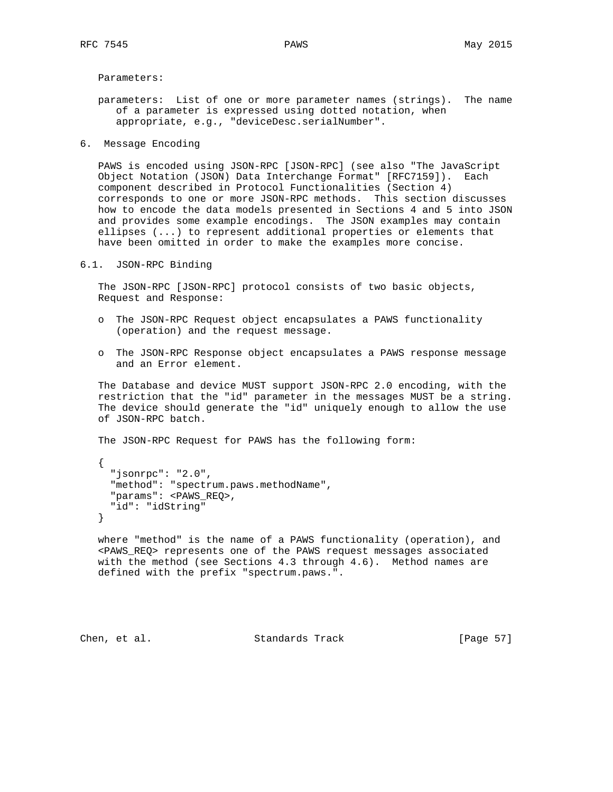Parameters:

 parameters: List of one or more parameter names (strings). The name of a parameter is expressed using dotted notation, when appropriate, e.g., "deviceDesc.serialNumber".

6. Message Encoding

 PAWS is encoded using JSON-RPC [JSON-RPC] (see also "The JavaScript Object Notation (JSON) Data Interchange Format" [RFC7159]). Each component described in Protocol Functionalities (Section 4) corresponds to one or more JSON-RPC methods. This section discusses how to encode the data models presented in Sections 4 and 5 into JSON and provides some example encodings. The JSON examples may contain ellipses (...) to represent additional properties or elements that have been omitted in order to make the examples more concise.

6.1. JSON-RPC Binding

 The JSON-RPC [JSON-RPC] protocol consists of two basic objects, Request and Response:

- o The JSON-RPC Request object encapsulates a PAWS functionality (operation) and the request message.
- o The JSON-RPC Response object encapsulates a PAWS response message and an Error element.

 The Database and device MUST support JSON-RPC 2.0 encoding, with the restriction that the "id" parameter in the messages MUST be a string. The device should generate the "id" uniquely enough to allow the use of JSON-RPC batch.

The JSON-RPC Request for PAWS has the following form:

 { "jsonrpc": "2.0", "method": "spectrum.paws.methodName", "params": <PAWS\_REQ>, "id": "idString" }

 where "method" is the name of a PAWS functionality (operation), and <PAWS\_REQ> represents one of the PAWS request messages associated with the method (see Sections 4.3 through 4.6). Method names are defined with the prefix "spectrum.paws.".

Chen, et al. Standards Track [Page 57]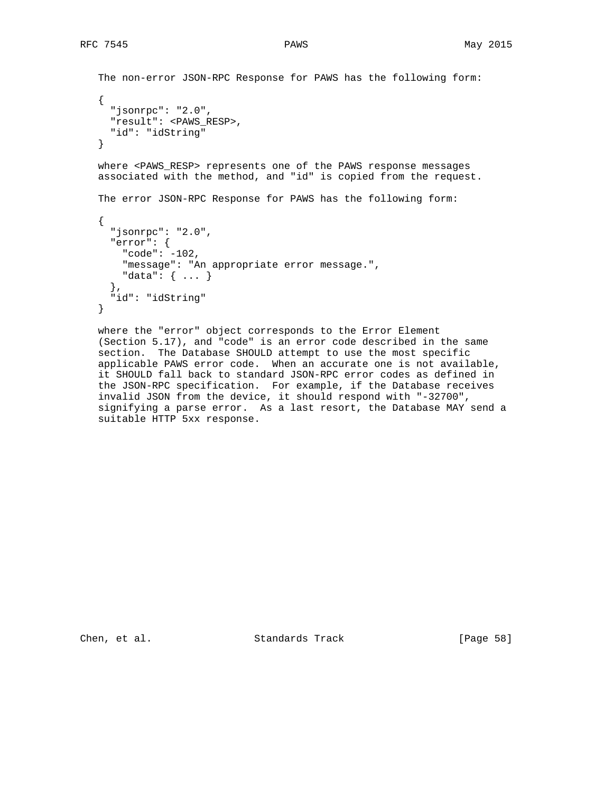```
 The non-error JSON-RPC Response for PAWS has the following form:
 {
      "jsonrpc": "2.0",
      "result": <PAWS_RESP>,
      "id": "idString"
   }
  where <PAWS_RESP> represents one of the PAWS response messages
   associated with the method, and "id" is copied from the request.
   The error JSON-RPC Response for PAWS has the following form:
    {
      "jsonrpc": "2.0",
      "error": {
       "code": -102,
        "message": "An appropriate error message.",
       "data": { ... }
      },
      "id": "idString"
   }
```
 where the "error" object corresponds to the Error Element (Section 5.17), and "code" is an error code described in the same section. The Database SHOULD attempt to use the most specific applicable PAWS error code. When an accurate one is not available, it SHOULD fall back to standard JSON-RPC error codes as defined in the JSON-RPC specification. For example, if the Database receives invalid JSON from the device, it should respond with "-32700", signifying a parse error. As a last resort, the Database MAY send a suitable HTTP 5xx response.

Chen, et al. Standards Track [Page 58]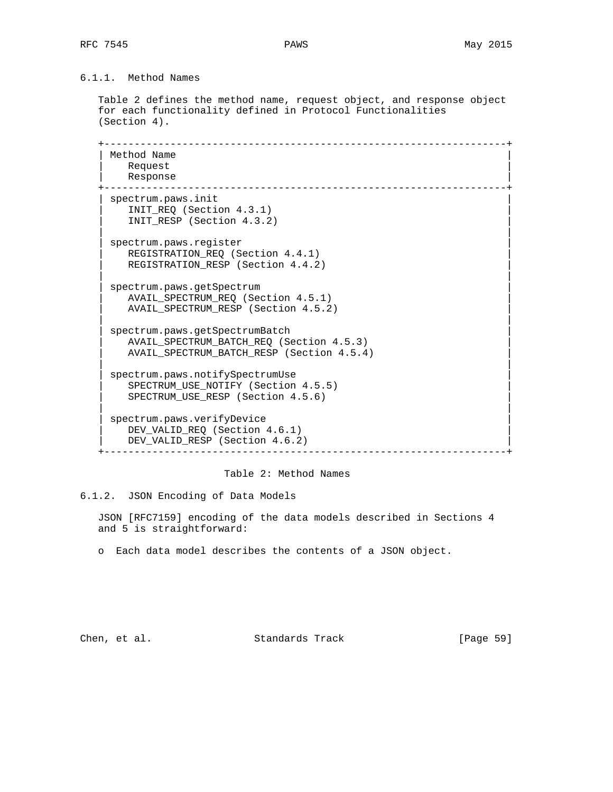# 6.1.1. Method Names

 Table 2 defines the method name, request object, and response object for each functionality defined in Protocol Functionalities (Section 4).

 +-------------------------------------------------------------------+ Method Name Request | Response | +-------------------------------------------------------------------+ spectrum.paws.init | INIT\_REQ (Section 4.3.1) | | INIT\_RESP (Section 4.3.2) | | | spectrum.paws.register REGISTRATION\_REQ (Section 4.4.1) REGISTRATION\_RESP (Section 4.4.2) | | spectrum.paws.getSpectrum AVAIL\_SPECTRUM\_REQ (Section 4.5.1) | AVAIL\_SPECTRUM\_RESP (Section 4.5.2) | | | | spectrum.paws.getSpectrumBatch | | AVAIL\_SPECTRUM\_BATCH\_REQ (Section 4.5.3) | | AVAIL\_SPECTRUM\_BATCH\_RESP (Section 4.5.4) | | | | spectrum.paws.notifySpectrumUse | | SPECTRUM\_USE\_NOTIFY (Section 4.5.5) | | SPECTRUM\_USE\_RESP (Section 4.5.6) | | | spectrum.paws.verifyDevice DEV\_VALID\_REQ (Section 4.6.1) DEV\_VALID\_RESP (Section 4.6.2) +-------------------------------------------------------------------+

Table 2: Method Names

6.1.2. JSON Encoding of Data Models

 JSON [RFC7159] encoding of the data models described in Sections 4 and 5 is straightforward:

o Each data model describes the contents of a JSON object.

Chen, et al. Standards Track [Page 59]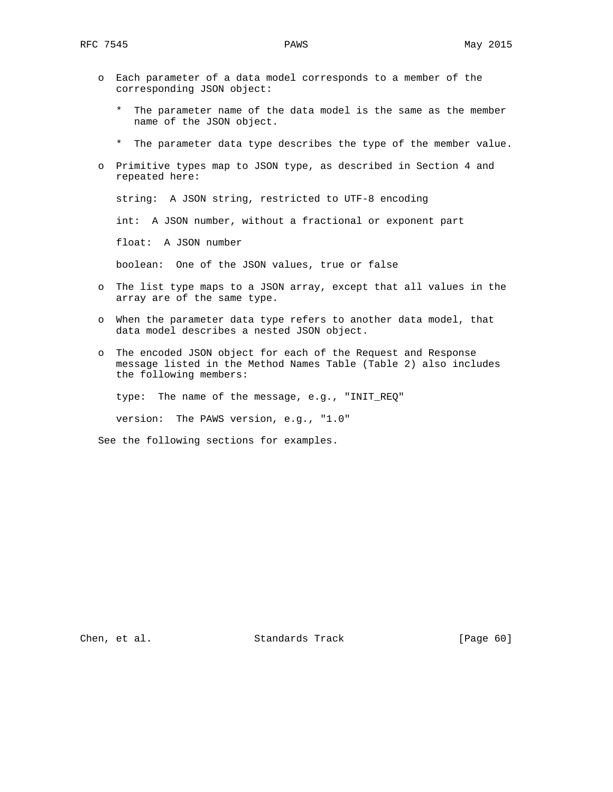- o Each parameter of a data model corresponds to a member of the corresponding JSON object:
	- \* The parameter name of the data model is the same as the member name of the JSON object.
	- \* The parameter data type describes the type of the member value.
- o Primitive types map to JSON type, as described in Section 4 and repeated here:

string: A JSON string, restricted to UTF-8 encoding

int: A JSON number, without a fractional or exponent part

float: A JSON number

boolean: One of the JSON values, true or false

- o The list type maps to a JSON array, except that all values in the array are of the same type.
- o When the parameter data type refers to another data model, that data model describes a nested JSON object.
- o The encoded JSON object for each of the Request and Response message listed in the Method Names Table (Table 2) also includes the following members:

type: The name of the message, e.g., "INIT\_REQ"

version: The PAWS version, e.g., "1.0"

See the following sections for examples.

Chen, et al. Standards Track [Page 60]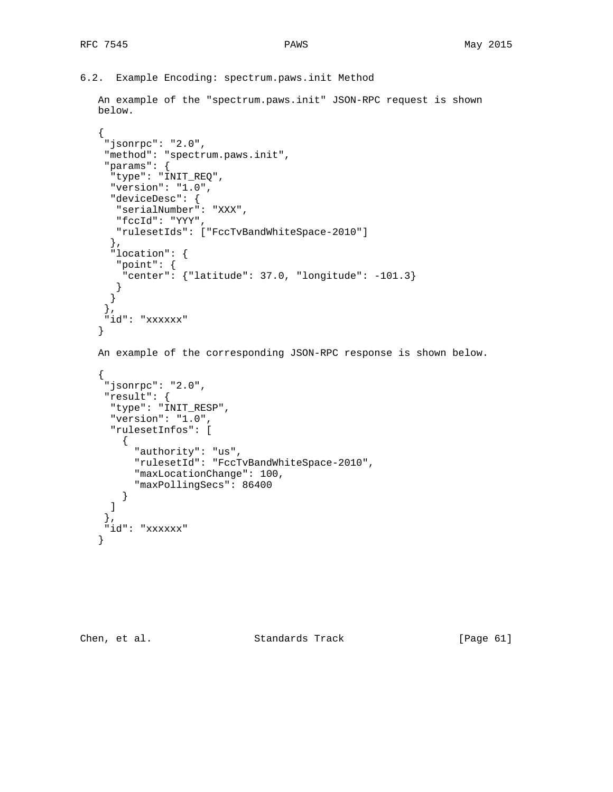```
6.2. Example Encoding: spectrum.paws.init Method
```

```
 An example of the "spectrum.paws.init" JSON-RPC request is shown
    below.
     {
      "jsonrpc": "2.0",
      "method": "spectrum.paws.init",
      "params": {
       "type": "INIT_REQ",
       "version": "1.0",
       "deviceDesc": {
        "serialNumber": "XXX",
        "fccId": "YYY",
        "rulesetIds": ["FccTvBandWhiteSpace-2010"]
       },
        "location": {
        "point": {
         "center": {"latitude": 37.0, "longitude": -101.3}
         }
       }
      },
      "id": "xxxxxx"
     }
    An example of the corresponding JSON-RPC response is shown below.
\{ \cdot \cdot \cdot \cdot \cdot \cdot \cdot \cdot \cdot \cdot \cdot \cdot \cdot \cdot \cdot \cdot \cdot \cdot \cdot \cdot \cdot \cdot \cdot \cdot \cdot \cdot \cdot \cdot \cdot \cdot \cdot \cdot \cdot \cdot \cdot \cdot 
      "jsonrpc": "2.0",
      "result": {
       "type": "INIT_RESP",
       "version": "1.0",
        "rulesetInfos": [
          {
             "authority": "us",
             "rulesetId": "FccTvBandWhiteSpace-2010",
             "maxLocationChange": 100,
             "maxPollingSecs": 86400
          }
       ]
      },
      "id": "xxxxxx"
    }
```
Chen, et al. Standards Track [Page 61]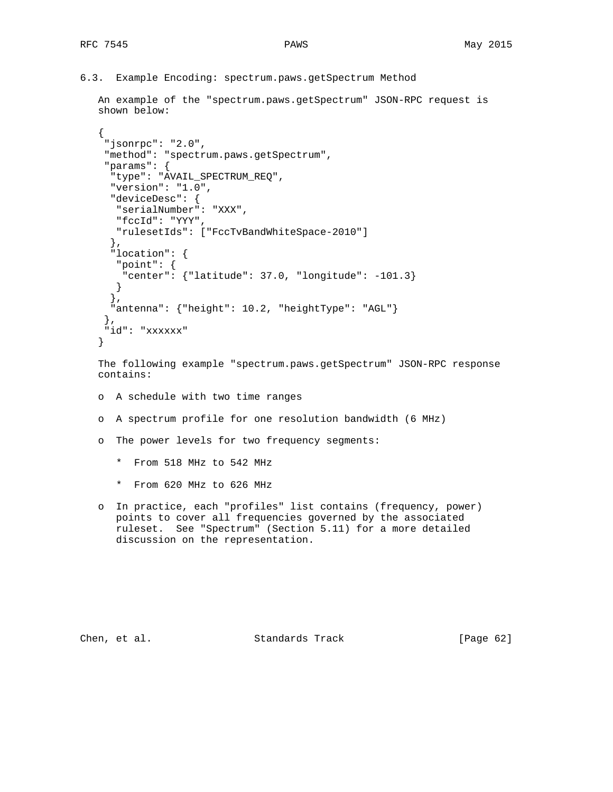```
6.3. Example Encoding: spectrum.paws.getSpectrum Method
```

```
 An example of the "spectrum.paws.getSpectrum" JSON-RPC request is
 shown below:
 {
  "jsonrpc": "2.0",
  "method": "spectrum.paws.getSpectrum",
  "params": {
   "type": "AVAIL_SPECTRUM_REQ",
   "version": "1.0",
   "deviceDesc": {
    "serialNumber": "XXX",
   "fccId": "YYY",
```

```
 "rulesetIds": ["FccTvBandWhiteSpace-2010"]
   },
   "location": {
   "point": {
    "center": {"latitude": 37.0, "longitude": -101.3}
   }
   },
   "antenna": {"height": 10.2, "heightType": "AGL"}
  },
  "id": "xxxxxx"
 }
```
 The following example "spectrum.paws.getSpectrum" JSON-RPC response contains:

- o A schedule with two time ranges
- o A spectrum profile for one resolution bandwidth (6 MHz)
- o The power levels for two frequency segments:
	- \* From 518 MHz to 542 MHz
	- \* From 620 MHz to 626 MHz
- o In practice, each "profiles" list contains (frequency, power) points to cover all frequencies governed by the associated ruleset. See "Spectrum" (Section 5.11) for a more detailed discussion on the representation.

Chen, et al. Standards Track [Page 62]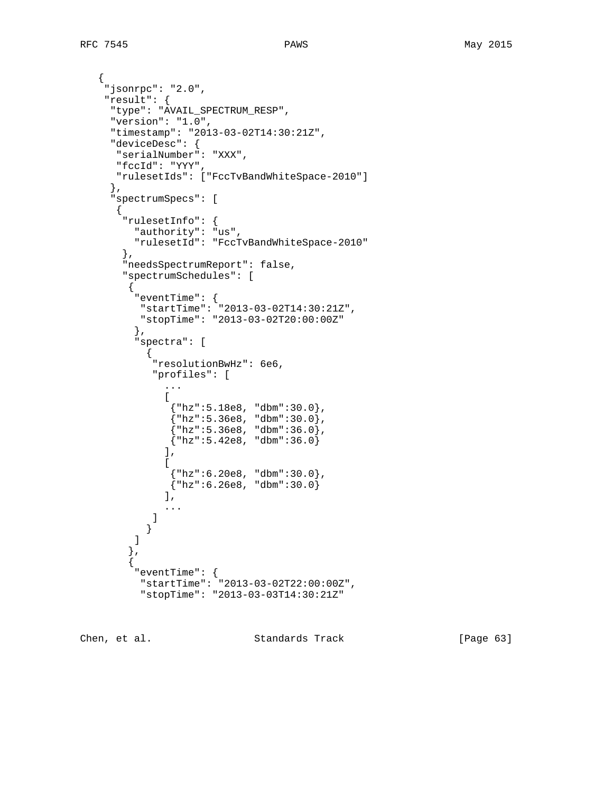{

},

{

},

 $\{$ 

```
 "jsonrpc": "2.0",
    "result": {
     "type": "AVAIL_SPECTRUM_RESP",
     "version": "1.0",
     "timestamp": "2013-03-02T14:30:21Z",
     "deviceDesc": {
      "serialNumber": "XXX",
      "fccId": "YYY",
      "rulesetIds": ["FccTvBandWhiteSpace-2010"]
     "spectrumSpecs": [
       "rulesetInfo": {
         "authority": "us",
         "rulesetId": "FccTvBandWhiteSpace-2010"
       },
       "needsSpectrumReport": false,
       "spectrumSchedules": [
        {
         "eventTime": {
          "startTime": "2013-03-02T14:30:21Z",
          "stopTime": "2013-03-02T20:00:00Z"
         },
         "spectra": [
\{ "resolutionBwHz": 6e6,
             "profiles": [
              ...
Figure 1999
               {"hz":5.18e8, "dbm":30.0},
\{ "hz":5.36e8, "dbm":30.0},
\{ "hz ":5.36e8, "dbm":36.0},
              {\{ "hz": 5.42e8, "dbm": 36.0\}} ],
Figure 1999
               {"hz":6.20e8, "dbm":30.0},
              {^{\{"}}hz":6.26e8, "dbm":30.0)
             \int,
              ...
 ]
 }
         ]
```
Chen, et al. Standards Track [Page 63]

 "startTime": "2013-03-02T22:00:00Z", "stopTime": "2013-03-03T14:30:21Z"

"eventTime": {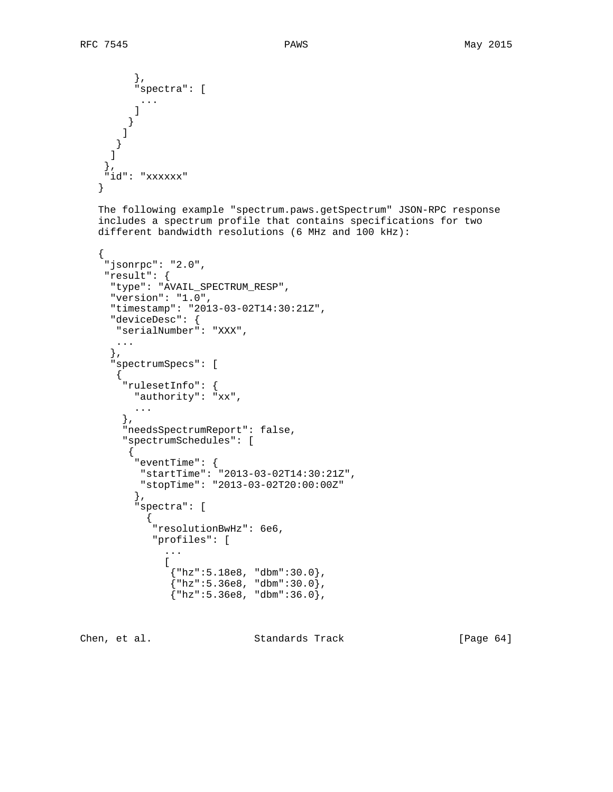$\{$  \cdot \cdot \cdot \cdot \cdot \cdot \cdot \cdot \cdot \cdot \cdot \cdot \cdot \cdot \cdot \cdot \cdot \cdot \cdot \cdot \cdot \cdot \cdot \cdot \cdot \cdot \cdot \cdot \cdot \cdot \cdot \cdot \cdot \cdot \cdot \cdot

 }, "spectra": [ ... ] } ] } ] }, "id": "xxxxxx" } The following example "spectrum.paws.getSpectrum" JSON-RPC response includes a spectrum profile that contains specifications for two different bandwidth resolutions (6 MHz and 100 kHz): "jsonrpc": "2.0", "result": { "type": "AVAIL\_SPECTRUM\_RESP", "version": "1.0", "timestamp": "2013-03-02T14:30:21Z", "deviceDesc": { "serialNumber": "XXX", ... }, "spectrumSpecs": [ { "rulesetInfo": { "authority": "xx", ... }, "needsSpectrumReport": false, "spectrumSchedules": [ { "eventTime": { "startTime": "2013-03-02T14:30:21Z", "stopTime": "2013-03-02T20:00:00Z" }, "spectra": [  $\{$  "resolutionBwHz": 6e6, "profiles": [ ... **Figure 1999**  {"hz":5.18e8, "dbm":30.0},  $\{$  "hz":5.36e8, "dbm":30.0},  $\{$  "hz ":5.36e8, "dbm":36.0},

Chen, et al. Standards Track [Page 64]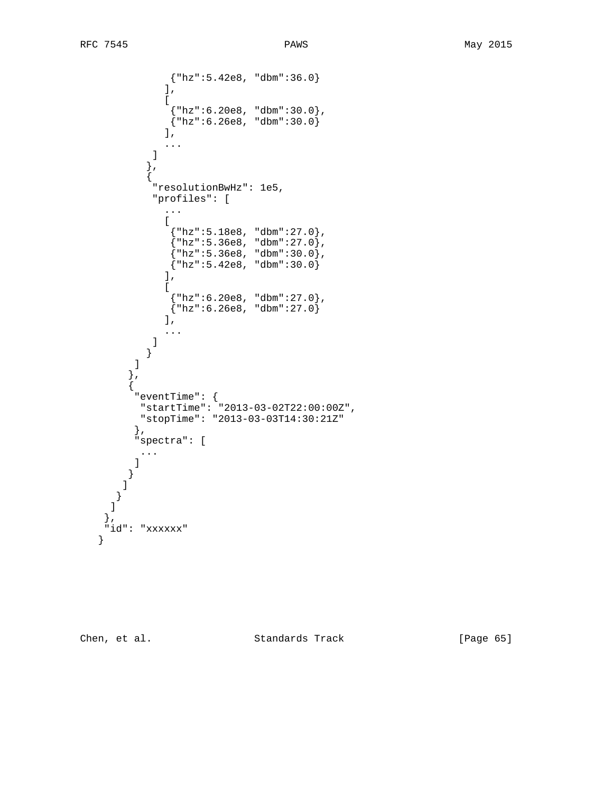```
 {"hz":5.42e8, "dbm":36.0}
              \mathbf{I},
Figure 1999
               {"hz":6.20e8, "dbm":30.0},
              {\rm \{ "hz": 6.26e8, "dbm": 30.0\}} ],
            \overline{\mathbf{1}}...
 ]
            },
\{ "resolutionBwHz": 1e5,
             "profiles": [
               ...
 [
\{ "hz ":5.18e8, "dbm":27.0},
\{\mathord{\texttt{``hz'':5.36e8}}\,, \mathord{\texttt{``dbm'':27.0}}\, ,
\{ "hz":5.36e8, "dbm":30.0},
\{ "hz":5.42e8, "dbm":30.0\} ],
 [
\{ "hz ":6.20e8, "dbm":27.0},
\{\texttt{"hz":6.26e8 ,\ \texttt{"dbm":27.0}}\}\bf{l} ,
               ...
           \bigg \} }
 ]
         },
         {
          "eventTime": {
          "startTime": "2013-03-02T22:00:00Z",
          "stopTime": "2013-03-03T14:30:21Z"
          },
          "spectra": [
           ...
          ]
        }
        ]
       }
    \overline{1} },
     "id": "xxxxxx"
   }
```
Chen, et al. Standards Track [Page 65]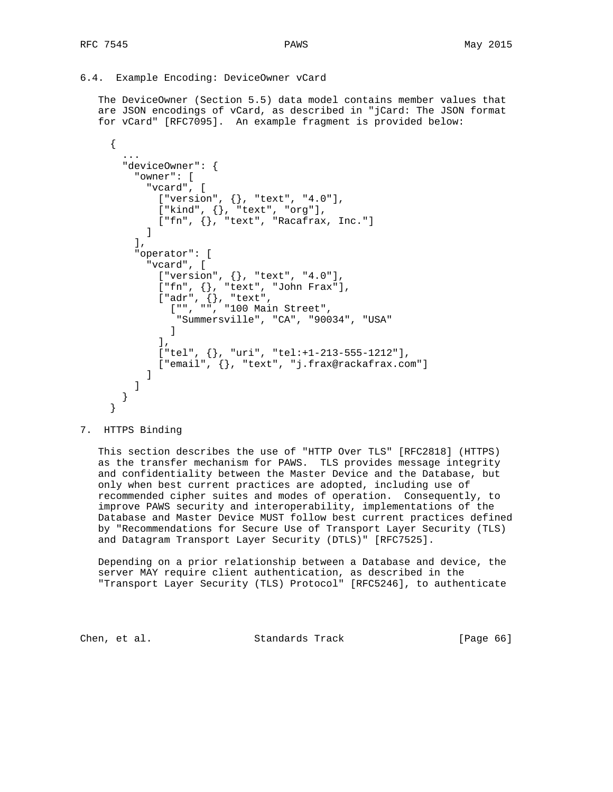## 6.4. Example Encoding: DeviceOwner vCard

 The DeviceOwner (Section 5.5) data model contains member values that are JSON encodings of vCard, as described in "jCard: The JSON format for vCard" [RFC7095]. An example fragment is provided below:

```
 {
       ...
       "deviceOwner": {
        "owner": [
          "vcard", [
           ["version", {}, "text", "4.0"],
           ["kind", {}, "text", "org"],
         [ "fn", \{\}, "text", "Racafrax, Inc."]
 ]
        ],
         "operator": [
          "vcard", [
           ["version", {}, "text", "4.0"],
 ["fn", {}, "text", "John Frax"],
 ["adr", {}, "text",
["", "", "100 Main Street",
               "Summersville", "CA", "90034", "USA"
 ]
            ],
           ["tel", {}, "uri", "tel:+1-213-555-1212"],
            ["email", {}, "text", "j.frax@rackafrax.com"]
 ]
 ]
       }
     }
```
### 7. HTTPS Binding

 This section describes the use of "HTTP Over TLS" [RFC2818] (HTTPS) as the transfer mechanism for PAWS. TLS provides message integrity and confidentiality between the Master Device and the Database, but only when best current practices are adopted, including use of recommended cipher suites and modes of operation. Consequently, to improve PAWS security and interoperability, implementations of the Database and Master Device MUST follow best current practices defined by "Recommendations for Secure Use of Transport Layer Security (TLS) and Datagram Transport Layer Security (DTLS)" [RFC7525].

 Depending on a prior relationship between a Database and device, the server MAY require client authentication, as described in the "Transport Layer Security (TLS) Protocol" [RFC5246], to authenticate

Chen, et al. Standards Track [Page 66]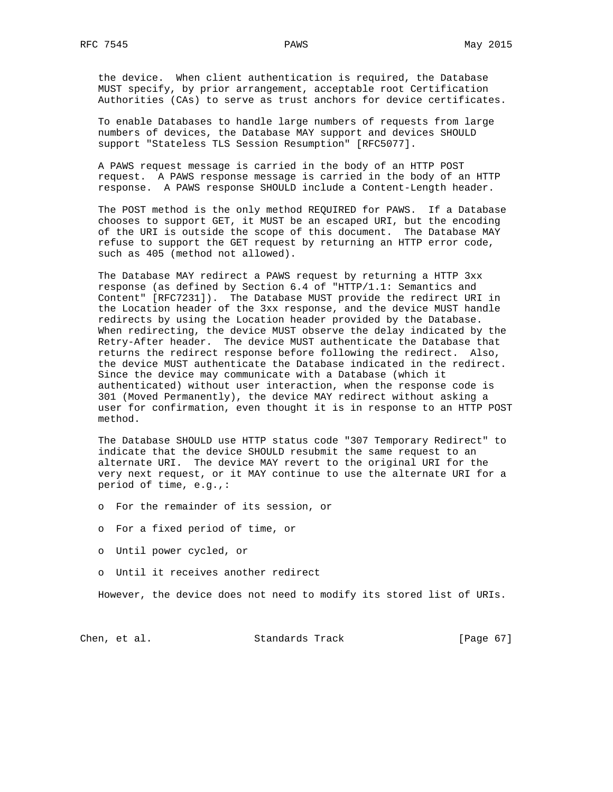the device. When client authentication is required, the Database MUST specify, by prior arrangement, acceptable root Certification Authorities (CAs) to serve as trust anchors for device certificates.

 To enable Databases to handle large numbers of requests from large numbers of devices, the Database MAY support and devices SHOULD support "Stateless TLS Session Resumption" [RFC5077].

 A PAWS request message is carried in the body of an HTTP POST request. A PAWS response message is carried in the body of an HTTP response. A PAWS response SHOULD include a Content-Length header.

 The POST method is the only method REQUIRED for PAWS. If a Database chooses to support GET, it MUST be an escaped URI, but the encoding of the URI is outside the scope of this document. The Database MAY refuse to support the GET request by returning an HTTP error code, such as 405 (method not allowed).

 The Database MAY redirect a PAWS request by returning a HTTP 3xx response (as defined by Section 6.4 of "HTTP/1.1: Semantics and Content" [RFC7231]). The Database MUST provide the redirect URI in the Location header of the 3xx response, and the device MUST handle redirects by using the Location header provided by the Database. When redirecting, the device MUST observe the delay indicated by the Retry-After header. The device MUST authenticate the Database that returns the redirect response before following the redirect. Also, the device MUST authenticate the Database indicated in the redirect. Since the device may communicate with a Database (which it authenticated) without user interaction, when the response code is 301 (Moved Permanently), the device MAY redirect without asking a user for confirmation, even thought it is in response to an HTTP POST method.

 The Database SHOULD use HTTP status code "307 Temporary Redirect" to indicate that the device SHOULD resubmit the same request to an alternate URI. The device MAY revert to the original URI for the very next request, or it MAY continue to use the alternate URI for a period of time, e.g.,:

- o For the remainder of its session, or
- o For a fixed period of time, or
- o Until power cycled, or
- o Until it receives another redirect

However, the device does not need to modify its stored list of URIs.

Chen, et al. Standards Track [Page 67]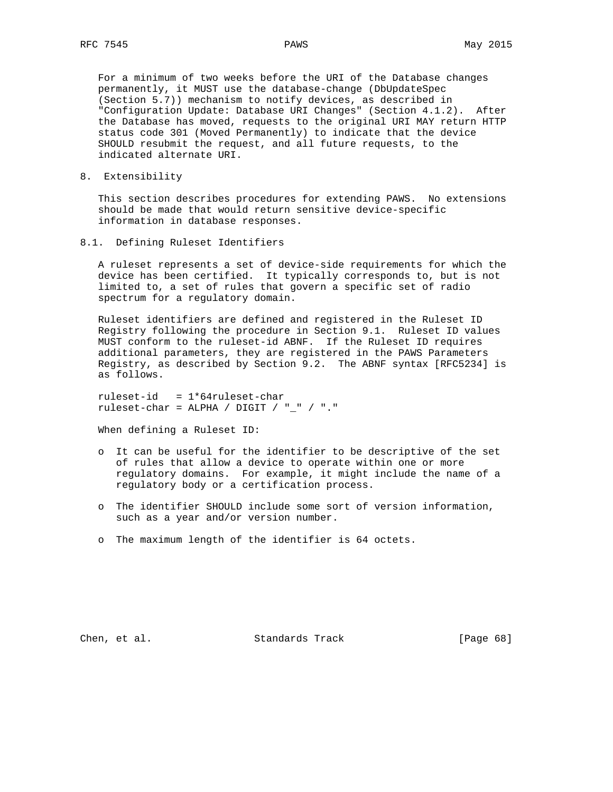For a minimum of two weeks before the URI of the Database changes permanently, it MUST use the database-change (DbUpdateSpec (Section 5.7)) mechanism to notify devices, as described in "Configuration Update: Database URI Changes" (Section 4.1.2). After the Database has moved, requests to the original URI MAY return HTTP status code 301 (Moved Permanently) to indicate that the device SHOULD resubmit the request, and all future requests, to the indicated alternate URI.

8. Extensibility

 This section describes procedures for extending PAWS. No extensions should be made that would return sensitive device-specific information in database responses.

8.1. Defining Ruleset Identifiers

 A ruleset represents a set of device-side requirements for which the device has been certified. It typically corresponds to, but is not limited to, a set of rules that govern a specific set of radio spectrum for a regulatory domain.

 Ruleset identifiers are defined and registered in the Ruleset ID Registry following the procedure in Section 9.1. Ruleset ID values MUST conform to the ruleset-id ABNF. If the Ruleset ID requires additional parameters, they are registered in the PAWS Parameters Registry, as described by Section 9.2. The ABNF syntax [RFC5234] is as follows.

 ruleset-id = 1\*64ruleset-char ruleset-char = ALPHA / DIGIT / "\_" / "."

When defining a Ruleset ID:

- o It can be useful for the identifier to be descriptive of the set of rules that allow a device to operate within one or more regulatory domains. For example, it might include the name of a regulatory body or a certification process.
- o The identifier SHOULD include some sort of version information, such as a year and/or version number.
- o The maximum length of the identifier is 64 octets.

Chen, et al. Standards Track [Page 68]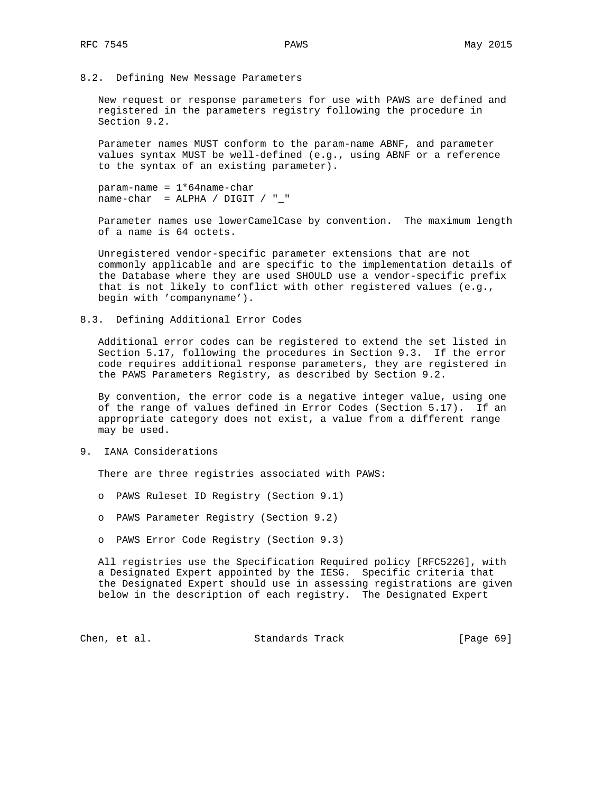8.2. Defining New Message Parameters

 New request or response parameters for use with PAWS are defined and registered in the parameters registry following the procedure in Section 9.2.

 Parameter names MUST conform to the param-name ABNF, and parameter values syntax MUST be well-defined (e.g., using ABNF or a reference to the syntax of an existing parameter).

 param-name = 1\*64name-char  $name-char = ALPHA / DIGIT / "$ 

 Parameter names use lowerCamelCase by convention. The maximum length of a name is 64 octets.

 Unregistered vendor-specific parameter extensions that are not commonly applicable and are specific to the implementation details of the Database where they are used SHOULD use a vendor-specific prefix that is not likely to conflict with other registered values (e.g., begin with 'companyname').

8.3. Defining Additional Error Codes

 Additional error codes can be registered to extend the set listed in Section 5.17, following the procedures in Section 9.3. If the error code requires additional response parameters, they are registered in the PAWS Parameters Registry, as described by Section 9.2.

 By convention, the error code is a negative integer value, using one of the range of values defined in Error Codes (Section 5.17). If an appropriate category does not exist, a value from a different range may be used.

9. IANA Considerations

There are three registries associated with PAWS:

- o PAWS Ruleset ID Registry (Section 9.1)
- o PAWS Parameter Registry (Section 9.2)
- o PAWS Error Code Registry (Section 9.3)

 All registries use the Specification Required policy [RFC5226], with a Designated Expert appointed by the IESG. Specific criteria that the Designated Expert should use in assessing registrations are given below in the description of each registry. The Designated Expert

Chen, et al. Standards Track [Page 69]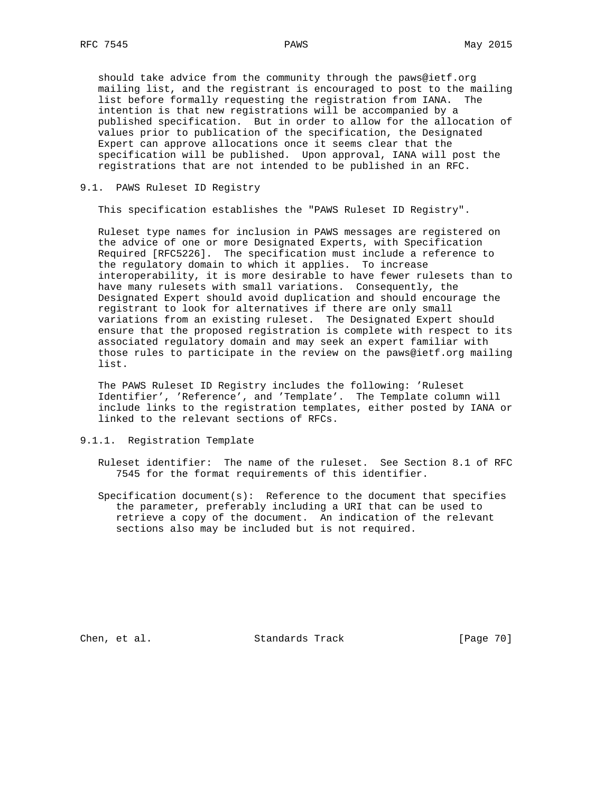should take advice from the community through the paws@ietf.org mailing list, and the registrant is encouraged to post to the mailing list before formally requesting the registration from IANA. The intention is that new registrations will be accompanied by a published specification. But in order to allow for the allocation of values prior to publication of the specification, the Designated Expert can approve allocations once it seems clear that the specification will be published. Upon approval, IANA will post the registrations that are not intended to be published in an RFC.

### 9.1. PAWS Ruleset ID Registry

This specification establishes the "PAWS Ruleset ID Registry".

 Ruleset type names for inclusion in PAWS messages are registered on the advice of one or more Designated Experts, with Specification Required [RFC5226]. The specification must include a reference to the regulatory domain to which it applies. To increase interoperability, it is more desirable to have fewer rulesets than to have many rulesets with small variations. Consequently, the Designated Expert should avoid duplication and should encourage the registrant to look for alternatives if there are only small variations from an existing ruleset. The Designated Expert should ensure that the proposed registration is complete with respect to its associated regulatory domain and may seek an expert familiar with those rules to participate in the review on the paws@ietf.org mailing list.

 The PAWS Ruleset ID Registry includes the following: 'Ruleset Identifier', 'Reference', and 'Template'. The Template column will include links to the registration templates, either posted by IANA or linked to the relevant sections of RFCs.

9.1.1. Registration Template

 Ruleset identifier: The name of the ruleset. See Section 8.1 of RFC 7545 for the format requirements of this identifier.

Specification document(s): Reference to the document that specifies the parameter, preferably including a URI that can be used to retrieve a copy of the document. An indication of the relevant sections also may be included but is not required.

Chen, et al. Standards Track [Page 70]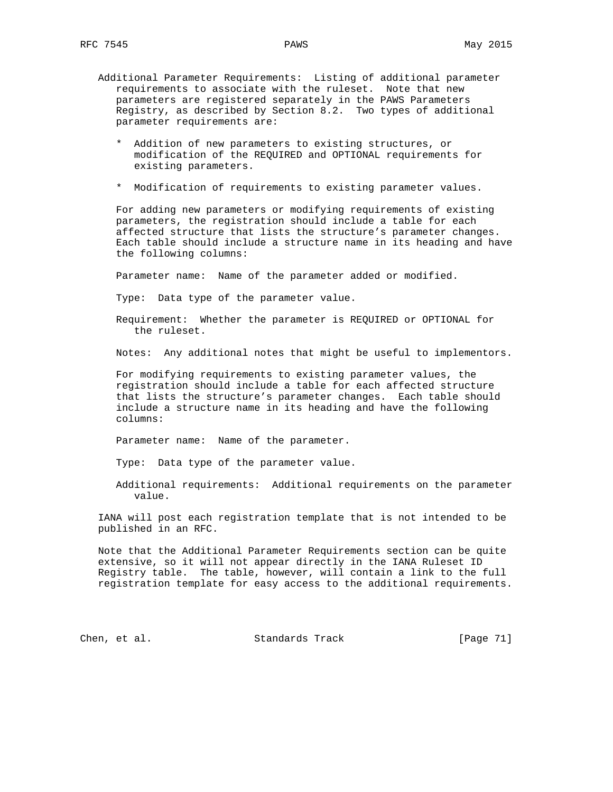- Additional Parameter Requirements: Listing of additional parameter requirements to associate with the ruleset. Note that new parameters are registered separately in the PAWS Parameters Registry, as described by Section 8.2. Two types of additional parameter requirements are:
	- \* Addition of new parameters to existing structures, or modification of the REQUIRED and OPTIONAL requirements for existing parameters.
	- \* Modification of requirements to existing parameter values.

 For adding new parameters or modifying requirements of existing parameters, the registration should include a table for each affected structure that lists the structure's parameter changes. Each table should include a structure name in its heading and have the following columns:

Parameter name: Name of the parameter added or modified.

Type: Data type of the parameter value.

 Requirement: Whether the parameter is REQUIRED or OPTIONAL for the ruleset.

Notes: Any additional notes that might be useful to implementors.

 For modifying requirements to existing parameter values, the registration should include a table for each affected structure that lists the structure's parameter changes. Each table should include a structure name in its heading and have the following columns:

Parameter name: Name of the parameter.

Type: Data type of the parameter value.

 Additional requirements: Additional requirements on the parameter value.

 IANA will post each registration template that is not intended to be published in an RFC.

 Note that the Additional Parameter Requirements section can be quite extensive, so it will not appear directly in the IANA Ruleset ID Registry table. The table, however, will contain a link to the full registration template for easy access to the additional requirements.

Chen, et al. Standards Track [Page 71]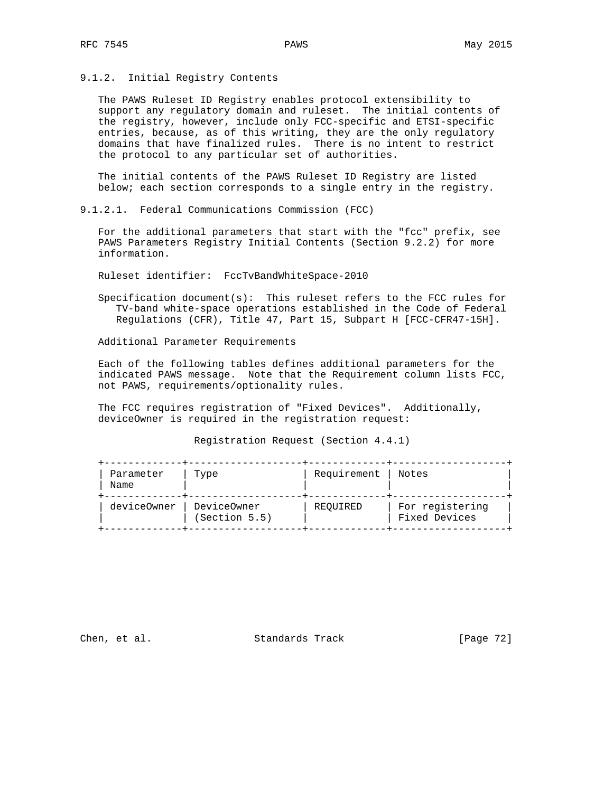## 9.1.2. Initial Registry Contents

 The PAWS Ruleset ID Registry enables protocol extensibility to support any regulatory domain and ruleset. The initial contents of the registry, however, include only FCC-specific and ETSI-specific entries, because, as of this writing, they are the only regulatory domains that have finalized rules. There is no intent to restrict the protocol to any particular set of authorities.

 The initial contents of the PAWS Ruleset ID Registry are listed below; each section corresponds to a single entry in the registry.

9.1.2.1. Federal Communications Commission (FCC)

 For the additional parameters that start with the "fcc" prefix, see PAWS Parameters Registry Initial Contents (Section 9.2.2) for more information.

Ruleset identifier: FccTvBandWhiteSpace-2010

 Specification document(s): This ruleset refers to the FCC rules for TV-band white-space operations established in the Code of Federal Regulations (CFR), Title 47, Part 15, Subpart H [FCC-CFR47-15H].

Additional Parameter Requirements

 Each of the following tables defines additional parameters for the indicated PAWS message. Note that the Requirement column lists FCC, not PAWS, requirements/optionality rules.

 The FCC requires registration of "Fixed Devices". Additionally, deviceOwner is required in the registration request:

Registration Request (Section 4.4.1)

| Parameter<br>Name | Type                           | Requirement | Notes                            |
|-------------------|--------------------------------|-------------|----------------------------------|
| deviceOwner       | DeviceOwner  <br>(Section 5.5) | REOUIRED    | For registering<br>Fixed Devices |

Chen, et al. Standards Track [Page 72]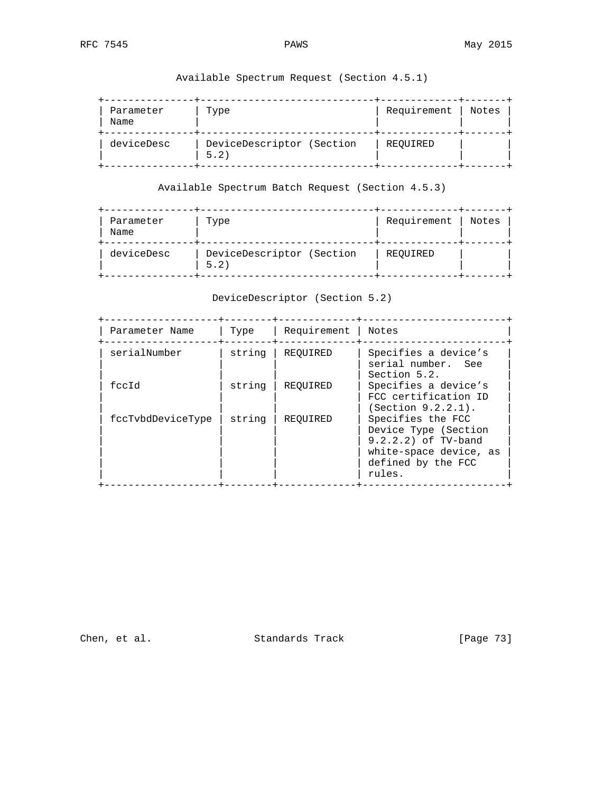| Parameter<br>Name | Type                              | Requirement | Notes |
|-------------------|-----------------------------------|-------------|-------|
| deviceDesc        | DeviceDescriptor (Section<br>5.2) | REOUIRED    |       |

Available Spectrum Request (Section 4.5.1)

Available Spectrum Batch Request (Section 4.5.3)

| Parameter<br>Name | Type                              | Requirement | Notes |
|-------------------|-----------------------------------|-------------|-------|
| deviceDesc        | DeviceDescriptor (Section<br>5.2) | REOUIRED    |       |

DeviceDescriptor (Section 5.2)

| Parameter Name    | Type   | Requirement | Notes                                                                                                                      |
|-------------------|--------|-------------|----------------------------------------------------------------------------------------------------------------------------|
| serialNumber      | string | REOUIRED    | Specifies a device's<br>serial number. See<br>Section 5.2.                                                                 |
| feetd             | string | REOUIRED    | Specifies a device's<br>FCC certification ID<br>(Section 9.2.2.1).                                                         |
| fccTvbdDeviceType | string | REOUIRED    | Specifies the FCC<br>Device Type (Section<br>9.2.2.2) of TV-band<br>white-space device, as<br>defined by the FCC<br>rules. |

Chen, et al. Standards Track [Page 73]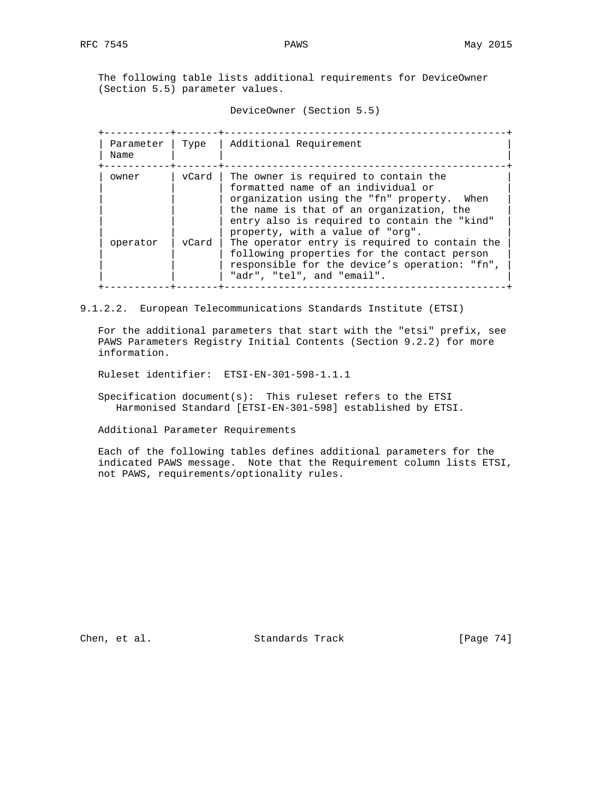The following table lists additional requirements for DeviceOwner (Section 5.5) parameter values.

DeviceOwner (Section 5.5)

| Parameter<br>Name | Type  | Additional Requirement                                                                                                                                                                                                                                   |
|-------------------|-------|----------------------------------------------------------------------------------------------------------------------------------------------------------------------------------------------------------------------------------------------------------|
| owner             | vCard | The owner is required to contain the<br>formatted name of an individual or<br>organization using the "fn" property. When<br>the name is that of an organization, the<br>entry also is required to contain the "kind"<br>property, with a value of "org". |
| operator          | vCard | The operator entry is required to contain the<br>following properties for the contact person<br>responsible for the device's operation: "fn",<br>"adr", "tel", and "email".                                                                              |

9.1.2.2. European Telecommunications Standards Institute (ETSI)

 For the additional parameters that start with the "etsi" prefix, see PAWS Parameters Registry Initial Contents (Section 9.2.2) for more information.

Ruleset identifier: ETSI-EN-301-598-1.1.1

 Specification document(s): This ruleset refers to the ETSI Harmonised Standard [ETSI-EN-301-598] established by ETSI.

Additional Parameter Requirements

 Each of the following tables defines additional parameters for the indicated PAWS message. Note that the Requirement column lists ETSI, not PAWS, requirements/optionality rules.

Chen, et al. Standards Track [Page 74]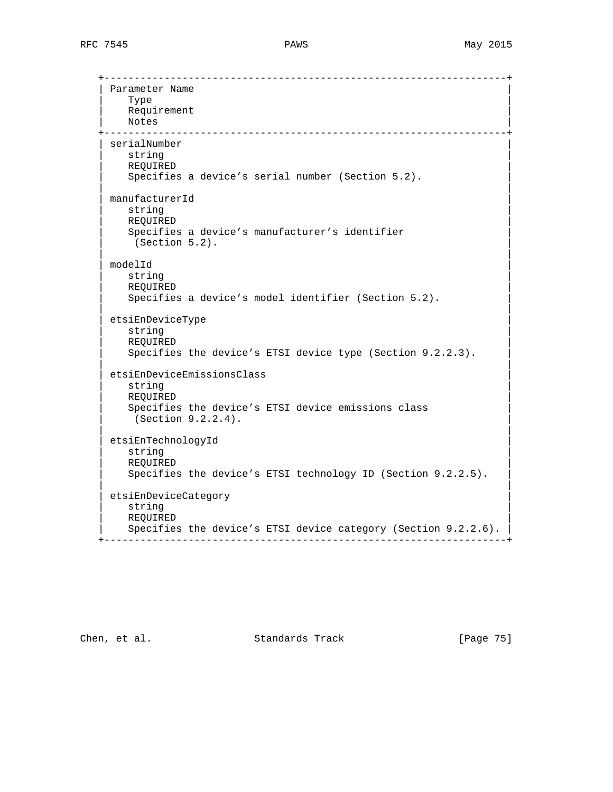+-------------------------------------------------------------------+ Parameter Name  $\blacksquare$  Type  $\blacksquare$ Requirement | Notes | Notes | Notes | Notes | Notes | Notes | Notes | Notes | Notes | Notes | Notes | Notes | Notes | Notes | Notes | Notes | Notes | Notes | Notes | Notes | Notes | Notes | Notes | Notes | Notes | Notes | Notes | Note +-------------------------------------------------------------------+ serialNumber  $\vert$  string  $\vert$  | REQUIRED | Specifies a device's serial number (Section 5.2). | | | manufacturerId |  $\vert$  string  $\vert$  | REQUIRED | Specifies a device's manufacturer's identifier (Section 5.2). | |  $\blacksquare$  modelId  $\blacksquare$  $\vert$  string  $\vert$  | REQUIRED | Specifies a device's model identifier (Section 5.2). | | | etsiEnDeviceType |  $\vert$  string  $\vert$  | REQUIRED | Specifies the device's ETSI device type (Section 9.2.2.3). | | | etsiEnDeviceEmissionsClass |  $\vert$  string  $\vert$  | REQUIRED | Specifies the device's ETSI device emissions class  $(Section 9.2.2.4).$  | | etsiEnTechnologyId<br>string  $\vert$  string  $\vert$  | REQUIRED | Specifies the device's ETSI technology ID (Section 9.2.2.5). | | etsiEnDeviceCategory  $\vert$  string  $\vert$  | REQUIRED | Specifies the device's ETSI device category (Section 9.2.2.6). +-------------------------------------------------------------------+

Chen, et al. Standards Track [Page 75]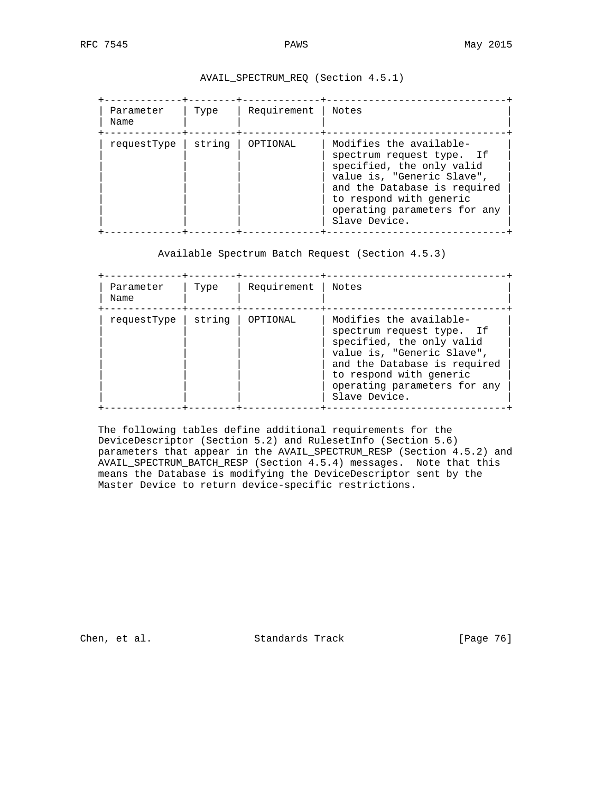# AVAIL\_SPECTRUM\_REQ (Section 4.5.1)

| Parameter<br>Name | Type   | Requirement | Notes                                                                                                                                                                                                                       |
|-------------------|--------|-------------|-----------------------------------------------------------------------------------------------------------------------------------------------------------------------------------------------------------------------------|
| requestType       | string | OPTIONAL    | Modifies the available-<br>spectrum request type. If<br>specified, the only valid<br>value is, "Generic Slave",<br>and the Database is required<br>to respond with generic<br>operating parameters for any<br>Slave Device. |

Available Spectrum Batch Request (Section 4.5.3)

| Parameter<br>Name | Type   | Requirement | Notes                                                                                                                                                                                                                       |
|-------------------|--------|-------------|-----------------------------------------------------------------------------------------------------------------------------------------------------------------------------------------------------------------------------|
| requestType       | string | OPTIONAL    | Modifies the available-<br>spectrum request type. If<br>specified, the only valid<br>value is, "Generic Slave",<br>and the Database is required<br>to respond with generic<br>operating parameters for any<br>Slave Device. |

 The following tables define additional requirements for the DeviceDescriptor (Section 5.2) and RulesetInfo (Section 5.6) parameters that appear in the AVAIL\_SPECTRUM\_RESP (Section 4.5.2) and AVAIL\_SPECTRUM\_BATCH\_RESP (Section 4.5.4) messages. Note that this means the Database is modifying the DeviceDescriptor sent by the Master Device to return device-specific restrictions.

Chen, et al. Standards Track [Page 76]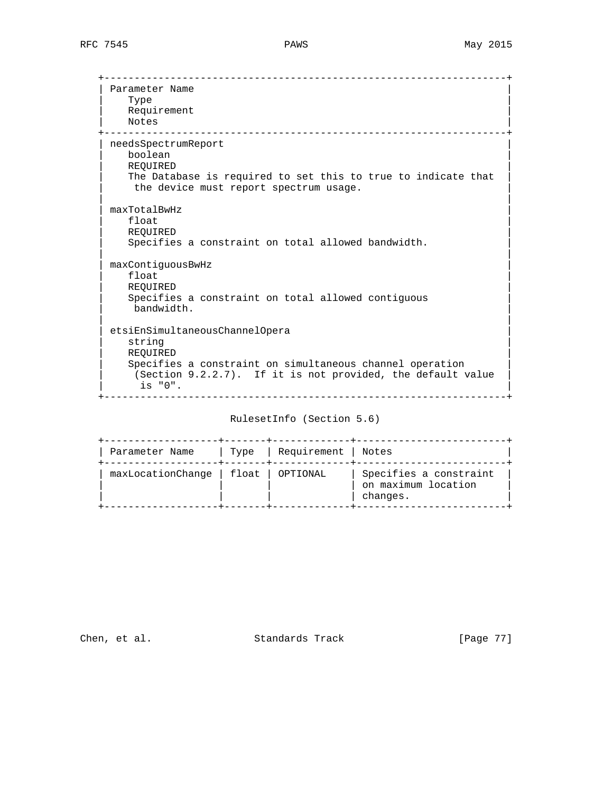+-------------------------------------------------------------------+ Parameter Name  $\blacksquare$  Type  $\blacksquare$ Requirement | Notes | +-------------------------------------------------------------------+ | needsSpectrumReport | | boolean | | REQUIRED | The Database is required to set this to true to indicate that the device must report spectrum usage. | |  $maxTotalBwHz$  | float | | REQUIRED | Specifies a constraint on total allowed bandwidth. | |  $maxContiguousBwHz$  | float | | REQUIRED | Specifies a constraint on total allowed contiguous bandwidth. | | | etsiEnSimultaneousChannelOpera |  $\vert$  string  $\vert$  | REQUIRED | Specifies a constraint on simultaneous channel operation (Section  $9.2.2.7$ ). If it is not provided, the default value is "0". +-------------------------------------------------------------------+

RulesetInfo (Section 5.6)

| Parameter Name                       | Type   Requirement   Notes |                                                           |
|--------------------------------------|----------------------------|-----------------------------------------------------------|
| maxLocationChange   float   OPTIONAL |                            | Specifies a constraint<br>on maximum location<br>changes. |

Chen, et al. Standards Track [Page 77]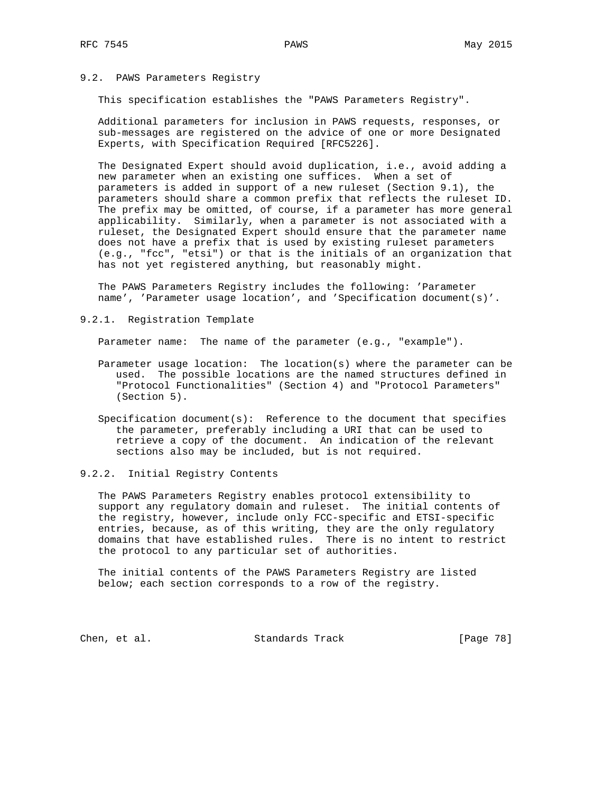## 9.2. PAWS Parameters Registry

This specification establishes the "PAWS Parameters Registry".

 Additional parameters for inclusion in PAWS requests, responses, or sub-messages are registered on the advice of one or more Designated Experts, with Specification Required [RFC5226].

 The Designated Expert should avoid duplication, i.e., avoid adding a new parameter when an existing one suffices. When a set of parameters is added in support of a new ruleset (Section 9.1), the parameters should share a common prefix that reflects the ruleset ID. The prefix may be omitted, of course, if a parameter has more general applicability. Similarly, when a parameter is not associated with a ruleset, the Designated Expert should ensure that the parameter name does not have a prefix that is used by existing ruleset parameters (e.g., "fcc", "etsi") or that is the initials of an organization that has not yet registered anything, but reasonably might.

 The PAWS Parameters Registry includes the following: 'Parameter name', 'Parameter usage location', and 'Specification document(s)'.

9.2.1. Registration Template

Parameter name: The name of the parameter (e.g., "example").

- Parameter usage location: The location(s) where the parameter can be used. The possible locations are the named structures defined in "Protocol Functionalities" (Section 4) and "Protocol Parameters" (Section 5).
- Specification document(s): Reference to the document that specifies the parameter, preferably including a URI that can be used to retrieve a copy of the document. An indication of the relevant sections also may be included, but is not required.

## 9.2.2. Initial Registry Contents

 The PAWS Parameters Registry enables protocol extensibility to support any regulatory domain and ruleset. The initial contents of the registry, however, include only FCC-specific and ETSI-specific entries, because, as of this writing, they are the only regulatory domains that have established rules. There is no intent to restrict the protocol to any particular set of authorities.

 The initial contents of the PAWS Parameters Registry are listed below; each section corresponds to a row of the registry.

Chen, et al. Standards Track [Page 78]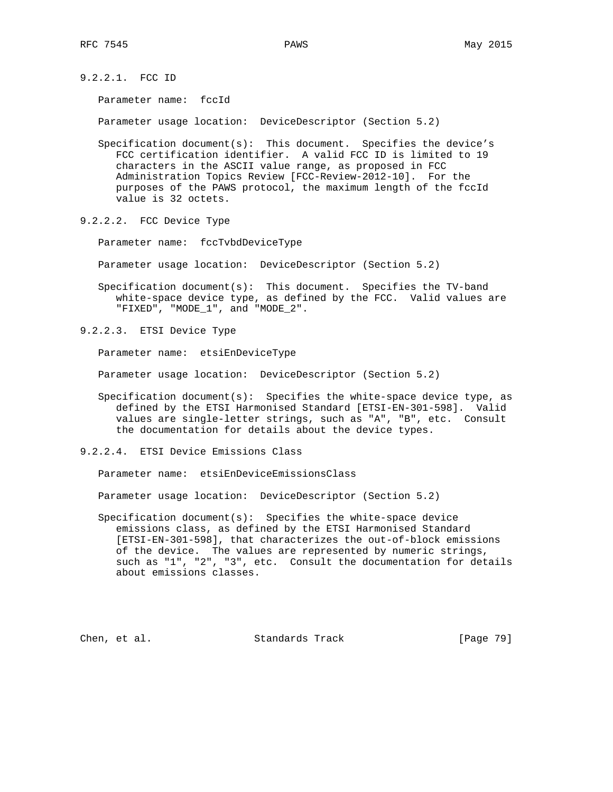9.2.2.1. FCC ID

Parameter name: fccId

Parameter usage location: DeviceDescriptor (Section 5.2)

 Specification document(s): This document. Specifies the device's FCC certification identifier. A valid FCC ID is limited to 19 characters in the ASCII value range, as proposed in FCC Administration Topics Review [FCC-Review-2012-10]. For the purposes of the PAWS protocol, the maximum length of the fccId value is 32 octets.

9.2.2.2. FCC Device Type

Parameter name: fccTvbdDeviceType

Parameter usage location: DeviceDescriptor (Section 5.2)

 Specification document(s): This document. Specifies the TV-band white-space device type, as defined by the FCC. Valid values are "FIXED", "MODE\_1", and "MODE\_2".

9.2.2.3. ETSI Device Type

Parameter name: etsiEnDeviceType

Parameter usage location: DeviceDescriptor (Section 5.2)

- Specification document(s): Specifies the white-space device type, as defined by the ETSI Harmonised Standard [ETSI-EN-301-598]. Valid values are single-letter strings, such as "A", "B", etc. Consult the documentation for details about the device types.
- 9.2.2.4. ETSI Device Emissions Class

Parameter name: etsiEnDeviceEmissionsClass

Parameter usage location: DeviceDescriptor (Section 5.2)

 Specification document(s): Specifies the white-space device emissions class, as defined by the ETSI Harmonised Standard [ETSI-EN-301-598], that characterizes the out-of-block emissions of the device. The values are represented by numeric strings, such as "1", "2", "3", etc. Consult the documentation for details about emissions classes.

Chen, et al. Standards Track [Page 79]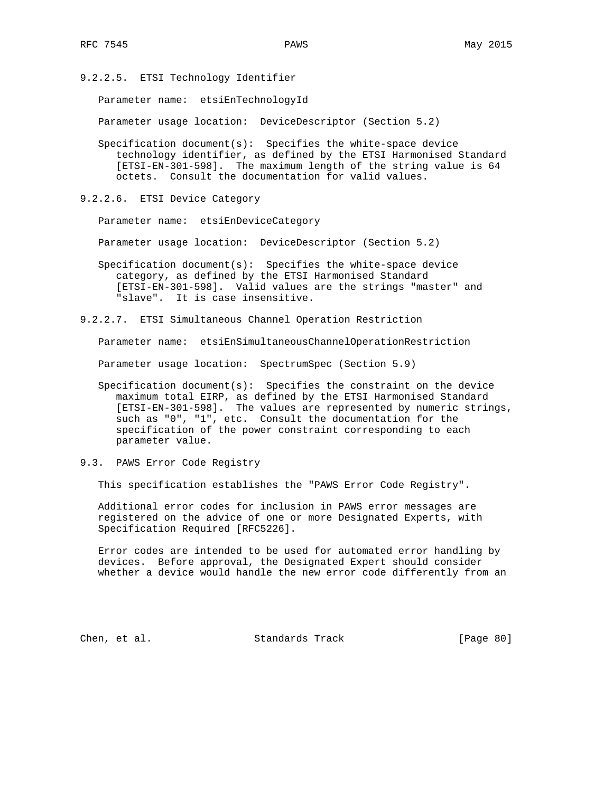9.2.2.5. ETSI Technology Identifier

Parameter name: etsiEnTechnologyId

Parameter usage location: DeviceDescriptor (Section 5.2)

- Specification document(s): Specifies the white-space device technology identifier, as defined by the ETSI Harmonised Standard [ETSI-EN-301-598]. The maximum length of the string value is 64 octets. Consult the documentation for valid values.
- 9.2.2.6. ETSI Device Category

Parameter name: etsiEnDeviceCategory

Parameter usage location: DeviceDescriptor (Section 5.2)

 Specification document(s): Specifies the white-space device category, as defined by the ETSI Harmonised Standard [ETSI-EN-301-598]. Valid values are the strings "master" and "slave". It is case insensitive.

9.2.2.7. ETSI Simultaneous Channel Operation Restriction

Parameter name: etsiEnSimultaneousChannelOperationRestriction

Parameter usage location: SpectrumSpec (Section 5.9)

- Specification document(s): Specifies the constraint on the device maximum total EIRP, as defined by the ETSI Harmonised Standard [ETSI-EN-301-598]. The values are represented by numeric strings, such as "0", "1", etc. Consult the documentation for the specification of the power constraint corresponding to each parameter value.
- 9.3. PAWS Error Code Registry

This specification establishes the "PAWS Error Code Registry".

 Additional error codes for inclusion in PAWS error messages are registered on the advice of one or more Designated Experts, with Specification Required [RFC5226].

 Error codes are intended to be used for automated error handling by devices. Before approval, the Designated Expert should consider whether a device would handle the new error code differently from an

Chen, et al. Standards Track [Page 80]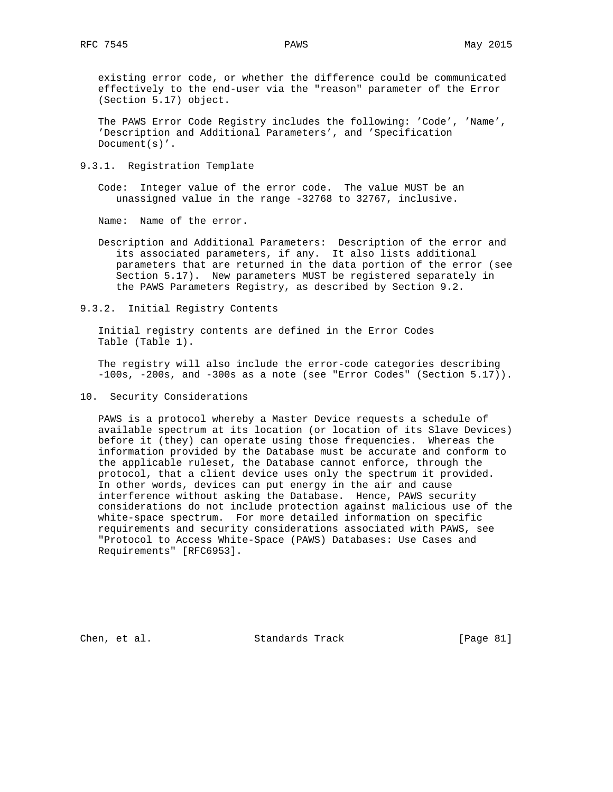existing error code, or whether the difference could be communicated effectively to the end-user via the "reason" parameter of the Error (Section 5.17) object.

 The PAWS Error Code Registry includes the following: 'Code', 'Name', 'Description and Additional Parameters', and 'Specification Document(s)'.

9.3.1. Registration Template

 Code: Integer value of the error code. The value MUST be an unassigned value in the range -32768 to 32767, inclusive.

Name: Name of the error.

- Description and Additional Parameters: Description of the error and its associated parameters, if any. It also lists additional parameters that are returned in the data portion of the error (see Section 5.17). New parameters MUST be registered separately in the PAWS Parameters Registry, as described by Section 9.2.
- 9.3.2. Initial Registry Contents

 Initial registry contents are defined in the Error Codes Table (Table 1).

 The registry will also include the error-code categories describing -100s, -200s, and -300s as a note (see "Error Codes" (Section 5.17)).

10. Security Considerations

 PAWS is a protocol whereby a Master Device requests a schedule of available spectrum at its location (or location of its Slave Devices) before it (they) can operate using those frequencies. Whereas the information provided by the Database must be accurate and conform to the applicable ruleset, the Database cannot enforce, through the protocol, that a client device uses only the spectrum it provided. In other words, devices can put energy in the air and cause interference without asking the Database. Hence, PAWS security considerations do not include protection against malicious use of the white-space spectrum. For more detailed information on specific requirements and security considerations associated with PAWS, see "Protocol to Access White-Space (PAWS) Databases: Use Cases and Requirements" [RFC6953].

Chen, et al. Standards Track [Page 81]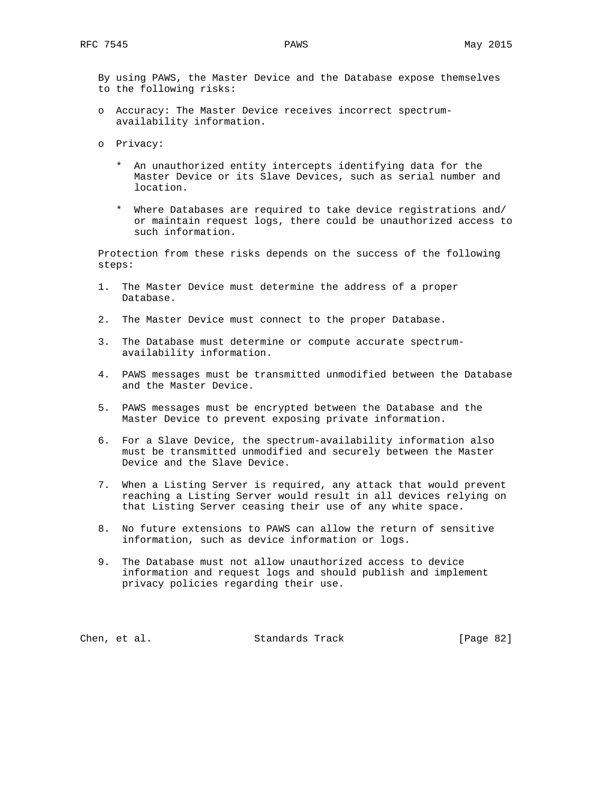By using PAWS, the Master Device and the Database expose themselves to the following risks:

- o Accuracy: The Master Device receives incorrect spectrum availability information.
- o Privacy:
	- \* An unauthorized entity intercepts identifying data for the Master Device or its Slave Devices, such as serial number and location.
	- \* Where Databases are required to take device registrations and/ or maintain request logs, there could be unauthorized access to such information.

 Protection from these risks depends on the success of the following steps:

- 1. The Master Device must determine the address of a proper Database.
- 2. The Master Device must connect to the proper Database.
- 3. The Database must determine or compute accurate spectrum availability information.
- 4. PAWS messages must be transmitted unmodified between the Database and the Master Device.
- 5. PAWS messages must be encrypted between the Database and the Master Device to prevent exposing private information.
- 6. For a Slave Device, the spectrum-availability information also must be transmitted unmodified and securely between the Master Device and the Slave Device.
- 7. When a Listing Server is required, any attack that would prevent reaching a Listing Server would result in all devices relying on that Listing Server ceasing their use of any white space.
- 8. No future extensions to PAWS can allow the return of sensitive information, such as device information or logs.
- 9. The Database must not allow unauthorized access to device information and request logs and should publish and implement privacy policies regarding their use.

Chen, et al. Standards Track [Page 82]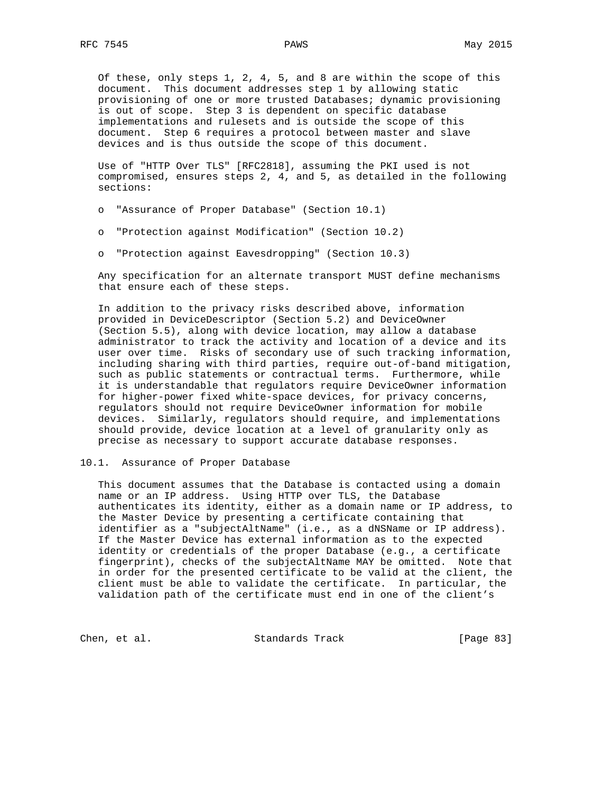Of these, only steps 1, 2, 4, 5, and 8 are within the scope of this document. This document addresses step 1 by allowing static provisioning of one or more trusted Databases; dynamic provisioning is out of scope. Step 3 is dependent on specific database implementations and rulesets and is outside the scope of this document. Step 6 requires a protocol between master and slave devices and is thus outside the scope of this document.

 Use of "HTTP Over TLS" [RFC2818], assuming the PKI used is not compromised, ensures steps 2, 4, and 5, as detailed in the following sections:

- o "Assurance of Proper Database" (Section 10.1)
- o "Protection against Modification" (Section 10.2)
- o "Protection against Eavesdropping" (Section 10.3)

 Any specification for an alternate transport MUST define mechanisms that ensure each of these steps.

 In addition to the privacy risks described above, information provided in DeviceDescriptor (Section 5.2) and DeviceOwner (Section 5.5), along with device location, may allow a database administrator to track the activity and location of a device and its user over time. Risks of secondary use of such tracking information, including sharing with third parties, require out-of-band mitigation, such as public statements or contractual terms. Furthermore, while it is understandable that regulators require DeviceOwner information for higher-power fixed white-space devices, for privacy concerns, regulators should not require DeviceOwner information for mobile devices. Similarly, regulators should require, and implementations should provide, device location at a level of granularity only as precise as necessary to support accurate database responses.

#### 10.1. Assurance of Proper Database

 This document assumes that the Database is contacted using a domain name or an IP address. Using HTTP over TLS, the Database authenticates its identity, either as a domain name or IP address, to the Master Device by presenting a certificate containing that identifier as a "subjectAltName" (i.e., as a dNSName or IP address). If the Master Device has external information as to the expected identity or credentials of the proper Database (e.g., a certificate fingerprint), checks of the subjectAltName MAY be omitted. Note that in order for the presented certificate to be valid at the client, the client must be able to validate the certificate. In particular, the validation path of the certificate must end in one of the client's

Chen, et al. Standards Track [Page 83]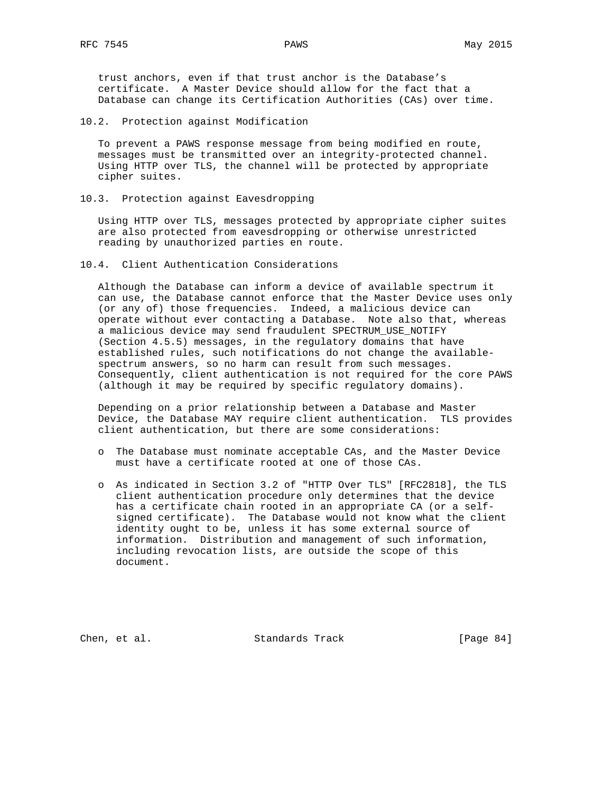trust anchors, even if that trust anchor is the Database's certificate. A Master Device should allow for the fact that a Database can change its Certification Authorities (CAs) over time.

10.2. Protection against Modification

 To prevent a PAWS response message from being modified en route, messages must be transmitted over an integrity-protected channel. Using HTTP over TLS, the channel will be protected by appropriate cipher suites.

10.3. Protection against Eavesdropping

 Using HTTP over TLS, messages protected by appropriate cipher suites are also protected from eavesdropping or otherwise unrestricted reading by unauthorized parties en route.

10.4. Client Authentication Considerations

 Although the Database can inform a device of available spectrum it can use, the Database cannot enforce that the Master Device uses only (or any of) those frequencies. Indeed, a malicious device can operate without ever contacting a Database. Note also that, whereas a malicious device may send fraudulent SPECTRUM\_USE\_NOTIFY (Section 4.5.5) messages, in the regulatory domains that have established rules, such notifications do not change the available spectrum answers, so no harm can result from such messages. Consequently, client authentication is not required for the core PAWS (although it may be required by specific regulatory domains).

 Depending on a prior relationship between a Database and Master Device, the Database MAY require client authentication. TLS provides client authentication, but there are some considerations:

- o The Database must nominate acceptable CAs, and the Master Device must have a certificate rooted at one of those CAs.
- o As indicated in Section 3.2 of "HTTP Over TLS" [RFC2818], the TLS client authentication procedure only determines that the device has a certificate chain rooted in an appropriate CA (or a self signed certificate). The Database would not know what the client identity ought to be, unless it has some external source of information. Distribution and management of such information, including revocation lists, are outside the scope of this document.

Chen, et al. Standards Track [Page 84]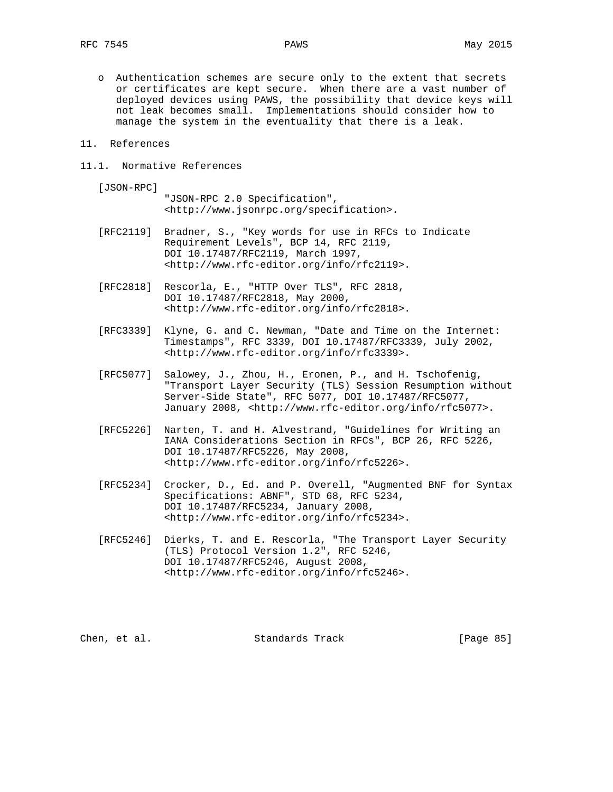o Authentication schemes are secure only to the extent that secrets or certificates are kept secure. When there are a vast number of deployed devices using PAWS, the possibility that device keys will not leak becomes small. Implementations should consider how to manage the system in the eventuality that there is a leak.

#### 11. References

11.1. Normative References

[JSON-RPC]

 "JSON-RPC 2.0 Specification", <http://www.jsonrpc.org/specification>.

- [RFC2119] Bradner, S., "Key words for use in RFCs to Indicate Requirement Levels", BCP 14, RFC 2119, DOI 10.17487/RFC2119, March 1997, <http://www.rfc-editor.org/info/rfc2119>.
- [RFC2818] Rescorla, E., "HTTP Over TLS", RFC 2818, DOI 10.17487/RFC2818, May 2000, <http://www.rfc-editor.org/info/rfc2818>.
- [RFC3339] Klyne, G. and C. Newman, "Date and Time on the Internet: Timestamps", RFC 3339, DOI 10.17487/RFC3339, July 2002, <http://www.rfc-editor.org/info/rfc3339>.
- [RFC5077] Salowey, J., Zhou, H., Eronen, P., and H. Tschofenig, "Transport Layer Security (TLS) Session Resumption without Server-Side State", RFC 5077, DOI 10.17487/RFC5077, January 2008, <http://www.rfc-editor.org/info/rfc5077>.
- [RFC5226] Narten, T. and H. Alvestrand, "Guidelines for Writing an IANA Considerations Section in RFCs", BCP 26, RFC 5226, DOI 10.17487/RFC5226, May 2008, <http://www.rfc-editor.org/info/rfc5226>.
- [RFC5234] Crocker, D., Ed. and P. Overell, "Augmented BNF for Syntax Specifications: ABNF", STD 68, RFC 5234, DOI 10.17487/RFC5234, January 2008, <http://www.rfc-editor.org/info/rfc5234>.
	- [RFC5246] Dierks, T. and E. Rescorla, "The Transport Layer Security (TLS) Protocol Version 1.2", RFC 5246, DOI 10.17487/RFC5246, August 2008, <http://www.rfc-editor.org/info/rfc5246>.

Chen, et al. Standards Track [Page 85]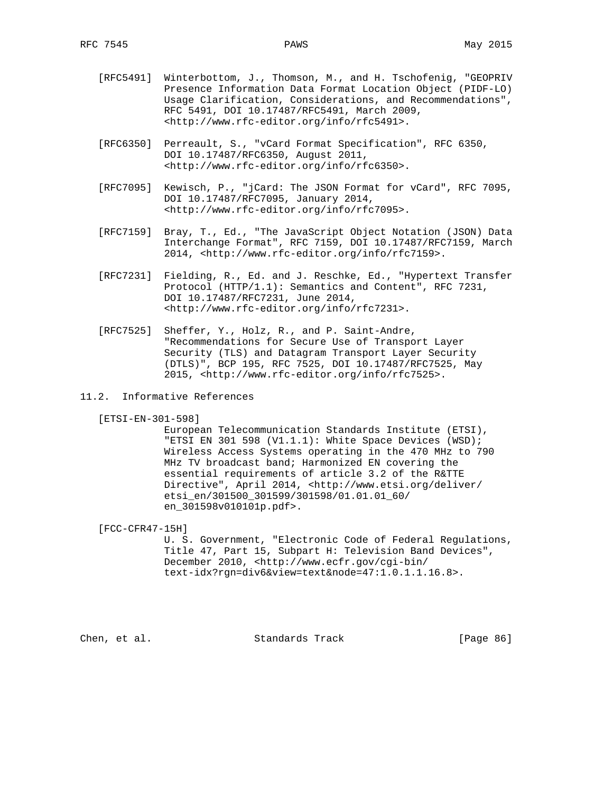- [RFC5491] Winterbottom, J., Thomson, M., and H. Tschofenig, "GEOPRIV Presence Information Data Format Location Object (PIDF-LO) Usage Clarification, Considerations, and Recommendations", RFC 5491, DOI 10.17487/RFC5491, March 2009, <http://www.rfc-editor.org/info/rfc5491>.
- [RFC6350] Perreault, S., "vCard Format Specification", RFC 6350, DOI 10.17487/RFC6350, August 2011, <http://www.rfc-editor.org/info/rfc6350>.
- [RFC7095] Kewisch, P., "jCard: The JSON Format for vCard", RFC 7095, DOI 10.17487/RFC7095, January 2014, <http://www.rfc-editor.org/info/rfc7095>.
- [RFC7159] Bray, T., Ed., "The JavaScript Object Notation (JSON) Data Interchange Format", RFC 7159, DOI 10.17487/RFC7159, March 2014, <http://www.rfc-editor.org/info/rfc7159>.
- [RFC7231] Fielding, R., Ed. and J. Reschke, Ed., "Hypertext Transfer Protocol (HTTP/1.1): Semantics and Content", RFC 7231, DOI 10.17487/RFC7231, June 2014, <http://www.rfc-editor.org/info/rfc7231>.
- [RFC7525] Sheffer, Y., Holz, R., and P. Saint-Andre, "Recommendations for Secure Use of Transport Layer Security (TLS) and Datagram Transport Layer Security (DTLS)", BCP 195, RFC 7525, DOI 10.17487/RFC7525, May 2015, <http://www.rfc-editor.org/info/rfc7525>.
- 11.2. Informative References

[ETSI-EN-301-598]

 European Telecommunication Standards Institute (ETSI), "ETSI EN 301 598 (V1.1.1): White Space Devices (WSD); Wireless Access Systems operating in the 470 MHz to 790 MHz TV broadcast band; Harmonized EN covering the essential requirements of article 3.2 of the R&TTE Directive", April 2014, <http://www.etsi.org/deliver/ etsi\_en/301500\_301599/301598/01.01.01\_60/ en\_301598v010101p.pdf>.

[FCC-CFR47-15H]

 U. S. Government, "Electronic Code of Federal Regulations, Title 47, Part 15, Subpart H: Television Band Devices", December 2010, <http://www.ecfr.gov/cgi-bin/ text-idx?rgn=div6&view=text&node=47:1.0.1.1.16.8>.

Chen, et al. Standards Track [Page 86]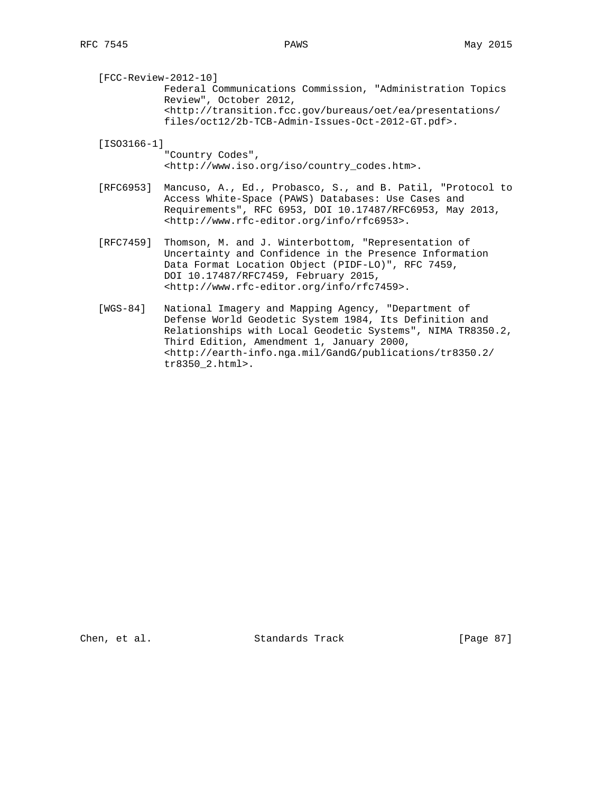[FCC-Review-2012-10] Federal Communications Commission, "Administration Topics Review", October 2012, <http://transition.fcc.gov/bureaus/oet/ea/presentations/ files/oct12/2b-TCB-Admin-Issues-Oct-2012-GT.pdf>.

[ISO3166-1]

 "Country Codes", <http://www.iso.org/iso/country\_codes.htm>.

 [RFC6953] Mancuso, A., Ed., Probasco, S., and B. Patil, "Protocol to Access White-Space (PAWS) Databases: Use Cases and Requirements", RFC 6953, DOI 10.17487/RFC6953, May 2013, <http://www.rfc-editor.org/info/rfc6953>.

- [RFC7459] Thomson, M. and J. Winterbottom, "Representation of Uncertainty and Confidence in the Presence Information Data Format Location Object (PIDF-LO)", RFC 7459, DOI 10.17487/RFC7459, February 2015, <http://www.rfc-editor.org/info/rfc7459>.
- [WGS-84] National Imagery and Mapping Agency, "Department of Defense World Geodetic System 1984, Its Definition and Relationships with Local Geodetic Systems", NIMA TR8350.2, Third Edition, Amendment 1, January 2000, <http://earth-info.nga.mil/GandG/publications/tr8350.2/ tr8350\_2.html>.

Chen, et al. Standards Track [Page 87]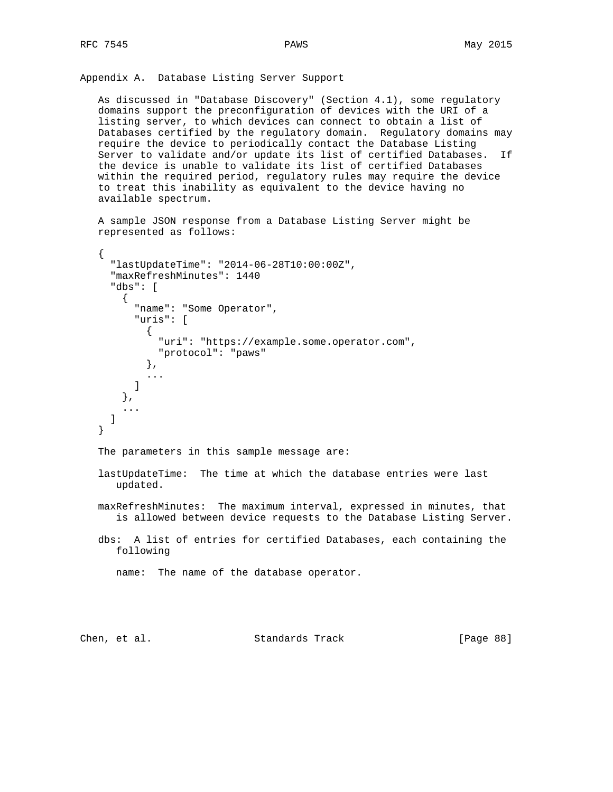{

Appendix A. Database Listing Server Support

 As discussed in "Database Discovery" (Section 4.1), some regulatory domains support the preconfiguration of devices with the URI of a listing server, to which devices can connect to obtain a list of Databases certified by the regulatory domain. Regulatory domains may require the device to periodically contact the Database Listing Server to validate and/or update its list of certified Databases. If the device is unable to validate its list of certified Databases within the required period, regulatory rules may require the device to treat this inability as equivalent to the device having no available spectrum.

 A sample JSON response from a Database Listing Server might be represented as follows:

```
 "lastUpdateTime": "2014-06-28T10:00:00Z",
      "maxRefreshMinutes": 1440
      "dbs": [
       {
          "name": "Some Operator",
          "uris": [
\{ "uri": "https://example.some.operator.com",
              "protocol": "paws"
            },
            ...
 ]
       },
        ...
     ]
   }
  The parameters in this sample message are:
   lastUpdateTime: The time at which the database entries were last
      updated.
   maxRefreshMinutes: The maximum interval, expressed in minutes, that
      is allowed between device requests to the Database Listing Server.
   dbs: A list of entries for certified Databases, each containing the
      following
      name: The name of the database operator.
```
Chen, et al. Standards Track [Page 88]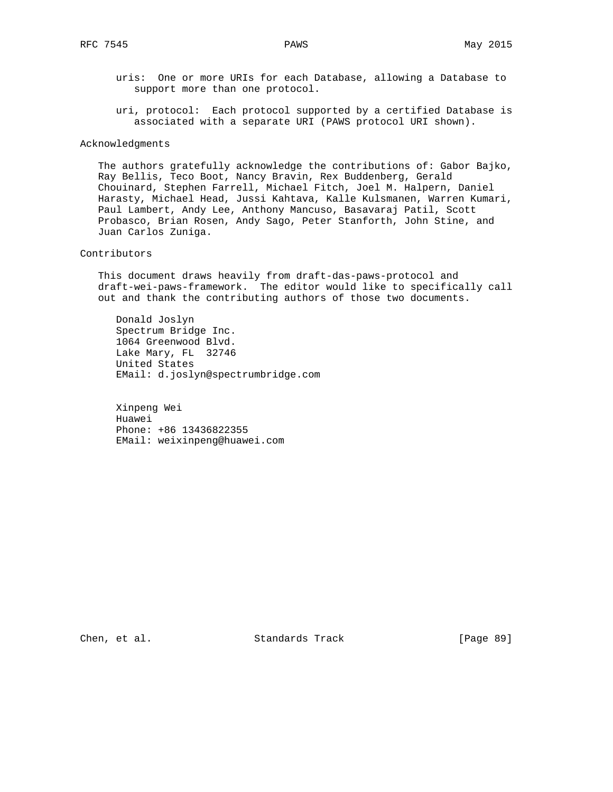uris: One or more URIs for each Database, allowing a Database to support more than one protocol.

 uri, protocol: Each protocol supported by a certified Database is associated with a separate URI (PAWS protocol URI shown).

#### Acknowledgments

 The authors gratefully acknowledge the contributions of: Gabor Bajko, Ray Bellis, Teco Boot, Nancy Bravin, Rex Buddenberg, Gerald Chouinard, Stephen Farrell, Michael Fitch, Joel M. Halpern, Daniel Harasty, Michael Head, Jussi Kahtava, Kalle Kulsmanen, Warren Kumari, Paul Lambert, Andy Lee, Anthony Mancuso, Basavaraj Patil, Scott Probasco, Brian Rosen, Andy Sago, Peter Stanforth, John Stine, and Juan Carlos Zuniga.

## Contributors

 This document draws heavily from draft-das-paws-protocol and draft-wei-paws-framework. The editor would like to specifically call out and thank the contributing authors of those two documents.

 Donald Joslyn Spectrum Bridge Inc. 1064 Greenwood Blvd. Lake Mary, FL 32746 United States EMail: d.joslyn@spectrumbridge.com

 Xinpeng Wei Huawei Phone: +86 13436822355 EMail: weixinpeng@huawei.com

Chen, et al. Standards Track [Page 89]